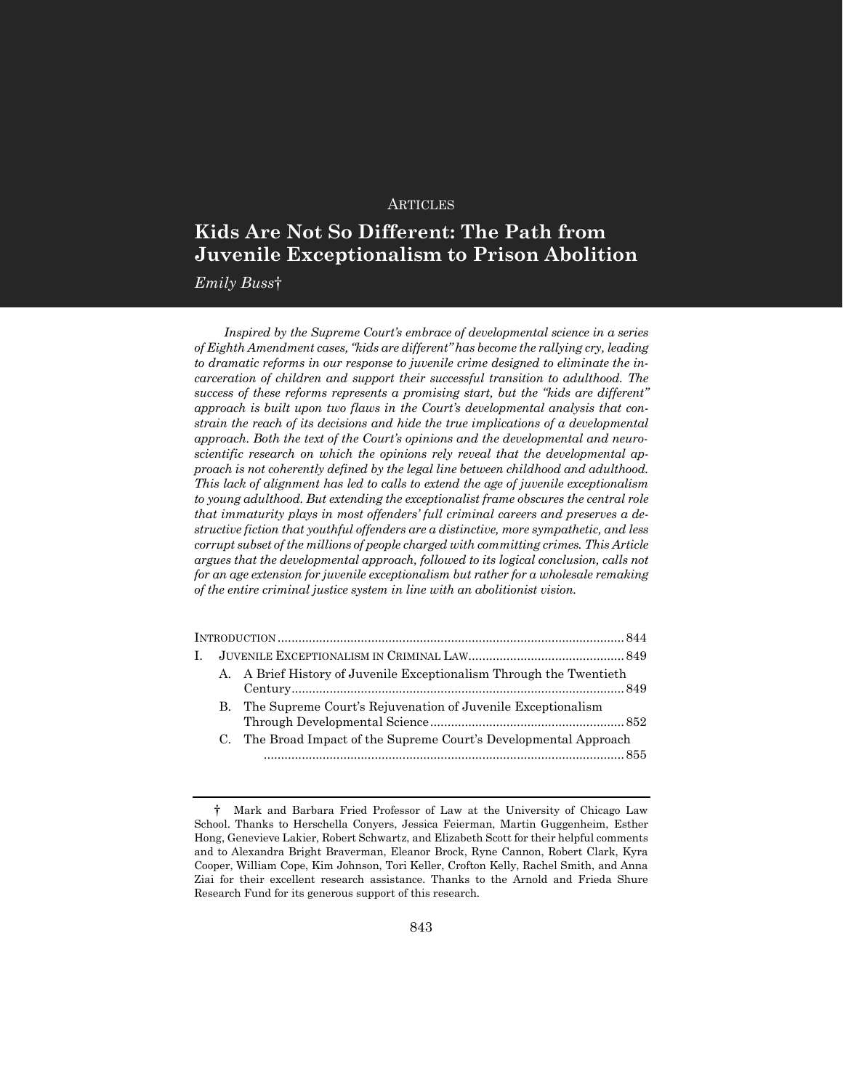#### **ARTICLES**

# **Kids Are Not So Different: The Path from Juvenile Exceptionalism to Prison Abolition**

*Emily Buss*†

*Inspired by the Supreme Court's embrace of developmental science in a series of Eighth Amendment cases, "kids are different" has become the rallying cry, leading to dramatic reforms in our response to juvenile crime designed to eliminate the incarceration of children and support their successful transition to adulthood. The success of these reforms represents a promising start, but the "kids are different" approach is built upon two flaws in the Court's developmental analysis that constrain the reach of its decisions and hide the true implications of a developmental approach. Both the text of the Court's opinions and the developmental and neuroscientific research on which the opinions rely reveal that the developmental approach is not coherently defined by the legal line between childhood and adulthood. This lack of alignment has led to calls to extend the age of juvenile exceptionalism to young adulthood. But extending the exceptionalist frame obscures the central role that immaturity plays in most offenders' full criminal careers and preserves a destructive fiction that youthful offenders are a distinctive, more sympathetic, and less corrupt subset of the millions of people charged with committing crimes. This Article argues that the developmental approach, followed to its logical conclusion, calls not for an age extension for juvenile exceptionalism but rather for a wholesale remaking of the entire criminal justice system in line with an abolitionist vision.*

| L |                                                                     |  |
|---|---------------------------------------------------------------------|--|
|   | A. A Brief History of Juvenile Exceptionalism Through the Twentieth |  |
|   | B. The Supreme Court's Rejuvenation of Juvenile Exceptionalism      |  |
|   | C. The Broad Impact of the Supreme Court's Developmental Approach   |  |
|   |                                                                     |  |

<sup>†</sup> Mark and Barbara Fried Professor of Law at the University of Chicago Law School. Thanks to Herschella Conyers, Jessica Feierman, Martin Guggenheim, Esther Hong, Genevieve Lakier, Robert Schwartz, and Elizabeth Scott for their helpful comments and to Alexandra Bright Braverman, Eleanor Brock, Ryne Cannon, Robert Clark, Kyra Cooper, William Cope, Kim Johnson, Tori Keller, Crofton Kelly, Rachel Smith, and Anna Ziai for their excellent research assistance. Thanks to the Arnold and Frieda Shure Research Fund for its generous support of this research.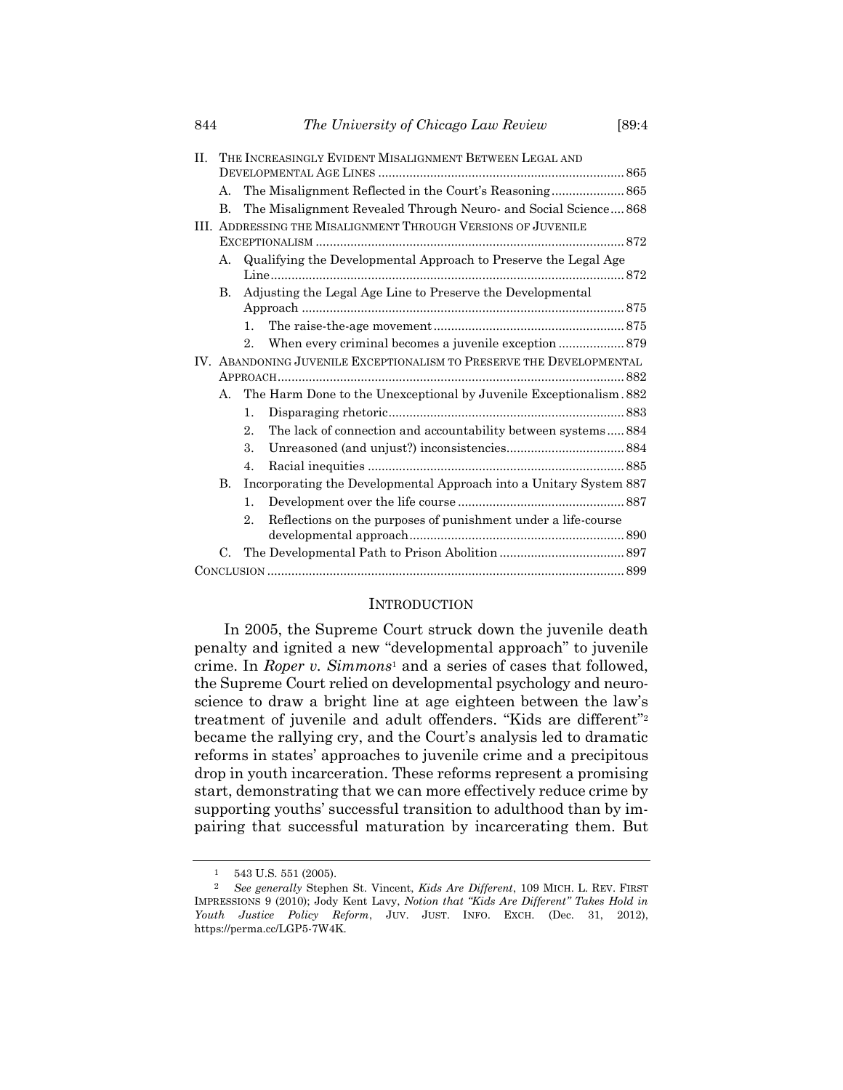| H. | THE INCREASINGLY EVIDENT MISALIGNMENT BETWEEN LEGAL AND              |                                                                 |                                                                    |  |  |  |
|----|----------------------------------------------------------------------|-----------------------------------------------------------------|--------------------------------------------------------------------|--|--|--|
|    |                                                                      |                                                                 |                                                                    |  |  |  |
|    | А.                                                                   |                                                                 | The Misalignment Reflected in the Court's Reasoning 865            |  |  |  |
|    | B.                                                                   |                                                                 | The Misalignment Revealed Through Neuro- and Social Science 868    |  |  |  |
|    | III. ADDRESSING THE MISALIGNMENT THROUGH VERSIONS OF JUVENILE        |                                                                 |                                                                    |  |  |  |
|    |                                                                      |                                                                 |                                                                    |  |  |  |
|    | А.                                                                   | Qualifying the Developmental Approach to Preserve the Legal Age |                                                                    |  |  |  |
|    | B.                                                                   |                                                                 | Adjusting the Legal Age Line to Preserve the Developmental         |  |  |  |
|    |                                                                      |                                                                 |                                                                    |  |  |  |
|    |                                                                      | 1.                                                              |                                                                    |  |  |  |
|    |                                                                      | 2.                                                              | When every criminal becomes a juvenile exception  879              |  |  |  |
|    | IV. ABANDONING JUVENILE EXCEPTIONALISM TO PRESERVE THE DEVELOPMENTAL |                                                                 |                                                                    |  |  |  |
|    |                                                                      |                                                                 |                                                                    |  |  |  |
|    | А.                                                                   |                                                                 | The Harm Done to the Unexceptional by Juvenile Exceptionalism. 882 |  |  |  |
|    |                                                                      | 1.                                                              |                                                                    |  |  |  |
|    |                                                                      | 2.                                                              | The lack of connection and accountability between systems 884      |  |  |  |
|    |                                                                      | 3.                                                              |                                                                    |  |  |  |
|    |                                                                      | 4.                                                              |                                                                    |  |  |  |
|    | B.                                                                   |                                                                 | Incorporating the Developmental Approach into a Unitary System 887 |  |  |  |
|    |                                                                      | 1.                                                              |                                                                    |  |  |  |
|    |                                                                      | 2.                                                              | Reflections on the purposes of punishment under a life-course      |  |  |  |
|    | $C_{\cdot}$                                                          |                                                                 |                                                                    |  |  |  |
|    |                                                                      |                                                                 |                                                                    |  |  |  |
|    |                                                                      |                                                                 |                                                                    |  |  |  |

#### **INTRODUCTION**

In 2005, the Supreme Court struck down the juvenile death penalty and ignited a new "developmental approach" to juvenile crime. In *Roper v. Simmons*<sup>1</sup> and a series of cases that followed, the Supreme Court relied on developmental psychology and neuroscience to draw a bright line at age eighteen between the law's treatment of juvenile and adult offenders. "Kids are different"<sup>2</sup> became the rallying cry, and the Court's analysis led to dramatic reforms in states' approaches to juvenile crime and a precipitous drop in youth incarceration. These reforms represent a promising start, demonstrating that we can more effectively reduce crime by supporting youths' successful transition to adulthood than by impairing that successful maturation by incarcerating them. But

 $\frac{1}{2}$  543 U.S. 551 (2005).<br>2 *See generally* Stephen

<sup>2</sup> *See generally* Stephen St. Vincent, *Kids Are Different*, 109 MICH. L. REV. FIRST IMPRESSIONS 9 (2010); Jody Kent Lavy, *Notion that "Kids Are Different" Takes Hold in Youth Justice Policy Reform*, JUV. JUST. INFO. EXCH. (Dec. 31, 2012), https://perma.cc/LGP5-7W4K.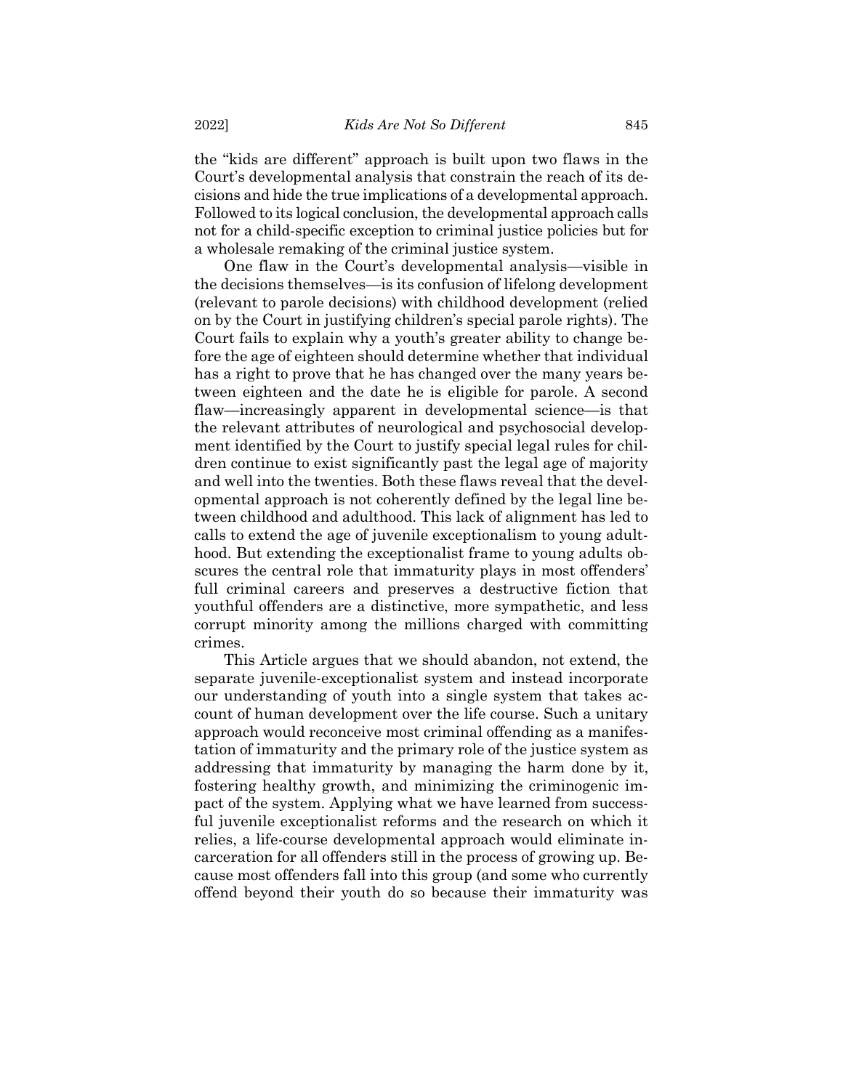the "kids are different" approach is built upon two flaws in the Court's developmental analysis that constrain the reach of its decisions and hide the true implications of a developmental approach. Followed to its logical conclusion, the developmental approach calls not for a child-specific exception to criminal justice policies but for a wholesale remaking of the criminal justice system.

One flaw in the Court's developmental analysis—visible in the decisions themselves—is its confusion of lifelong development (relevant to parole decisions) with childhood development (relied on by the Court in justifying children's special parole rights). The Court fails to explain why a youth's greater ability to change before the age of eighteen should determine whether that individual has a right to prove that he has changed over the many years between eighteen and the date he is eligible for parole. A second flaw—increasingly apparent in developmental science—is that the relevant attributes of neurological and psychosocial development identified by the Court to justify special legal rules for children continue to exist significantly past the legal age of majority and well into the twenties. Both these flaws reveal that the developmental approach is not coherently defined by the legal line between childhood and adulthood. This lack of alignment has led to calls to extend the age of juvenile exceptionalism to young adulthood. But extending the exceptionalist frame to young adults obscures the central role that immaturity plays in most offenders' full criminal careers and preserves a destructive fiction that youthful offenders are a distinctive, more sympathetic, and less corrupt minority among the millions charged with committing crimes.

This Article argues that we should abandon, not extend, the separate juvenile-exceptionalist system and instead incorporate our understanding of youth into a single system that takes account of human development over the life course. Such a unitary approach would reconceive most criminal offending as a manifestation of immaturity and the primary role of the justice system as addressing that immaturity by managing the harm done by it, fostering healthy growth, and minimizing the criminogenic impact of the system. Applying what we have learned from successful juvenile exceptionalist reforms and the research on which it relies, a life-course developmental approach would eliminate incarceration for all offenders still in the process of growing up. Because most offenders fall into this group (and some who currently offend beyond their youth do so because their immaturity was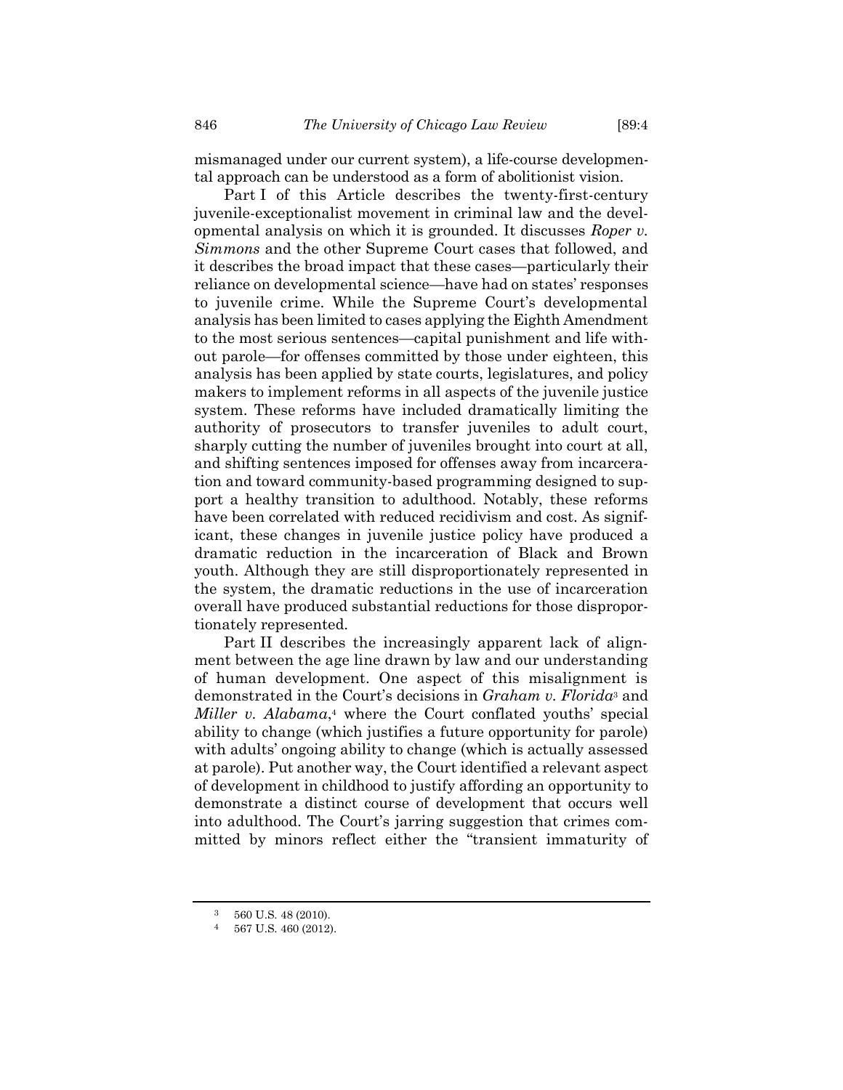mismanaged under our current system), a life-course developmental approach can be understood as a form of abolitionist vision.

Part I of this Article describes the twenty-first-century juvenile-exceptionalist movement in criminal law and the developmental analysis on which it is grounded. It discusses *Roper v. Simmons* and the other Supreme Court cases that followed, and it describes the broad impact that these cases—particularly their reliance on developmental science—have had on states' responses to juvenile crime. While the Supreme Court's developmental analysis has been limited to cases applying the Eighth Amendment to the most serious sentences—capital punishment and life without parole—for offenses committed by those under eighteen, this analysis has been applied by state courts, legislatures, and policy makers to implement reforms in all aspects of the juvenile justice system. These reforms have included dramatically limiting the authority of prosecutors to transfer juveniles to adult court, sharply cutting the number of juveniles brought into court at all, and shifting sentences imposed for offenses away from incarceration and toward community-based programming designed to support a healthy transition to adulthood. Notably, these reforms have been correlated with reduced recidivism and cost. As significant, these changes in juvenile justice policy have produced a dramatic reduction in the incarceration of Black and Brown youth. Although they are still disproportionately represented in the system, the dramatic reductions in the use of incarceration overall have produced substantial reductions for those disproportionately represented.

Part II describes the increasingly apparent lack of alignment between the age line drawn by law and our understanding of human development. One aspect of this misalignment is demonstrated in the Court's decisions in *Graham v. Florida*<sup>3</sup> and *Miller v. Alabama*, <sup>4</sup> where the Court conflated youths' special ability to change (which justifies a future opportunity for parole) with adults' ongoing ability to change (which is actually assessed at parole). Put another way, the Court identified a relevant aspect of development in childhood to justify affording an opportunity to demonstrate a distinct course of development that occurs well into adulthood. The Court's jarring suggestion that crimes committed by minors reflect either the "transient immaturity of

<sup>3</sup> 560 U.S. 48 (2010).

<sup>4</sup> 567 U.S. 460 (2012).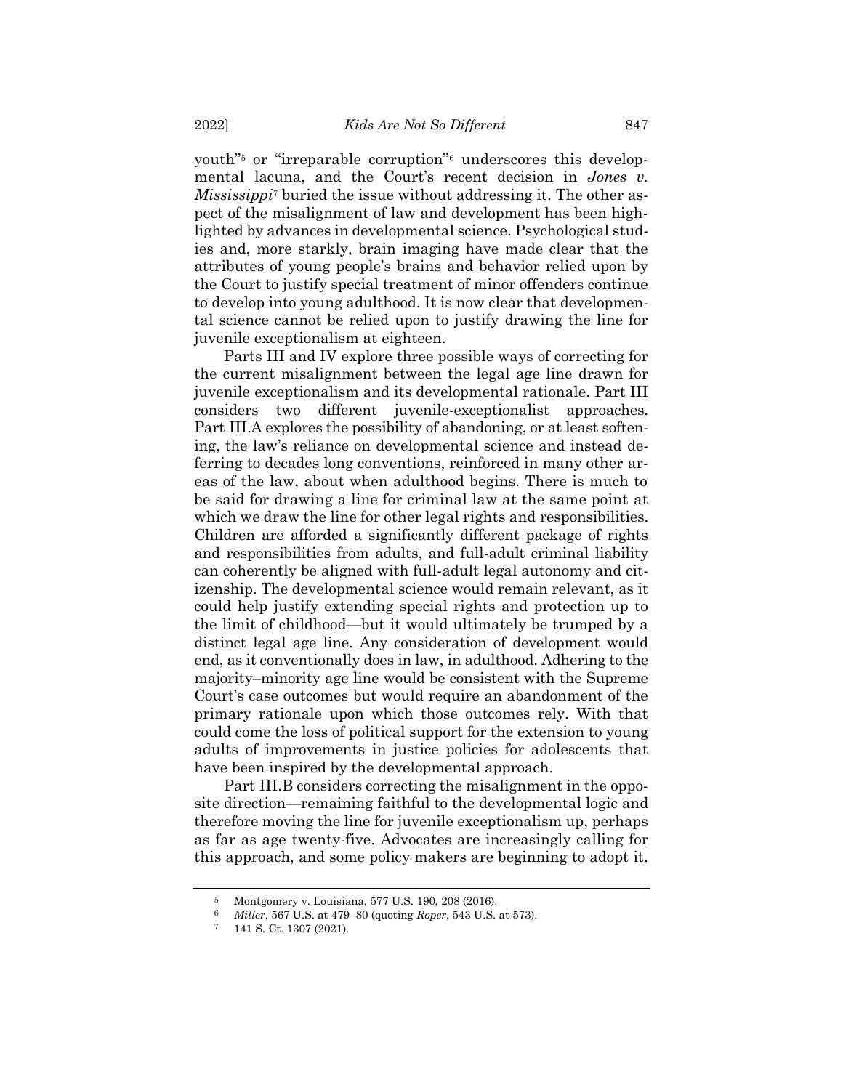youth"<sup>5</sup> or "irreparable corruption"<sup>6</sup> underscores this developmental lacuna, and the Court's recent decision in *Jones v. Mississippi*<sup>7</sup> buried the issue without addressing it. The other aspect of the misalignment of law and development has been highlighted by advances in developmental science. Psychological studies and, more starkly, brain imaging have made clear that the attributes of young people's brains and behavior relied upon by the Court to justify special treatment of minor offenders continue to develop into young adulthood. It is now clear that developmental science cannot be relied upon to justify drawing the line for juvenile exceptionalism at eighteen.

Parts III and IV explore three possible ways of correcting for the current misalignment between the legal age line drawn for juvenile exceptionalism and its developmental rationale. Part III considers two different juvenile-exceptionalist approaches. Part III.A explores the possibility of abandoning, or at least softening, the law's reliance on developmental science and instead deferring to decades long conventions, reinforced in many other areas of the law, about when adulthood begins. There is much to be said for drawing a line for criminal law at the same point at which we draw the line for other legal rights and responsibilities. Children are afforded a significantly different package of rights and responsibilities from adults, and full-adult criminal liability can coherently be aligned with full-adult legal autonomy and citizenship. The developmental science would remain relevant, as it could help justify extending special rights and protection up to the limit of childhood—but it would ultimately be trumped by a distinct legal age line. Any consideration of development would end, as it conventionally does in law, in adulthood. Adhering to the majority–minority age line would be consistent with the Supreme Court's case outcomes but would require an abandonment of the primary rationale upon which those outcomes rely. With that could come the loss of political support for the extension to young adults of improvements in justice policies for adolescents that have been inspired by the developmental approach.

Part III.B considers correcting the misalignment in the opposite direction—remaining faithful to the developmental logic and therefore moving the line for juvenile exceptionalism up, perhaps as far as age twenty-five. Advocates are increasingly calling for this approach, and some policy makers are beginning to adopt it.

<sup>5</sup> Montgomery v. Louisiana, 577 U.S. 190, 208 (2016).

<sup>6</sup> *Miller*, 567 U.S. at 479–80 (quoting *Roper*, 543 U.S. at 573).

<sup>7</sup> 141 S. Ct. 1307 (2021).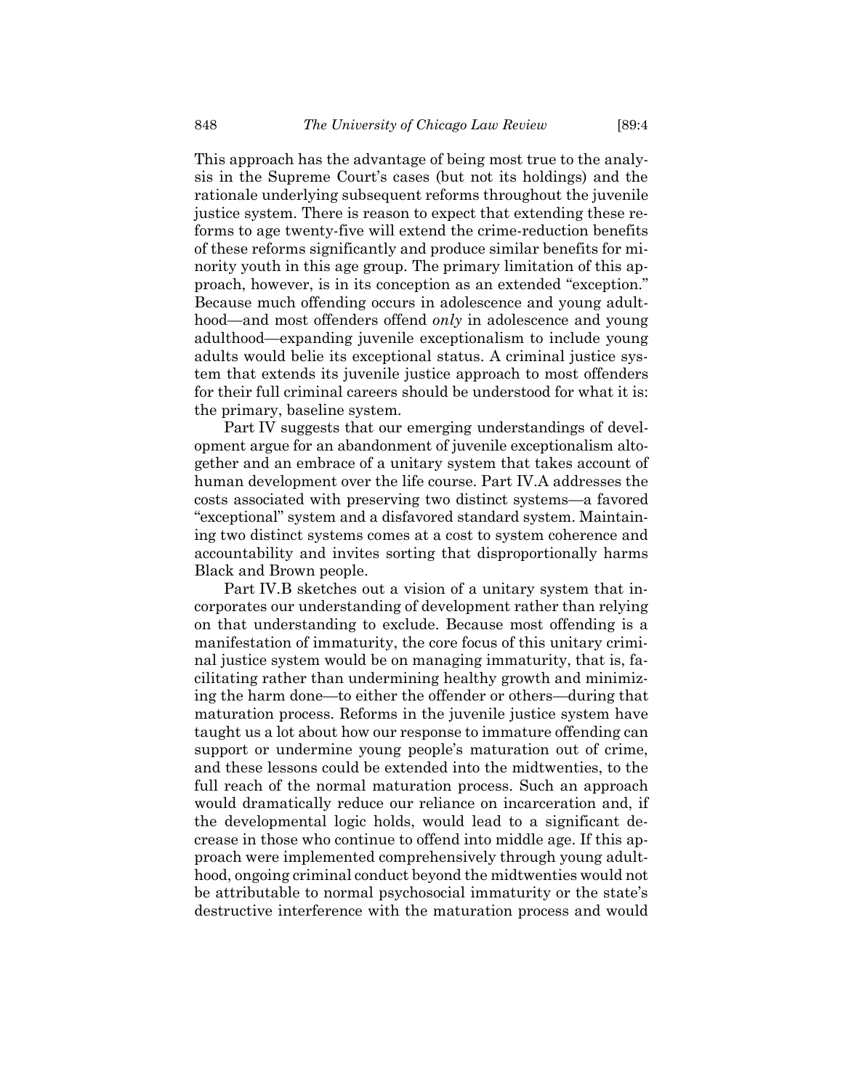This approach has the advantage of being most true to the analysis in the Supreme Court's cases (but not its holdings) and the rationale underlying subsequent reforms throughout the juvenile justice system. There is reason to expect that extending these reforms to age twenty-five will extend the crime-reduction benefits of these reforms significantly and produce similar benefits for minority youth in this age group. The primary limitation of this approach, however, is in its conception as an extended "exception." Because much offending occurs in adolescence and young adulthood—and most offenders offend *only* in adolescence and young adulthood—expanding juvenile exceptionalism to include young adults would belie its exceptional status. A criminal justice system that extends its juvenile justice approach to most offenders for their full criminal careers should be understood for what it is: the primary, baseline system.

Part IV suggests that our emerging understandings of development argue for an abandonment of juvenile exceptionalism altogether and an embrace of a unitary system that takes account of human development over the life course. Part IV.A addresses the costs associated with preserving two distinct systems—a favored "exceptional" system and a disfavored standard system. Maintaining two distinct systems comes at a cost to system coherence and accountability and invites sorting that disproportionally harms Black and Brown people.

Part IV.B sketches out a vision of a unitary system that incorporates our understanding of development rather than relying on that understanding to exclude. Because most offending is a manifestation of immaturity, the core focus of this unitary criminal justice system would be on managing immaturity, that is, facilitating rather than undermining healthy growth and minimizing the harm done—to either the offender or others—during that maturation process. Reforms in the juvenile justice system have taught us a lot about how our response to immature offending can support or undermine young people's maturation out of crime, and these lessons could be extended into the midtwenties, to the full reach of the normal maturation process. Such an approach would dramatically reduce our reliance on incarceration and, if the developmental logic holds, would lead to a significant decrease in those who continue to offend into middle age. If this approach were implemented comprehensively through young adulthood, ongoing criminal conduct beyond the midtwenties would not be attributable to normal psychosocial immaturity or the state's destructive interference with the maturation process and would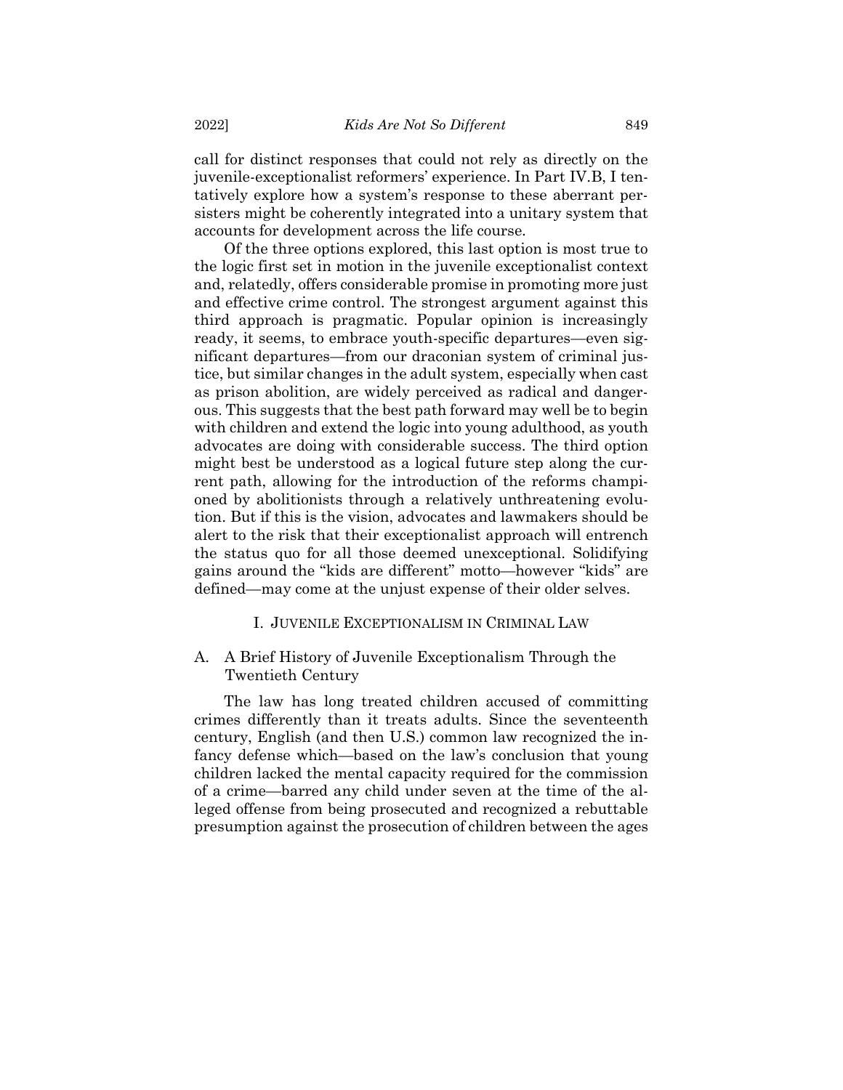call for distinct responses that could not rely as directly on the juvenile-exceptionalist reformers' experience. In Part IV.B, I tentatively explore how a system's response to these aberrant persisters might be coherently integrated into a unitary system that accounts for development across the life course.

Of the three options explored, this last option is most true to the logic first set in motion in the juvenile exceptionalist context and, relatedly, offers considerable promise in promoting more just and effective crime control. The strongest argument against this third approach is pragmatic. Popular opinion is increasingly ready, it seems, to embrace youth-specific departures—even significant departures—from our draconian system of criminal justice, but similar changes in the adult system, especially when cast as prison abolition, are widely perceived as radical and dangerous. This suggests that the best path forward may well be to begin with children and extend the logic into young adulthood, as youth advocates are doing with considerable success. The third option might best be understood as a logical future step along the current path, allowing for the introduction of the reforms championed by abolitionists through a relatively unthreatening evolution. But if this is the vision, advocates and lawmakers should be alert to the risk that their exceptionalist approach will entrench the status quo for all those deemed unexceptional. Solidifying gains around the "kids are different" motto—however "kids" are defined—may come at the unjust expense of their older selves.

#### I. JUVENILE EXCEPTIONALISM IN CRIMINAL LAW

## A. A Brief History of Juvenile Exceptionalism Through the Twentieth Century

The law has long treated children accused of committing crimes differently than it treats adults. Since the seventeenth century, English (and then U.S.) common law recognized the infancy defense which—based on the law's conclusion that young children lacked the mental capacity required for the commission of a crime—barred any child under seven at the time of the alleged offense from being prosecuted and recognized a rebuttable presumption against the prosecution of children between the ages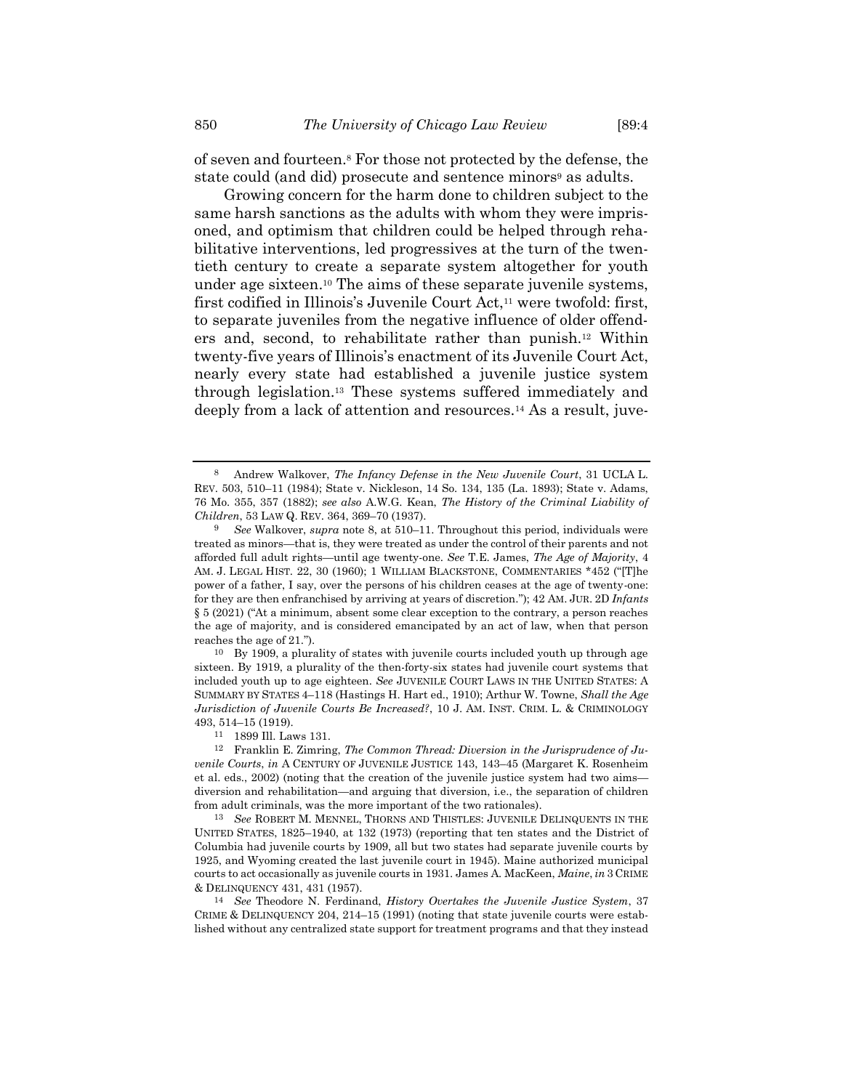<span id="page-7-0"></span>of seven and fourteen.<sup>8</sup> For those not protected by the defense, the state could (and did) prosecute and sentence minors<sup>9</sup> as adults.

<span id="page-7-1"></span>Growing concern for the harm done to children subject to the same harsh sanctions as the adults with whom they were imprisoned, and optimism that children could be helped through rehabilitative interventions, led progressives at the turn of the twentieth century to create a separate system altogether for youth under age sixteen. <sup>10</sup> The aims of these separate juvenile systems, first codified in Illinois's Juvenile Court Act,<sup>11</sup> were twofold: first, to separate juveniles from the negative influence of older offenders and, second, to rehabilitate rather than punish.<sup>12</sup> Within twenty-five years of Illinois's enactment of its Juvenile Court Act, nearly every state had established a juvenile justice system through legislation.<sup>13</sup> These systems suffered immediately and deeply from a lack of attention and resources.<sup>14</sup> As a result, juve-

10 By 1909, a plurality of states with juvenile courts included youth up through age sixteen. By 1919, a plurality of the then-forty-six states had juvenile court systems that included youth up to age eighteen. *See* JUVENILE COURT LAWS IN THE UNITED STATES: A SUMMARY BY STATES 4–118 (Hastings H. Hart ed., 1910); Arthur W. Towne, *Shall the Age Jurisdiction of Juvenile Courts Be Increased?*, 10 J. AM. INST. CRIM. L. & CRIMINOLOGY 493, 514–15 (1919).

13 *See* ROBERT M. MENNEL, THORNS AND THISTLES: JUVENILE DELINQUENTS IN THE UNITED STATES, 1825–1940, at 132 (1973) (reporting that ten states and the District of Columbia had juvenile courts by 1909, all but two states had separate juvenile courts by 1925, and Wyoming created the last juvenile court in 1945). Maine authorized municipal courts to act occasionally as juvenile courts in 1931. James A. MacKeen, *Maine*, *in* 3 CRIME & DELINQUENCY 431, 431 (1957).

14 *See* Theodore N. Ferdinand, *History Overtakes the Juvenile Justice System*, 37 CRIME & DELINQUENCY 204, 214–15 (1991) (noting that state juvenile courts were established without any centralized state support for treatment programs and that they instead

<sup>8</sup> Andrew Walkover, *The Infancy Defense in the New Juvenile Court*, 31 UCLA L. REV. 503, 510–11 (1984); State v. Nickleson, 14 So. 134, 135 (La. 1893); State v. Adams, 76 Mo. 355, 357 (1882); *see also* A.W.G. Kean, *The History of the Criminal Liability of Children*, 53 LAW Q. REV. 364, 369–70 (1937).

<sup>9</sup> *See* Walkover, *supra* note [8,](#page-7-0) at 510–11. Throughout this period, individuals were treated as minors—that is, they were treated as under the control of their parents and not afforded full adult rights—until age twenty-one. *See* T.E. James, *The Age of Majority*, 4 AM. J. LEGAL HIST. 22, 30 (1960); 1 WILLIAM BLACKSTONE, COMMENTARIES \*452 ("[T]he power of a father, I say, over the persons of his children ceases at the age of twenty-one: for they are then enfranchised by arriving at years of discretion."); 42 AM. JUR. 2D *Infants* § 5 (2021) ("At a minimum, absent some clear exception to the contrary, a person reaches the age of majority, and is considered emancipated by an act of law, when that person reaches the age of 21.").

<sup>11</sup> 1899 Ill. Laws 131.

<sup>12</sup> Franklin E. Zimring, *The Common Thread: Diversion in the Jurisprudence of Juvenile Courts*, *in* A CENTURY OF JUVENILE JUSTICE 143, 143–45 (Margaret K. Rosenheim et al. eds., 2002) (noting that the creation of the juvenile justice system had two aims diversion and rehabilitation—and arguing that diversion, i.e., the separation of children from adult criminals, was the more important of the two rationales).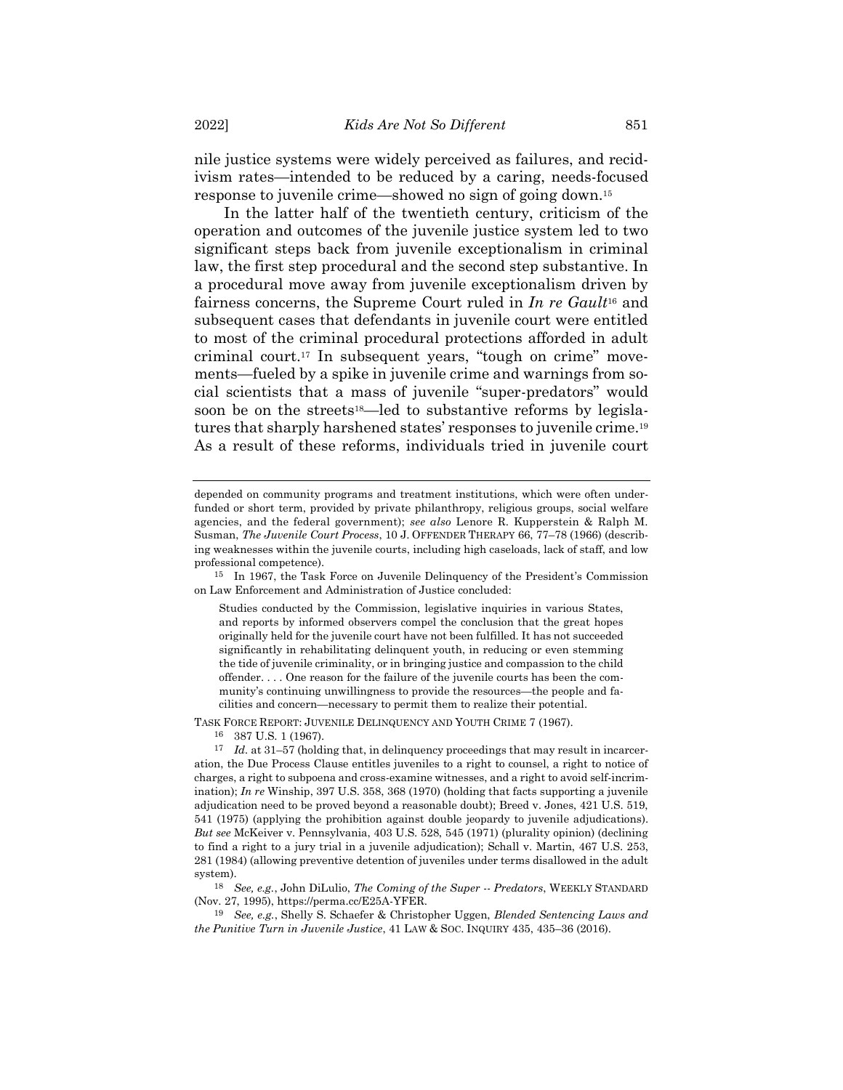nile justice systems were widely perceived as failures, and recidivism rates—intended to be reduced by a caring, needs-focused response to juvenile crime—showed no sign of going down.<sup>15</sup>

<span id="page-8-0"></span>In the latter half of the twentieth century, criticism of the operation and outcomes of the juvenile justice system led to two significant steps back from juvenile exceptionalism in criminal law, the first step procedural and the second step substantive. In a procedural move away from juvenile exceptionalism driven by fairness concerns, the Supreme Court ruled in *In re Gault*<sup>16</sup> and subsequent cases that defendants in juvenile court were entitled to most of the criminal procedural protections afforded in adult criminal court.<sup>17</sup> In subsequent years, "tough on crime" movements—fueled by a spike in juvenile crime and warnings from social scientists that a mass of juvenile "super-predators" would soon be on the streets<sup>18</sup>—led to substantive reforms by legislatures that sharply harshened states' responses to juvenile crime.<sup>19</sup> As a result of these reforms, individuals tried in juvenile court

15 In 1967, the Task Force on Juvenile Delinquency of the President's Commission on Law Enforcement and Administration of Justice concluded:

TASK FORCE REPORT: JUVENILE DELINQUENCY AND YOUTH CRIME 7 (1967). 16 387 U.S. 1 (1967).

depended on community programs and treatment institutions, which were often underfunded or short term, provided by private philanthropy, religious groups, social welfare agencies, and the federal government); *see also* Lenore R. Kupperstein & Ralph M. Susman, *The Juvenile Court Process*, 10 J. OFFENDER THERAPY 66, 77–78 (1966) (describing weaknesses within the juvenile courts, including high caseloads, lack of staff, and low professional competence).

Studies conducted by the Commission, legislative inquiries in various States, and reports by informed observers compel the conclusion that the great hopes originally held for the juvenile court have not been fulfilled. It has not succeeded significantly in rehabilitating delinquent youth, in reducing or even stemming the tide of juvenile criminality, or in bringing justice and compassion to the child offender. . . . One reason for the failure of the juvenile courts has been the community's continuing unwillingness to provide the resources—the people and facilities and concern—necessary to permit them to realize their potential.

<sup>17</sup> *Id.* at 31–57 (holding that, in delinquency proceedings that may result in incarceration, the Due Process Clause entitles juveniles to a right to counsel, a right to notice of charges, a right to subpoena and cross-examine witnesses, and a right to avoid self-incrimination); *In re* Winship, 397 U.S. 358, 368 (1970) (holding that facts supporting a juvenile adjudication need to be proved beyond a reasonable doubt); Breed v. Jones, 421 U.S. 519, 541 (1975) (applying the prohibition against double jeopardy to juvenile adjudications). *But see* McKeiver v. Pennsylvania, 403 U.S. 528, 545 (1971) (plurality opinion) (declining to find a right to a jury trial in a juvenile adjudication); Schall v. Martin, 467 U.S. 253, 281 (1984) (allowing preventive detention of juveniles under terms disallowed in the adult system).

<sup>18</sup> *See, e.g.*, John DiLulio, *The Coming of the Super -- Predators*, WEEKLY STANDARD (Nov. 27, 1995), https://perma.cc/E25A-YFER.

<sup>19</sup> *See, e.g.*, Shelly S. Schaefer & Christopher Uggen, *Blended Sentencing Laws and the Punitive Turn in Juvenile Justice*, 41 LAW & SOC. INQUIRY 435, 435–36 (2016).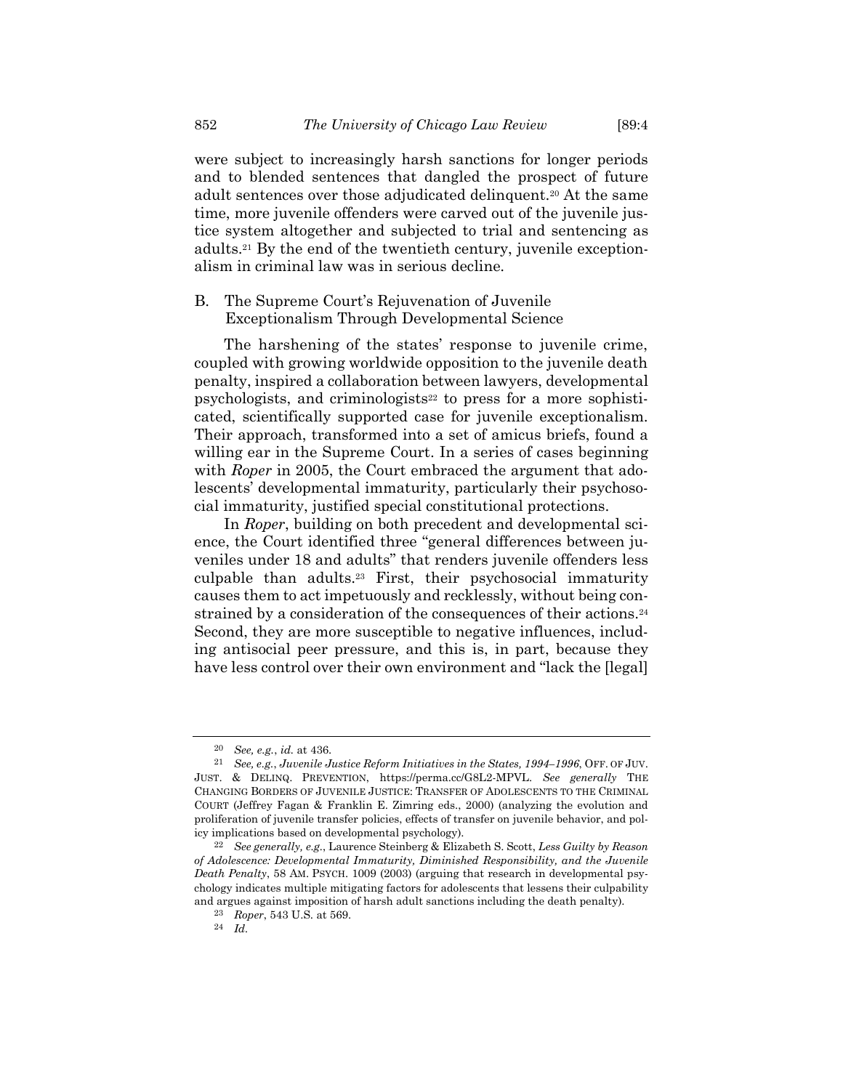were subject to increasingly harsh sanctions for longer periods and to blended sentences that dangled the prospect of future adult sentences over those adjudicated delinquent.<sup>20</sup> At the same time, more juvenile offenders were carved out of the juvenile justice system altogether and subjected to trial and sentencing as adults.<sup>21</sup> By the end of the twentieth century, juvenile exceptionalism in criminal law was in serious decline.

## B. The Supreme Court's Rejuvenation of Juvenile Exceptionalism Through Developmental Science

<span id="page-9-0"></span>The harshening of the states' response to juvenile crime, coupled with growing worldwide opposition to the juvenile death penalty, inspired a collaboration between lawyers, developmental psychologists, and criminologists<sup>22</sup> to press for a more sophisticated, scientifically supported case for juvenile exceptionalism. Their approach, transformed into a set of amicus briefs, found a willing ear in the Supreme Court. In a series of cases beginning with *Roper* in 2005, the Court embraced the argument that adolescents' developmental immaturity, particularly their psychosocial immaturity, justified special constitutional protections.

In *Roper*, building on both precedent and developmental science, the Court identified three "general differences between juveniles under 18 and adults" that renders juvenile offenders less culpable than adults.<sup>23</sup> First, their psychosocial immaturity causes them to act impetuously and recklessly, without being constrained by a consideration of the consequences of their actions.<sup>24</sup> Second, they are more susceptible to negative influences, including antisocial peer pressure, and this is, in part, because they have less control over their own environment and "lack the [legal]

<sup>20</sup> *See, e.g.*, *id.* at 436.

<sup>21</sup> *See, e.g.*, *Juvenile Justice Reform Initiatives in the States, 1994–1996*, OFF. OF JUV. JUST. & DELINQ. PREVENTION, https://perma.cc/G8L2-MPVL. *See generally* THE CHANGING BORDERS OF JUVENILE JUSTICE: TRANSFER OF ADOLESCENTS TO THE CRIMINAL COURT (Jeffrey Fagan & Franklin E. Zimring eds., 2000) (analyzing the evolution and proliferation of juvenile transfer policies, effects of transfer on juvenile behavior, and policy implications based on developmental psychology).

<sup>22</sup> *See generally, e.g.*, Laurence Steinberg & Elizabeth S. Scott, *Less Guilty by Reason of Adolescence: Developmental Immaturity, Diminished Responsibility, and the Juvenile Death Penalty*, 58 AM. PSYCH. 1009 (2003) (arguing that research in developmental psychology indicates multiple mitigating factors for adolescents that lessens their culpability and argues against imposition of harsh adult sanctions including the death penalty).

<sup>23</sup> *Roper*, 543 U.S. at 569.

<sup>24</sup> *Id.*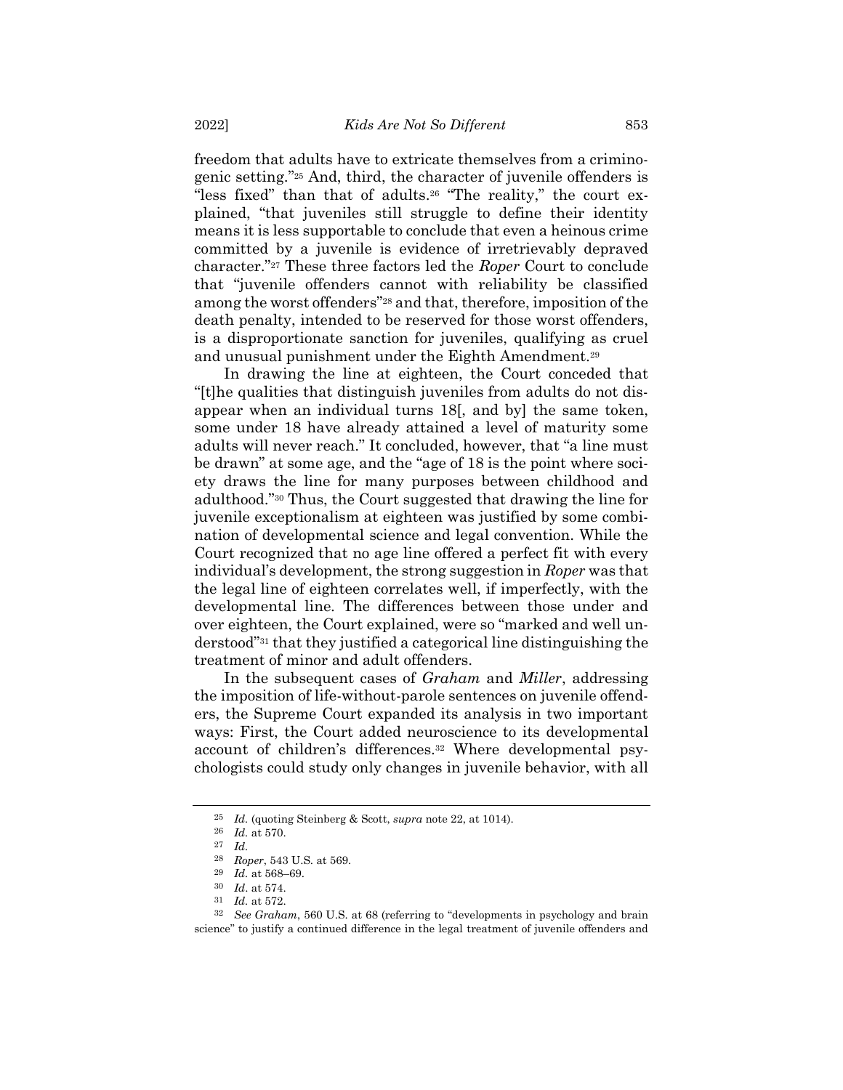freedom that adults have to extricate themselves from a criminogenic setting."<sup>25</sup> And, third, the character of juvenile offenders is "less fixed" than that of adults.<sup>26</sup> "The reality," the court explained, "that juveniles still struggle to define their identity means it is less supportable to conclude that even a heinous crime committed by a juvenile is evidence of irretrievably depraved character."<sup>27</sup> These three factors led the *Roper* Court to conclude that "juvenile offenders cannot with reliability be classified among the worst offenders"<sup>28</sup> and that, therefore, imposition of the death penalty, intended to be reserved for those worst offenders, is a disproportionate sanction for juveniles, qualifying as cruel and unusual punishment under the Eighth Amendment.<sup>29</sup>

In drawing the line at eighteen, the Court conceded that "[t]he qualities that distinguish juveniles from adults do not disappear when an individual turns 18[, and by] the same token, some under 18 have already attained a level of maturity some adults will never reach." It concluded, however, that "a line must be drawn" at some age, and the "age of 18 is the point where society draws the line for many purposes between childhood and adulthood."<sup>30</sup> Thus, the Court suggested that drawing the line for juvenile exceptionalism at eighteen was justified by some combination of developmental science and legal convention. While the Court recognized that no age line offered a perfect fit with every individual's development, the strong suggestion in *Roper* was that the legal line of eighteen correlates well, if imperfectly, with the developmental line. The differences between those under and over eighteen, the Court explained, were so "marked and well understood"<sup>31</sup> that they justified a categorical line distinguishing the treatment of minor and adult offenders.

In the subsequent cases of *Graham* and *Miller*, addressing the imposition of life-without-parole sentences on juvenile offenders, the Supreme Court expanded its analysis in two important ways: First, the Court added neuroscience to its developmental account of children's differences.<sup>32</sup> Where developmental psychologists could study only changes in juvenile behavior, with all

<sup>25</sup> *Id.* (quoting Steinberg & Scott, *supra* not[e 22,](#page-9-0) at 1014).

<sup>26</sup> *Id.* at 570.

<sup>27</sup> *Id.*

<sup>28</sup> *Roper*, 543 U.S. at 569.

<sup>29</sup> *Id.* at 568–69.

<sup>30</sup> *Id*. at 574.

<sup>31</sup> *Id.* at 572.

<sup>32</sup> *See Graham*, 560 U.S. at 68 (referring to "developments in psychology and brain science" to justify a continued difference in the legal treatment of juvenile offenders and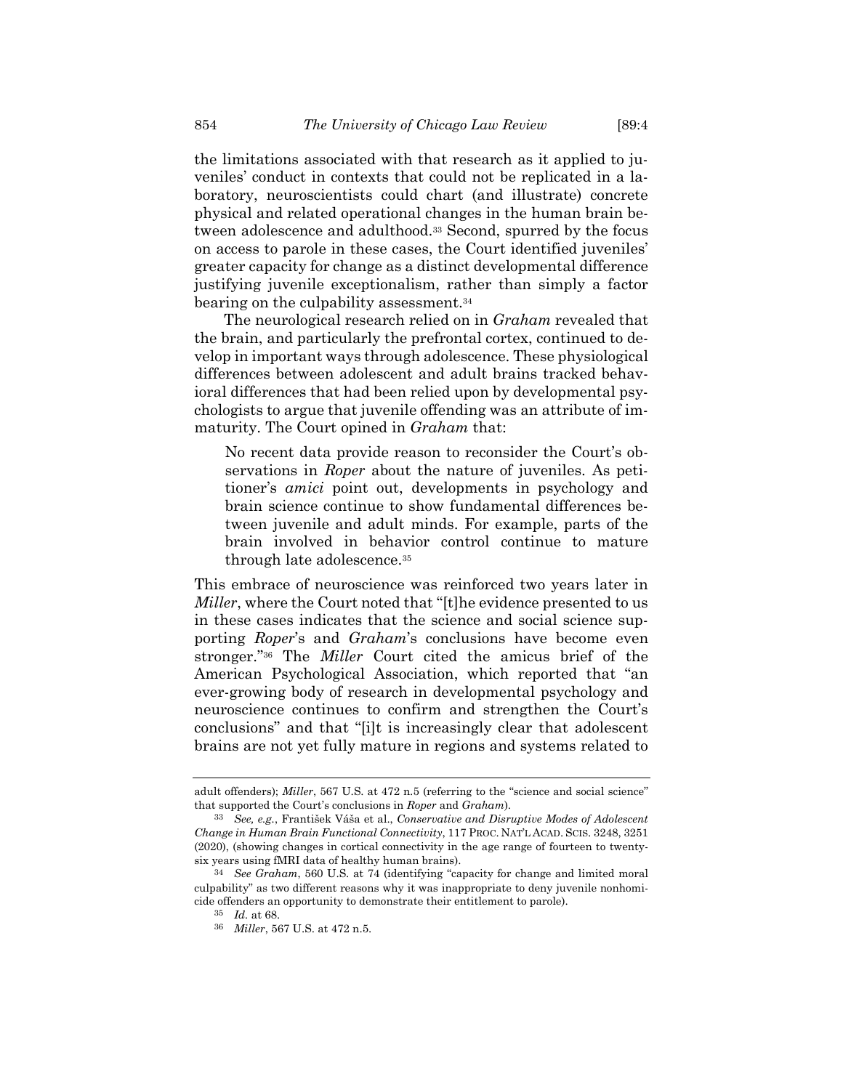the limitations associated with that research as it applied to juveniles' conduct in contexts that could not be replicated in a laboratory, neuroscientists could chart (and illustrate) concrete physical and related operational changes in the human brain between adolescence and adulthood.<sup>33</sup> Second, spurred by the focus on access to parole in these cases, the Court identified juveniles' greater capacity for change as a distinct developmental difference justifying juvenile exceptionalism, rather than simply a factor bearing on the culpability assessment.<sup>34</sup>

<span id="page-11-0"></span>The neurological research relied on in *Graham* revealed that the brain, and particularly the prefrontal cortex, continued to develop in important ways through adolescence. These physiological differences between adolescent and adult brains tracked behavioral differences that had been relied upon by developmental psychologists to argue that juvenile offending was an attribute of immaturity. The Court opined in *Graham* that:

No recent data provide reason to reconsider the Court's observations in *Roper* about the nature of juveniles. As petitioner's *amici* point out, developments in psychology and brain science continue to show fundamental differences between juvenile and adult minds. For example, parts of the brain involved in behavior control continue to mature through late adolescence.<sup>35</sup>

This embrace of neuroscience was reinforced two years later in *Miller*, where the Court noted that "[t]he evidence presented to us in these cases indicates that the science and social science supporting *Roper*'s and *Graham*'s conclusions have become even stronger."<sup>36</sup> The *Miller* Court cited the amicus brief of the American Psychological Association, which reported that "an ever-growing body of research in developmental psychology and neuroscience continues to confirm and strengthen the Court's conclusions" and that "[i]t is increasingly clear that adolescent brains are not yet fully mature in regions and systems related to

adult offenders); *Miller*, 567 U.S. at 472 n.5 (referring to the "science and social science" that supported the Court's conclusions in *Roper* and *Graham*).

<sup>33</sup> *See, e.g.*, František Váša et al., *Conservative and Disruptive Modes of Adolescent Change in Human Brain Functional Connectivity*, 117 PROC. NAT'L ACAD. SCIS. 3248, 3251 (2020), (showing changes in cortical connectivity in the age range of fourteen to twentysix years using fMRI data of healthy human brains).

<sup>34</sup> *See Graham*, 560 U.S. at 74 (identifying "capacity for change and limited moral culpability" as two different reasons why it was inappropriate to deny juvenile nonhomicide offenders an opportunity to demonstrate their entitlement to parole).

<sup>35</sup> *Id.* at 68.

<sup>36</sup> *Miller*, 567 U.S. at 472 n.5.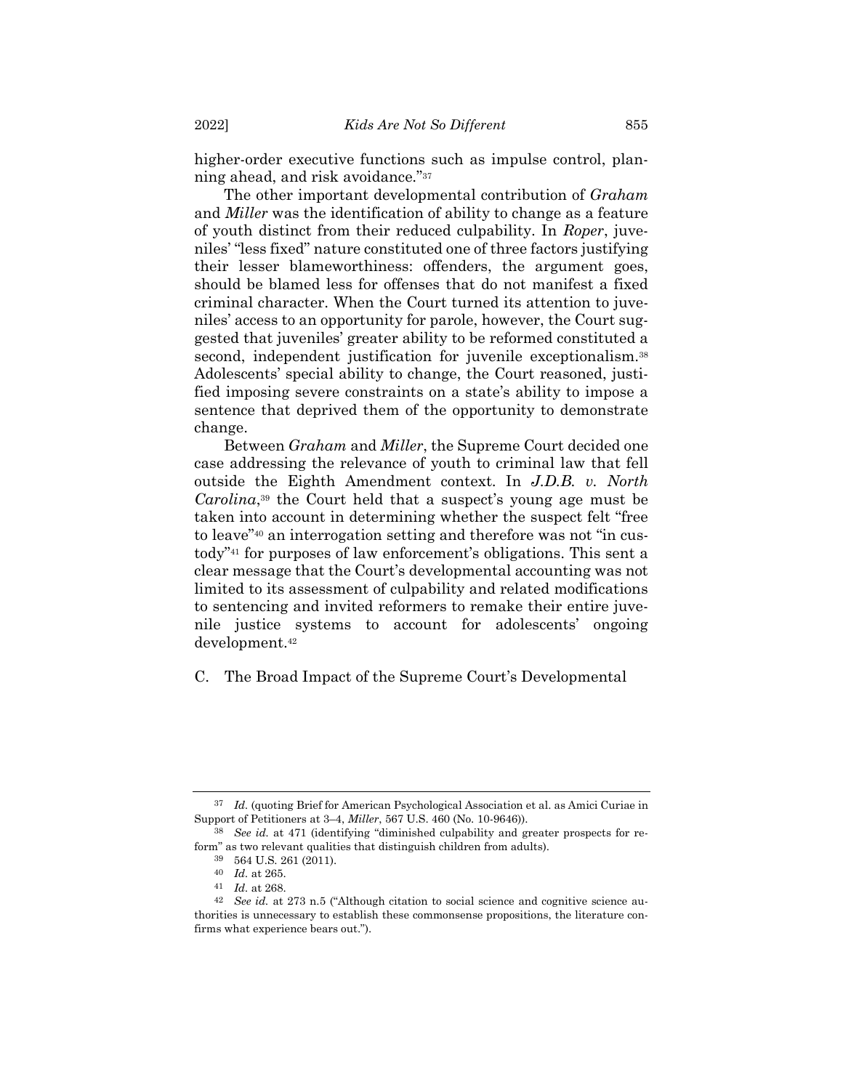higher-order executive functions such as impulse control, planning ahead, and risk avoidance."<sup>37</sup>

The other important developmental contribution of *Graham* and *Miller* was the identification of ability to change as a feature of youth distinct from their reduced culpability. In *Roper*, juveniles' "less fixed" nature constituted one of three factors justifying their lesser blameworthiness: offenders, the argument goes, should be blamed less for offenses that do not manifest a fixed criminal character. When the Court turned its attention to juveniles' access to an opportunity for parole, however, the Court suggested that juveniles' greater ability to be reformed constituted a second, independent justification for juvenile exceptionalism.<sup>38</sup> Adolescents' special ability to change, the Court reasoned, justified imposing severe constraints on a state's ability to impose a sentence that deprived them of the opportunity to demonstrate change.

Between *Graham* and *Miller*, the Supreme Court decided one case addressing the relevance of youth to criminal law that fell outside the Eighth Amendment context. In *J.D.B. v. North Carolina*, <sup>39</sup> the Court held that a suspect's young age must be taken into account in determining whether the suspect felt "free to leave"<sup>40</sup> an interrogation setting and therefore was not "in custody"<sup>41</sup> for purposes of law enforcement's obligations. This sent a clear message that the Court's developmental accounting was not limited to its assessment of culpability and related modifications to sentencing and invited reformers to remake their entire juvenile justice systems to account for adolescents' ongoing development. 42

C. The Broad Impact of the Supreme Court's Developmental

<sup>37</sup> *Id.* (quoting Brief for American Psychological Association et al. as Amici Curiae in Support of Petitioners at 3–4, *Miller*, 567 U.S. 460 (No. 10-9646)).

<sup>38</sup> *See id.* at 471 (identifying "diminished culpability and greater prospects for reform" as two relevant qualities that distinguish children from adults).

<sup>39</sup> 564 U.S. 261 (2011).

<sup>40</sup> *Id.* at 265.

<sup>41</sup> *Id.* at 268.

<sup>42</sup> *See id.* at 273 n.5 ("Although citation to social science and cognitive science authorities is unnecessary to establish these commonsense propositions, the literature confirms what experience bears out.").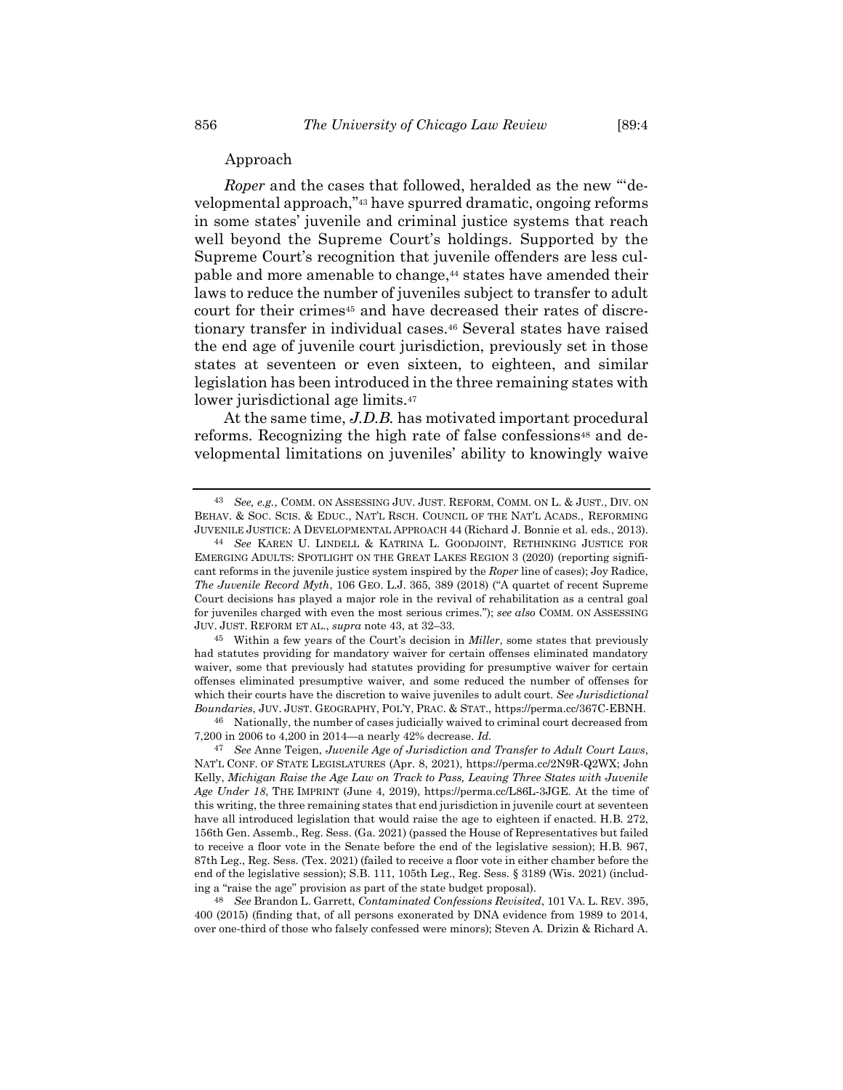<span id="page-13-1"></span><span id="page-13-0"></span>*Roper* and the cases that followed, heralded as the new "'developmental approach,"<sup>43</sup> have spurred dramatic, ongoing reforms in some states' juvenile and criminal justice systems that reach well beyond the Supreme Court's holdings. Supported by the Supreme Court's recognition that juvenile offenders are less culpable and more amenable to change, <sup>44</sup> states have amended their laws to reduce the number of juveniles subject to transfer to adult court for their crimes<sup>45</sup> and have decreased their rates of discretionary transfer in individual cases.<sup>46</sup> Several states have raised the end age of juvenile court jurisdiction, previously set in those states at seventeen or even sixteen, to eighteen, and similar legislation has been introduced in the three remaining states with lower jurisdictional age limits.<sup>47</sup>

At the same time, *J.D.B.* has motivated important procedural reforms. Recognizing the high rate of false confessions<sup>48</sup> and developmental limitations on juveniles' ability to knowingly waive

45 Within a few years of the Court's decision in *Miller*, some states that previously had statutes providing for mandatory waiver for certain offenses eliminated mandatory waiver, some that previously had statutes providing for presumptive waiver for certain offenses eliminated presumptive waiver, and some reduced the number of offenses for which their courts have the discretion to waive juveniles to adult court. *See Jurisdictional Boundaries*, JUV. JUST. GEOGRAPHY, POL'Y, PRAC. & STAT., https://perma.cc/367C-EBNH.

<sup>43</sup> *See, e.g.*, COMM. ON ASSESSING JUV. JUST. REFORM, COMM. ON L. & JUST., DIV. ON BEHAV. & SOC. SCIS. & EDUC., NAT'L RSCH. COUNCIL OF THE NAT'L ACADS., REFORMING JUVENILE JUSTICE: A DEVELOPMENTAL APPROACH 44 (Richard J. Bonnie et al. eds., 2013).

<sup>44</sup> *See* KAREN U. LINDELL & KATRINA L. GOODJOINT, RETHINKING JUSTICE FOR EMERGING ADULTS: SPOTLIGHT ON THE GREAT LAKES REGION 3 (2020) (reporting significant reforms in the juvenile justice system inspired by the *Roper* line of cases); Joy Radice, *The Juvenile Record Myth*, 106 GEO. L.J. 365, 389 (2018) ("A quartet of recent Supreme Court decisions has played a major role in the revival of rehabilitation as a central goal for juveniles charged with even the most serious crimes."); *see also* COMM. ON ASSESSING JUV. JUST. REFORM ET AL., *supra* note [43,](#page-13-0) at 32–33.

<sup>46</sup> Nationally, the number of cases judicially waived to criminal court decreased from 7,200 in 2006 to 4,200 in 2014—a nearly 42% decrease. *Id.*

<sup>47</sup> *See* Anne Teigen, *Juvenile Age of Jurisdiction and Transfer to Adult Court Laws*, NAT'L CONF. OF STATE LEGISLATURES (Apr. 8, 2021), https://perma.cc/2N9R-Q2WX; John Kelly, *Michigan Raise the Age Law on Track to Pass, Leaving Three States with Juvenile Age Under 18*, THE IMPRINT (June 4, 2019), https://perma.cc/L86L-3JGE. At the time of this writing, the three remaining states that end jurisdiction in juvenile court at seventeen have all introduced legislation that would raise the age to eighteen if enacted. H.B. 272, 156th Gen. Assemb., Reg. Sess. (Ga. 2021) (passed the House of Representatives but failed to receive a floor vote in the Senate before the end of the legislative session); H.B. 967, 87th Leg., Reg. Sess. (Tex. 2021) (failed to receive a floor vote in either chamber before the end of the legislative session); S.B. 111, 105th Leg., Reg. Sess. § 3189 (Wis. 2021) (including a "raise the age" provision as part of the state budget proposal).

<sup>48</sup> *See* Brandon L. Garrett, *Contaminated Confessions Revisited*, 101 VA. L. REV. 395, 400 (2015) (finding that, of all persons exonerated by DNA evidence from 1989 to 2014, over one-third of those who falsely confessed were minors); Steven A. Drizin & Richard A.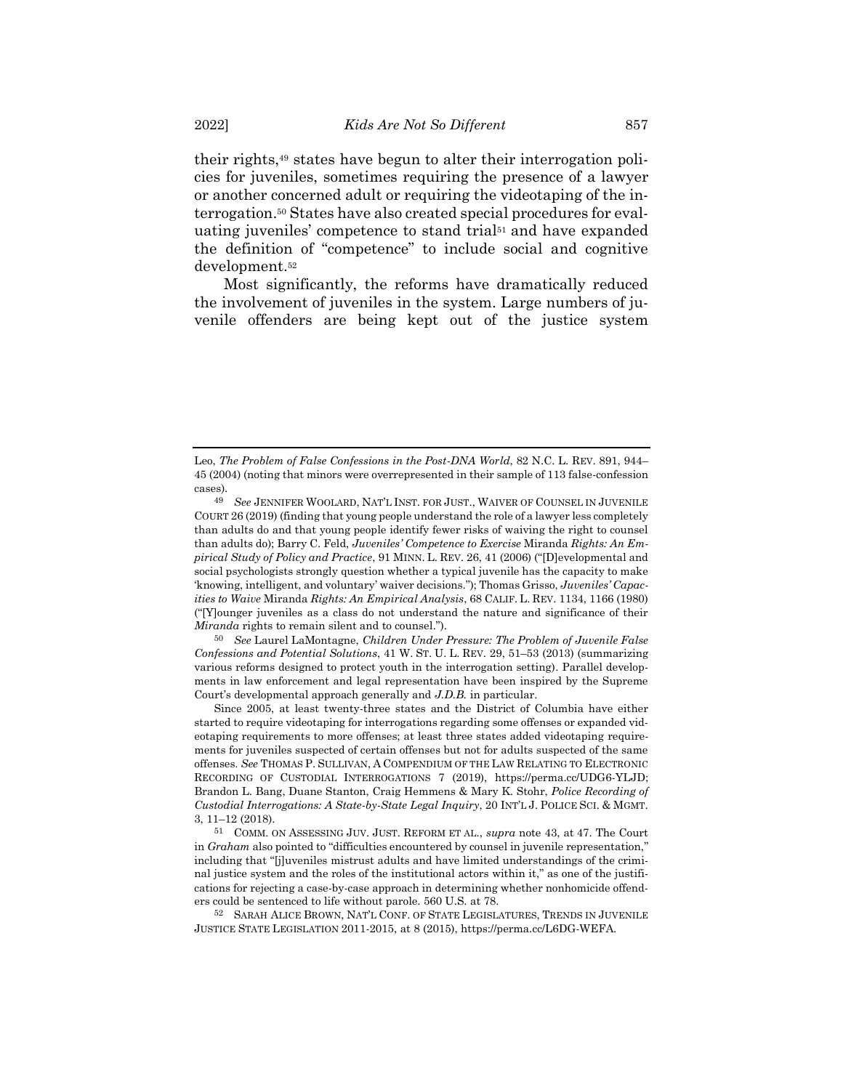their rights,<sup>49</sup> states have begun to alter their interrogation policies for juveniles, sometimes requiring the presence of a lawyer or another concerned adult or requiring the videotaping of the interrogation.<sup>50</sup> States have also created special procedures for evaluating juveniles' competence to stand trial<sup>51</sup> and have expanded the definition of "competence" to include social and cognitive development. 52

<span id="page-14-0"></span>Most significantly, the reforms have dramatically reduced the involvement of juveniles in the system. Large numbers of juvenile offenders are being kept out of the justice system

50 *See* Laurel LaMontagne, *Children Under Pressure: The Problem of Juvenile False Confessions and Potential Solutions*, 41 W. ST. U. L. REV. 29, 51–53 (2013) (summarizing various reforms designed to protect youth in the interrogation setting). Parallel developments in law enforcement and legal representation have been inspired by the Supreme Court's developmental approach generally and *J.D.B.* in particular.

Since 2005, at least twenty-three states and the District of Columbia have either started to require videotaping for interrogations regarding some offenses or expanded videotaping requirements to more offenses; at least three states added videotaping requirements for juveniles suspected of certain offenses but not for adults suspected of the same offenses. *See* THOMAS P. SULLIVAN, A COMPENDIUM OF THE LAW RELATING TO ELECTRONIC RECORDING OF CUSTODIAL INTERROGATIONS 7 (2019), https://perma.cc/UDG6-YLJD; Brandon L. Bang, Duane Stanton, Craig Hemmens & Mary K. Stohr, *Police Recording of Custodial Interrogations: A State-by-State Legal Inquiry*, 20 INT'L J. POLICE SCI. & MGMT. 3, 11–12 (2018).

51 COMM. ON ASSESSING JUV. JUST. REFORM ET AL., *supra* not[e 43,](#page-13-0) at 47. The Court in *Graham* also pointed to "difficulties encountered by counsel in juvenile representation," including that "[j]uveniles mistrust adults and have limited understandings of the criminal justice system and the roles of the institutional actors within it," as one of the justifications for rejecting a case-by-case approach in determining whether nonhomicide offenders could be sentenced to life without parole. 560 U.S. at 78.

52 SARAH ALICE BROWN, NAT'L CONF. OF STATE LEGISLATURES, TRENDS IN JUVENILE JUSTICE STATE LEGISLATION 2011-2015, at 8 (2015), https://perma.cc/L6DG-WEFA.

Leo, *The Problem of False Confessions in the Post-DNA World*, 82 N.C. L. REV. 891, 944– 45 (2004) (noting that minors were overrepresented in their sample of 113 false-confession cases).

<sup>49</sup> *See* JENNIFER WOOLARD, NAT'L INST. FOR JUST., WAIVER OF COUNSEL IN JUVENILE COURT 26 (2019) (finding that young people understand the role of a lawyer less completely than adults do and that young people identify fewer risks of waiving the right to counsel than adults do); Barry C. Feld, *Juveniles' Competence to Exercise* Miranda *Rights: An Empirical Study of Policy and Practice*, 91 MINN. L. REV. 26, 41 (2006) ("[D]evelopmental and social psychologists strongly question whether a typical juvenile has the capacity to make 'knowing, intelligent, and voluntary' waiver decisions."); Thomas Grisso, *Juveniles' Capacities to Waive* Miranda *Rights: An Empirical Analysis*, 68 CALIF. L. REV. 1134, 1166 (1980) ("[Y]ounger juveniles as a class do not understand the nature and significance of their *Miranda* rights to remain silent and to counsel.").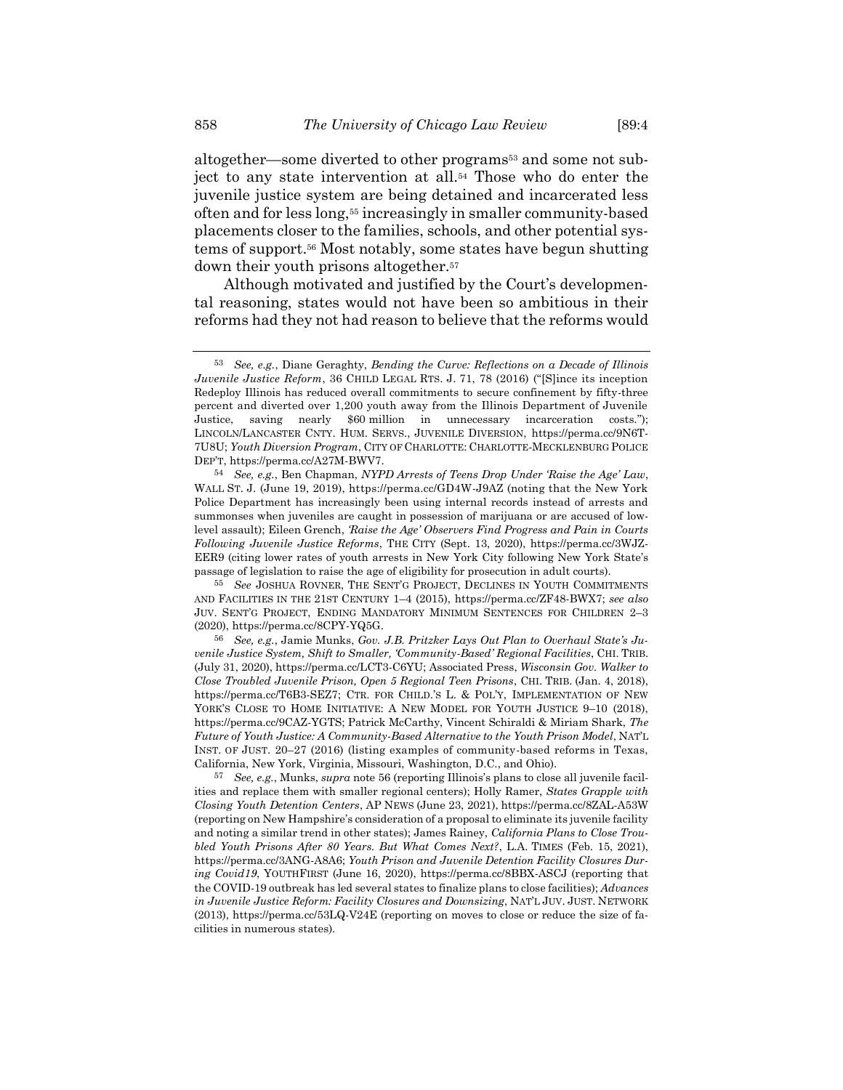altogether—some diverted to other programs<sup>53</sup> and some not subject to any state intervention at all.<sup>54</sup> Those who do enter the juvenile justice system are being detained and incarcerated less often and for less long,<sup>55</sup> increasingly in smaller community-based placements closer to the families, schools, and other potential systems of support.<sup>56</sup> Most notably, some states have begun shutting down their youth prisons altogether.<sup>57</sup>

<span id="page-15-0"></span>Although motivated and justified by the Court's developmental reasoning, states would not have been so ambitious in their reforms had they not had reason to believe that the reforms would

<sup>53</sup> *See, e.g.*, Diane Geraghty, *Bending the Curve: Reflections on a Decade of Illinois Juvenile Justice Reform*, 36 CHILD LEGAL RTS. J. 71, 78 (2016) ("[S]ince its inception Redeploy Illinois has reduced overall commitments to secure confinement by fifty-three percent and diverted over 1,200 youth away from the Illinois Department of Juvenile Justice, saving nearly \$60 million in unnecessary incarceration costs."); LINCOLN/LANCASTER CNTY. HUM. SERVS., JUVENILE DIVERSION, https://perma.cc/9N6T-7U8U; *Youth Diversion Program*, CITY OF CHARLOTTE: CHARLOTTE-MECKLENBURG POLICE DEP'T, https://perma.cc/A27M-BWV7.

<sup>54</sup> *See, e.g.*, Ben Chapman, *NYPD Arrests of Teens Drop Under 'Raise the Age' Law*, WALL ST. J. (June 19, 2019), https://perma.cc/GD4W-J9AZ (noting that the New York Police Department has increasingly been using internal records instead of arrests and summonses when juveniles are caught in possession of marijuana or are accused of lowlevel assault); Eileen Grench, *'Raise the Age' Observers Find Progress and Pain in Courts Following Juvenile Justice Reforms*, THE CITY (Sept. 13, 2020), https://perma.cc/3WJZ-EER9 (citing lower rates of youth arrests in New York City following New York State's passage of legislation to raise the age of eligibility for prosecution in adult courts).

<sup>55</sup> *See* JOSHUA ROVNER, THE SENT'G PROJECT, DECLINES IN YOUTH COMMITMENTS AND FACILITIES IN THE 21ST CENTURY 1–4 (2015), https://perma.cc/ZF48-BWX7; *see also* JUV. SENT'G PROJECT, ENDING MANDATORY MINIMUM SENTENCES FOR CHILDREN 2–3 (2020), https://perma.cc/8CPY-YQ5G.

<sup>56</sup> *See, e.g.*, Jamie Munks, *Gov. J.B. Pritzker Lays Out Plan to Overhaul State's Juvenile Justice System, Shift to Smaller, 'Community-Based' Regional Facilities*, CHI. TRIB. (July 31, 2020), https://perma.cc/LCT3-C6YU; Associated Press, *Wisconsin Gov. Walker to Close Troubled Juvenile Prison, Open 5 Regional Teen Prisons*, CHI. TRIB. (Jan. 4, 2018), https://perma.cc/T6B3-SEZ7; CTR. FOR CHILD.'S L. & POL'Y, IMPLEMENTATION OF NEW YORK'S CLOSE TO HOME INITIATIVE: A NEW MODEL FOR YOUTH JUSTICE 9-10 (2018), https://perma.cc/9CAZ-YGTS; Patrick McCarthy, Vincent Schiraldi & Miriam Shark, *The Future of Youth Justice: A Community-Based Alternative to the Youth Prison Model*, NAT'L INST. OF JUST. 20–27 (2016) (listing examples of community-based reforms in Texas, California, New York, Virginia, Missouri, Washington, D.C., and Ohio).

<sup>57</sup> *See, e.g.*, Munks, *supra* note [56](#page-15-0) (reporting Illinois's plans to close all juvenile facilities and replace them with smaller regional centers); Holly Ramer, *States Grapple with Closing Youth Detention Centers*, AP NEWS (June 23, 2021), https://perma.cc/8ZAL-A53W (reporting on New Hampshire's consideration of a proposal to eliminate its juvenile facility and noting a similar trend in other states); James Rainey, *California Plans to Close Troubled Youth Prisons After 80 Years. But What Comes Next?*, L.A. TIMES (Feb. 15, 2021), https://perma.cc/3ANG-A8A6; *Youth Prison and Juvenile Detention Facility Closures During Covid19*, YOUTHFIRST (June 16, 2020), https://perma.cc/8BBX-ASCJ (reporting that the COVID-19 outbreak has led several states to finalize plans to close facilities); *Advances in Juvenile Justice Reform: Facility Closures and Downsizing*, NAT'L JUV. JUST. NETWORK (2013), https://perma.cc/53LQ-V24E (reporting on moves to close or reduce the size of facilities in numerous states).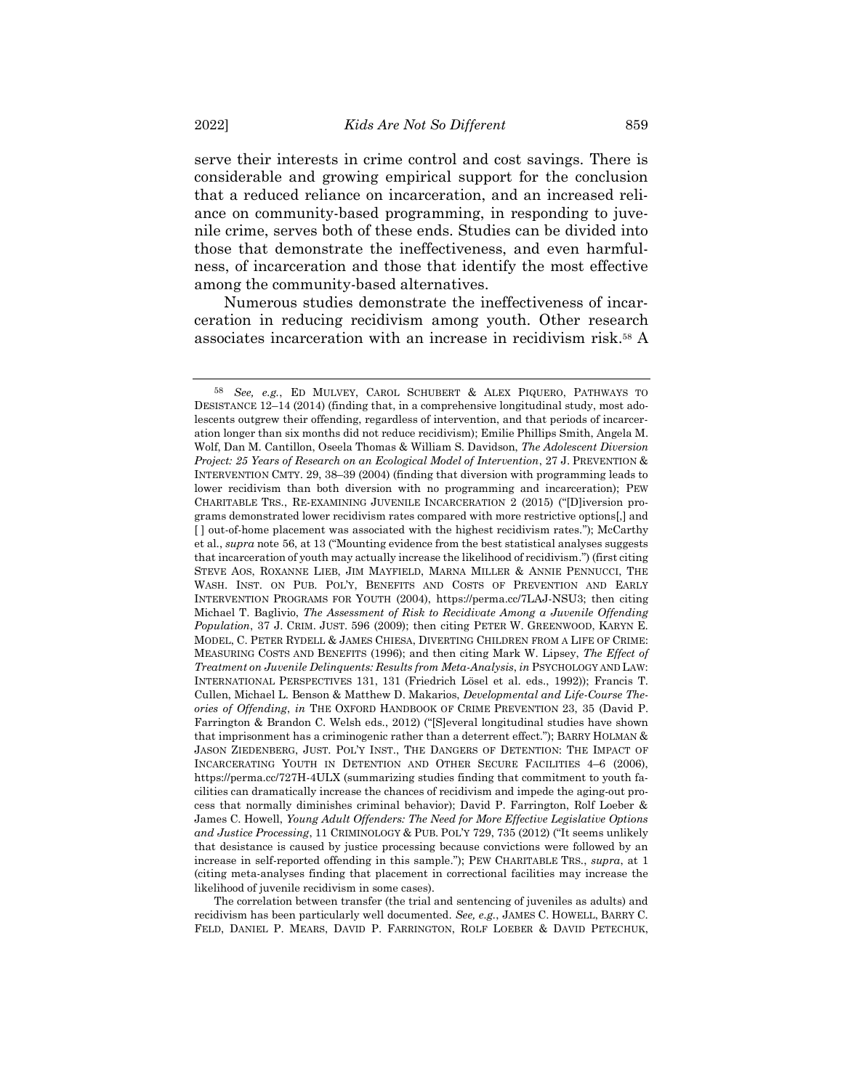serve their interests in crime control and cost savings. There is considerable and growing empirical support for the conclusion that a reduced reliance on incarceration, and an increased reliance on community-based programming, in responding to juvenile crime, serves both of these ends. Studies can be divided into those that demonstrate the ineffectiveness, and even harmfulness, of incarceration and those that identify the most effective among the community-based alternatives.

<span id="page-16-0"></span>Numerous studies demonstrate the ineffectiveness of incarceration in reducing recidivism among youth. Other research associates incarceration with an increase in recidivism risk.<sup>58</sup> A

The correlation between transfer (the trial and sentencing of juveniles as adults) and recidivism has been particularly well documented. *See, e.g.*, JAMES C. HOWELL, BARRY C. FELD, DANIEL P. MEARS, DAVID P. FARRINGTON, ROLF LOEBER & DAVID PETECHUK,

<sup>58</sup> *See, e.g.*, ED MULVEY, CAROL SCHUBERT & ALEX PIQUERO, PATHWAYS TO DESISTANCE 12–14 (2014) (finding that, in a comprehensive longitudinal study, most adolescents outgrew their offending, regardless of intervention, and that periods of incarceration longer than six months did not reduce recidivism); Emilie Phillips Smith, Angela M. Wolf, Dan M. Cantillon, Oseela Thomas & William S. Davidson, *The Adolescent Diversion Project: 25 Years of Research on an Ecological Model of Intervention*, 27 J. PREVENTION & INTERVENTION CMTY. 29, 38–39 (2004) (finding that diversion with programming leads to lower recidivism than both diversion with no programming and incarceration); PEW CHARITABLE TRS., RE-EXAMINING JUVENILE INCARCERATION 2 (2015) ("[D]iversion programs demonstrated lower recidivism rates compared with more restrictive options[,] and [ ] out-of-home placement was associated with the highest recidivism rates."); McCarthy et al., *supra* note [56,](#page-15-0) at 13 ("Mounting evidence from the best statistical analyses suggests that incarceration of youth may actually increase the likelihood of recidivism.") (first citing STEVE AOS, ROXANNE LIEB, JIM MAYFIELD, MARNA MILLER & ANNIE PENNUCCI, THE WASH. INST. ON PUB. POL'Y, BENEFITS AND COSTS OF PREVENTION AND EARLY INTERVENTION PROGRAMS FOR YOUTH (2004), https://perma.cc/7LAJ-NSU3; then citing Michael T. Baglivio, *The Assessment of Risk to Recidivate Among a Juvenile Offending Population*, 37 J. CRIM. JUST. 596 (2009); then citing PETER W. GREENWOOD, KARYN E. MODEL, C. PETER RYDELL & JAMES CHIESA, DIVERTING CHILDREN FROM A LIFE OF CRIME: MEASURING COSTS AND BENEFITS (1996); and then citing Mark W. Lipsey, *The Effect of Treatment on Juvenile Delinquents: Results from Meta-Analysis*, *in* PSYCHOLOGY AND LAW: INTERNATIONAL PERSPECTIVES 131, 131 (Friedrich Lösel et al. eds., 1992)); Francis T. Cullen, Michael L. Benson & Matthew D. Makarios, *Developmental and Life-Course Theories of Offending*, *in* THE OXFORD HANDBOOK OF CRIME PREVENTION 23, 35 (David P. Farrington & Brandon C. Welsh eds., 2012) ("[S]everal longitudinal studies have shown that imprisonment has a criminogenic rather than a deterrent effect."); BARRY HOLMAN & JASON ZIEDENBERG, JUST. POL'Y INST., THE DANGERS OF DETENTION: THE IMPACT OF INCARCERATING YOUTH IN DETENTION AND OTHER SECURE FACILITIES 4–6 (2006), https://perma.cc/727H-4ULX (summarizing studies finding that commitment to youth facilities can dramatically increase the chances of recidivism and impede the aging-out process that normally diminishes criminal behavior); David P. Farrington, Rolf Loeber & James C. Howell, *Young Adult Offenders: The Need for More Effective Legislative Options and Justice Processing*, 11 CRIMINOLOGY & PUB. POL'Y 729, 735 (2012) ("It seems unlikely that desistance is caused by justice processing because convictions were followed by an increase in self-reported offending in this sample."); PEW CHARITABLE TRS., *supra*, at 1 (citing meta-analyses finding that placement in correctional facilities may increase the likelihood of juvenile recidivism in some cases).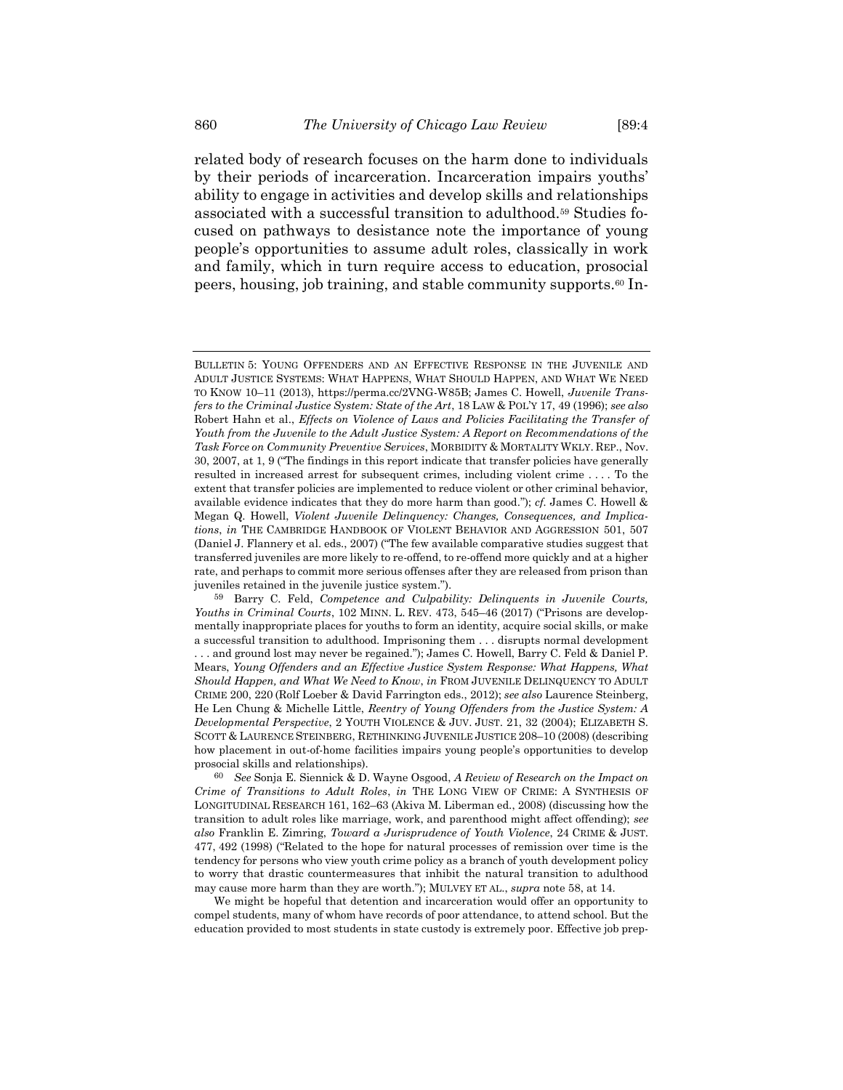<span id="page-17-0"></span>related body of research focuses on the harm done to individuals by their periods of incarceration. Incarceration impairs youths' ability to engage in activities and develop skills and relationships associated with a successful transition to adulthood.<sup>59</sup> Studies focused on pathways to desistance note the importance of young people's opportunities to assume adult roles, classically in work and family, which in turn require access to education, prosocial peers, housing, job training, and stable community supports.<sup>60</sup> In-

BULLETIN 5: YOUNG OFFENDERS AND AN EFFECTIVE RESPONSE IN THE JUVENILE AND ADULT JUSTICE SYSTEMS: WHAT HAPPENS, WHAT SHOULD HAPPEN, AND WHAT WE NEED TO KNOW 10–11 (2013), https://perma.cc/2VNG-W85B; James C. Howell, *Juvenile Transfers to the Criminal Justice System: State of the Art*, 18 LAW & POL'Y 17, 49 (1996); *see also* Robert Hahn et al., *Effects on Violence of Laws and Policies Facilitating the Transfer of Youth from the Juvenile to the Adult Justice System: A Report on Recommendations of the Task Force on Community Preventive Services*, MORBIDITY & MORTALITY WKLY. REP., Nov. 30, 2007, at 1, 9 ("The findings in this report indicate that transfer policies have generally resulted in increased arrest for subsequent crimes, including violent crime . . . . To the extent that transfer policies are implemented to reduce violent or other criminal behavior, available evidence indicates that they do more harm than good."); *cf.* James C. Howell & Megan Q. Howell, *Violent Juvenile Delinquency: Changes, Consequences, and Implications*, *in* THE CAMBRIDGE HANDBOOK OF VIOLENT BEHAVIOR AND AGGRESSION 501, 507 (Daniel J. Flannery et al. eds., 2007) ("The few available comparative studies suggest that transferred juveniles are more likely to re-offend, to re-offend more quickly and at a higher rate, and perhaps to commit more serious offenses after they are released from prison than juveniles retained in the juvenile justice system.").

<sup>59</sup> Barry C. Feld, *Competence and Culpability: Delinquents in Juvenile Courts, Youths in Criminal Courts*, 102 MINN. L. REV. 473, 545–46 (2017) ("Prisons are developmentally inappropriate places for youths to form an identity, acquire social skills, or make a successful transition to adulthood. Imprisoning them . . . disrupts normal development . . . and ground lost may never be regained."); James C. Howell, Barry C. Feld & Daniel P. Mears, *Young Offenders and an Effective Justice System Response: What Happens, What Should Happen, and What We Need to Know*, *in* FROM JUVENILE DELINQUENCY TO ADULT CRIME 200, 220 (Rolf Loeber & David Farrington eds., 2012); *see also* Laurence Steinberg, He Len Chung & Michelle Little, *Reentry of Young Offenders from the Justice System: A Developmental Perspective*, 2 YOUTH VIOLENCE & JUV. JUST. 21, 32 (2004); ELIZABETH S. SCOTT & LAURENCE STEINBERG, RETHINKING JUVENILE JUSTICE 208–10 (2008) (describing how placement in out-of-home facilities impairs young people's opportunities to develop prosocial skills and relationships).

<sup>60</sup> *See* Sonja E. Siennick & D. Wayne Osgood, *A Review of Research on the Impact on Crime of Transitions to Adult Roles*, *in* THE LONG VIEW OF CRIME: A SYNTHESIS OF LONGITUDINAL RESEARCH 161, 162–63 (Akiva M. Liberman ed., 2008) (discussing how the transition to adult roles like marriage, work, and parenthood might affect offending); *see also* Franklin E. Zimring, *Toward a Jurisprudence of Youth Violence*, 24 CRIME & JUST. 477, 492 (1998) ("Related to the hope for natural processes of remission over time is the tendency for persons who view youth crime policy as a branch of youth development policy to worry that drastic countermeasures that inhibit the natural transition to adulthood may cause more harm than they are worth."); MULVEY ET AL., *supra* note [58,](#page-16-0) at 14.

We might be hopeful that detention and incarceration would offer an opportunity to compel students, many of whom have records of poor attendance, to attend school. But the education provided to most students in state custody is extremely poor. Effective job prep-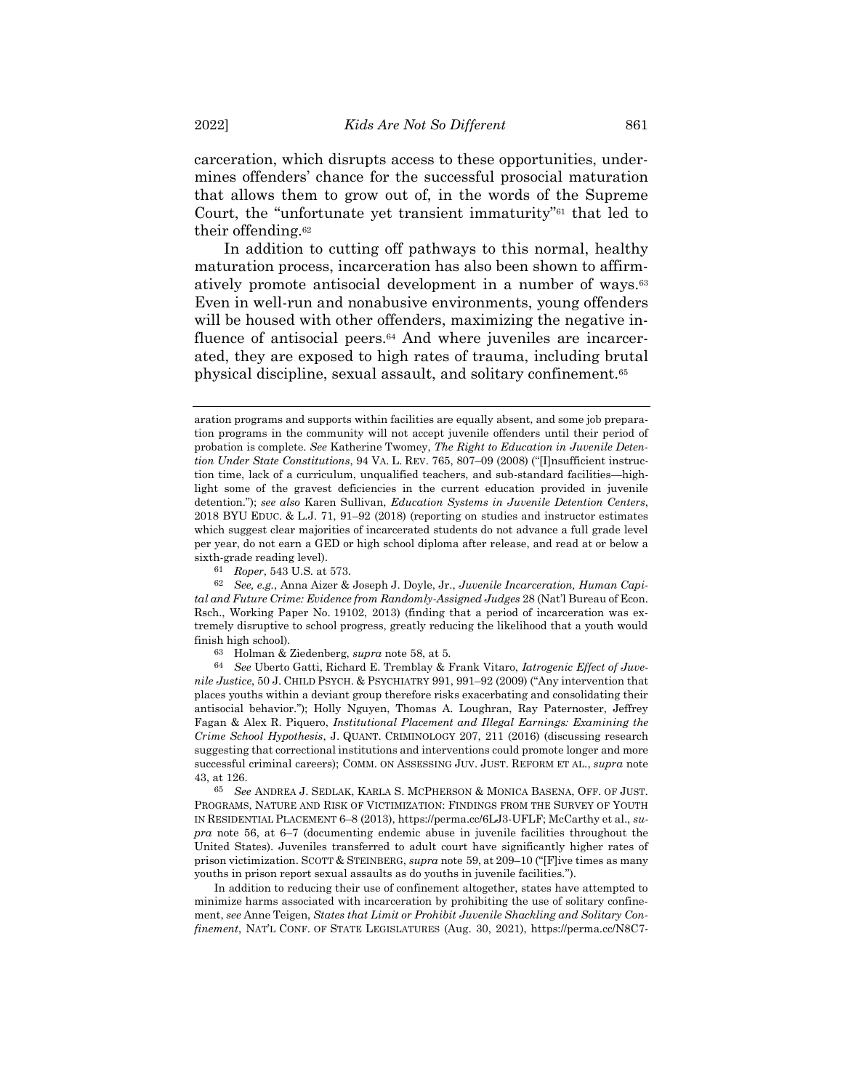carceration, which disrupts access to these opportunities, undermines offenders' chance for the successful prosocial maturation that allows them to grow out of, in the words of the Supreme Court, the "unfortunate yet transient immaturity"<sup>61</sup> that led to their offending.<sup>62</sup>

In addition to cutting off pathways to this normal, healthy maturation process, incarceration has also been shown to affirmatively promote antisocial development in a number of ways.<sup>63</sup> Even in well-run and nonabusive environments, young offenders will be housed with other offenders, maximizing the negative influence of antisocial peers.<sup>64</sup> And where juveniles are incarcerated, they are exposed to high rates of trauma, including brutal physical discipline, sexual assault, and solitary confinement.<sup>65</sup>

65 *See* ANDREA J. SEDLAK, KARLA S. MCPHERSON & MONICA BASENA, OFF. OF JUST. PROGRAMS, NATURE AND RISK OF VICTIMIZATION: FINDINGS FROM THE SURVEY OF YOUTH IN RESIDENTIAL PLACEMENT 6–8 (2013), https://perma.cc/6LJ3-UFLF; McCarthy et al., *supra* note [56,](#page-15-0) at 6–7 (documenting endemic abuse in juvenile facilities throughout the United States). Juveniles transferred to adult court have significantly higher rates of prison victimization. SCOTT & STEINBERG, *supra* note [59,](#page-17-0) at 209–10 ("[F]ive times as many youths in prison report sexual assaults as do youths in juvenile facilities.").

In addition to reducing their use of confinement altogether, states have attempted to minimize harms associated with incarceration by prohibiting the use of solitary confinement, *see* Anne Teigen, *States that Limit or Prohibit Juvenile Shackling and Solitary Confinement*, NAT'L CONF. OF STATE LEGISLATURES (Aug. 30, 2021), https://perma.cc/N8C7-

aration programs and supports within facilities are equally absent, and some job preparation programs in the community will not accept juvenile offenders until their period of probation is complete. *See* Katherine Twomey, *The Right to Education in Juvenile Detention Under State Constitutions*, 94 VA. L. REV. 765, 807–09 (2008) ("[I]nsufficient instruction time, lack of a curriculum, unqualified teachers, and sub-standard facilities—highlight some of the gravest deficiencies in the current education provided in juvenile detention."); *see also* Karen Sullivan, *Education Systems in Juvenile Detention Centers*, 2018 BYU EDUC. & L.J. 71, 91–92 (2018) (reporting on studies and instructor estimates which suggest clear majorities of incarcerated students do not advance a full grade level per year, do not earn a GED or high school diploma after release, and read at or below a sixth-grade reading level).

<sup>61</sup> *Roper*, 543 U.S. at 573.

<sup>62</sup> *See, e.g.*, Anna Aizer & Joseph J. Doyle, Jr., *Juvenile Incarceration, Human Capital and Future Crime: Evidence from Randomly-Assigned Judges* 28 (Nat'l Bureau of Econ. Rsch., Working Paper No. 19102, 2013) (finding that a period of incarceration was extremely disruptive to school progress, greatly reducing the likelihood that a youth would finish high school).

<sup>63</sup> Holman & Ziedenberg, *supra* note [58,](#page-16-0) at 5.

<sup>64</sup> *See* Uberto Gatti, Richard E. Tremblay & Frank Vitaro, *Iatrogenic Effect of Juvenile Justice*, 50 J. CHILD PSYCH. & PSYCHIATRY 991, 991–92 (2009) ("Any intervention that places youths within a deviant group therefore risks exacerbating and consolidating their antisocial behavior."); Holly Nguyen, Thomas A. Loughran, Ray Paternoster, Jeffrey Fagan & Alex R. Piquero, *Institutional Placement and Illegal Earnings: Examining the Crime School Hypothesis*, J. QUANT. CRIMINOLOGY 207, 211 (2016) (discussing research suggesting that correctional institutions and interventions could promote longer and more successful criminal careers); COMM. ON ASSESSING JUV. JUST. REFORM ET AL., *supra* note [43,](#page-13-0) at 126.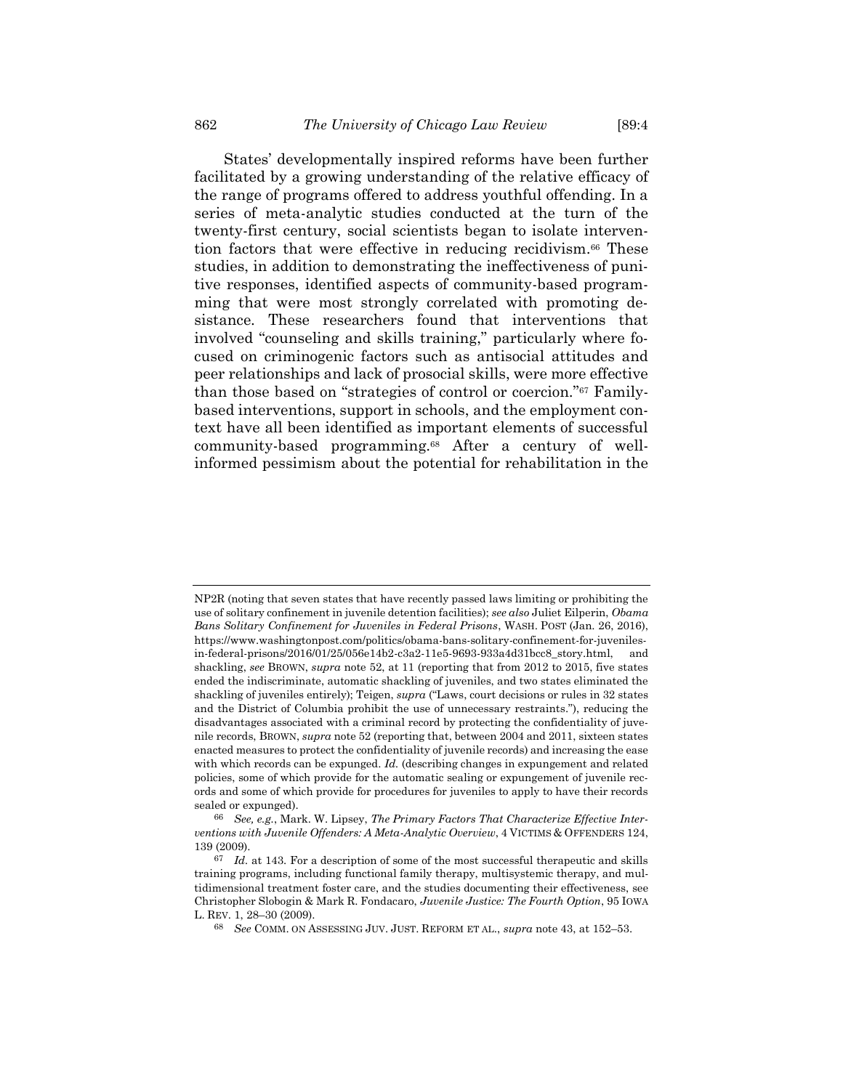<span id="page-19-0"></span>States' developmentally inspired reforms have been further facilitated by a growing understanding of the relative efficacy of the range of programs offered to address youthful offending. In a series of meta-analytic studies conducted at the turn of the twenty-first century, social scientists began to isolate intervention factors that were effective in reducing recidivism.<sup>66</sup> These studies, in addition to demonstrating the ineffectiveness of punitive responses, identified aspects of community-based programming that were most strongly correlated with promoting desistance. These researchers found that interventions that involved "counseling and skills training," particularly where focused on criminogenic factors such as antisocial attitudes and peer relationships and lack of prosocial skills, were more effective than those based on "strategies of control or coercion."<sup>67</sup> Familybased interventions, support in schools, and the employment context have all been identified as important elements of successful community-based programming.<sup>68</sup> After a century of wellinformed pessimism about the potential for rehabilitation in the

<span id="page-19-1"></span>NP2R (noting that seven states that have recently passed laws limiting or prohibiting the use of solitary confinement in juvenile detention facilities); *see also* Juliet Eilperin, *Obama Bans Solitary Confinement for Juveniles in Federal Prisons*, WASH. POST (Jan. 26, 2016), https://www.washingtonpost.com/politics/obama-bans-solitary-confinement-for-juvenilesin-federal-prisons/2016/01/25/056e14b2-c3a2-11e5-9693-933a4d31bcc8\_story.html, and shackling, *see* BROWN, *supra* not[e 52,](#page-14-0) at 11 (reporting that from 2012 to 2015, five states ended the indiscriminate, automatic shackling of juveniles, and two states eliminated the shackling of juveniles entirely); Teigen, *supra* ("Laws, court decisions or rules in 32 states and the District of Columbia prohibit the use of unnecessary restraints."), reducing the disadvantages associated with a criminal record by protecting the confidentiality of juvenile records, BROWN, *supra* not[e 52](#page-14-0) (reporting that, between 2004 and 2011, sixteen states enacted measures to protect the confidentiality of juvenile records) and increasing the ease with which records can be expunged. *Id.* (describing changes in expungement and related policies, some of which provide for the automatic sealing or expungement of juvenile records and some of which provide for procedures for juveniles to apply to have their records sealed or expunged).

<sup>66</sup> *See, e.g.*, Mark. W. Lipsey, *The Primary Factors That Characterize Effective Interventions with Juvenile Offenders: A Meta-Analytic Overview*, 4 VICTIMS & OFFENDERS 124, 139 (2009).

<sup>67</sup> *Id.* at 143. For a description of some of the most successful therapeutic and skills training programs, including functional family therapy, multisystemic therapy, and multidimensional treatment foster care, and the studies documenting their effectiveness, see Christopher Slobogin & Mark R. Fondacaro, *Juvenile Justice: The Fourth Option*, 95 IOWA L. REV. 1, 28–30 (2009).

<sup>68</sup> *See* COMM. ON ASSESSING JUV. JUST. REFORM ET AL., *supra* not[e 43,](#page-13-0) at 152–53.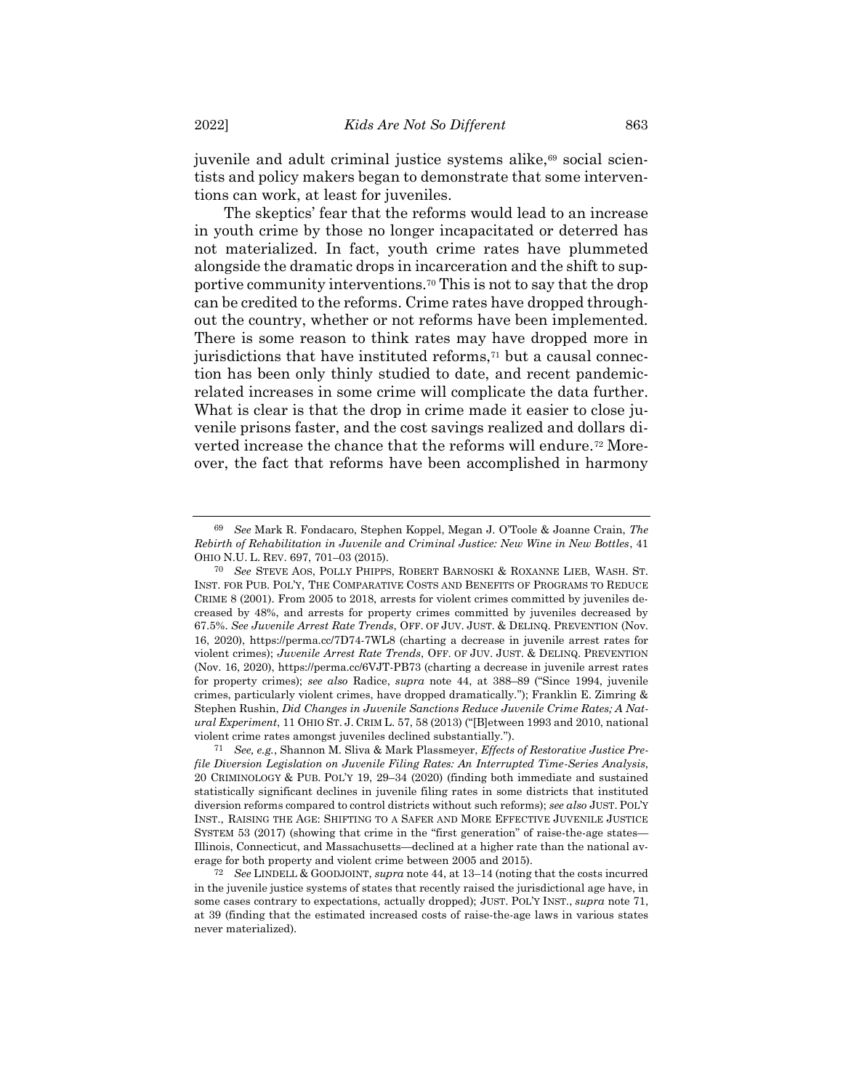<span id="page-20-1"></span>juvenile and adult criminal justice systems alike,<sup>69</sup> social scientists and policy makers began to demonstrate that some interventions can work, at least for juveniles.

<span id="page-20-2"></span><span id="page-20-0"></span>The skeptics' fear that the reforms would lead to an increase in youth crime by those no longer incapacitated or deterred has not materialized. In fact, youth crime rates have plummeted alongside the dramatic drops in incarceration and the shift to supportive community interventions.<sup>70</sup> This is not to say that the drop can be credited to the reforms. Crime rates have dropped throughout the country, whether or not reforms have been implemented. There is some reason to think rates may have dropped more in jurisdictions that have instituted reforms,<sup>71</sup> but a causal connection has been only thinly studied to date, and recent pandemicrelated increases in some crime will complicate the data further. What is clear is that the drop in crime made it easier to close juvenile prisons faster, and the cost savings realized and dollars diverted increase the chance that the reforms will endure.<sup>72</sup> Moreover, the fact that reforms have been accomplished in harmony

<sup>69</sup> *See* Mark R. Fondacaro, Stephen Koppel, Megan J. O'Toole & Joanne Crain, *The Rebirth of Rehabilitation in Juvenile and Criminal Justice: New Wine in New Bottles*, 41 OHIO N.U. L. REV. 697, 701–03 (2015).

<sup>70</sup> *See* STEVE AOS, POLLY PHIPPS, ROBERT BARNOSKI & ROXANNE LIEB, WASH. ST. INST. FOR PUB. POL'Y, THE COMPARATIVE COSTS AND BENEFITS OF PROGRAMS TO REDUCE CRIME 8 (2001). From 2005 to 2018, arrests for violent crimes committed by juveniles decreased by 48%, and arrests for property crimes committed by juveniles decreased by 67.5%. *See Juvenile Arrest Rate Trends*, OFF. OF JUV. JUST. & DELINQ. PREVENTION (Nov. 16, 2020), https://perma.cc/7D74-7WL8 (charting a decrease in juvenile arrest rates for violent crimes); *Juvenile Arrest Rate Trends*, OFF. OF JUV. JUST. & DELINQ. PREVENTION (Nov. 16, 2020), https://perma.cc/6VJT-PB73 (charting a decrease in juvenile arrest rates for property crimes); *see also* Radice, *supra* note [44,](#page-13-1) at 388–89 ("Since 1994, juvenile crimes, particularly violent crimes, have dropped dramatically."); Franklin E. Zimring & Stephen Rushin, *Did Changes in Juvenile Sanctions Reduce Juvenile Crime Rates; A Natural Experiment*, 11 OHIO ST. J. CRIM L. 57, 58 (2013) ("[B]etween 1993 and 2010, national violent crime rates amongst juveniles declined substantially.").

<sup>71</sup> *See, e.g.*, Shannon M. Sliva & Mark Plassmeyer, *Effects of Restorative Justice Prefile Diversion Legislation on Juvenile Filing Rates: An Interrupted Time-Series Analysis*, 20 CRIMINOLOGY & PUB. POL'Y 19, 29–34 (2020) (finding both immediate and sustained statistically significant declines in juvenile filing rates in some districts that instituted diversion reforms compared to control districts without such reforms); *see also* JUST. POL'Y INST., RAISING THE AGE: SHIFTING TO A SAFER AND MORE EFFECTIVE JUVENILE JUSTICE SYSTEM 53 (2017) (showing that crime in the "first generation" of raise-the-age states— Illinois, Connecticut, and Massachusetts—declined at a higher rate than the national average for both property and violent crime between 2005 and 2015).

<sup>72</sup> *See* LINDELL & GOODJOINT, *supra* not[e 44,](#page-13-1) at 13–14 (noting that the costs incurred in the juvenile justice systems of states that recently raised the jurisdictional age have, in some cases contrary to expectations, actually dropped); JUST. POL'Y INST., *supra* note [71,](#page-20-0)  at 39 (finding that the estimated increased costs of raise-the-age laws in various states never materialized).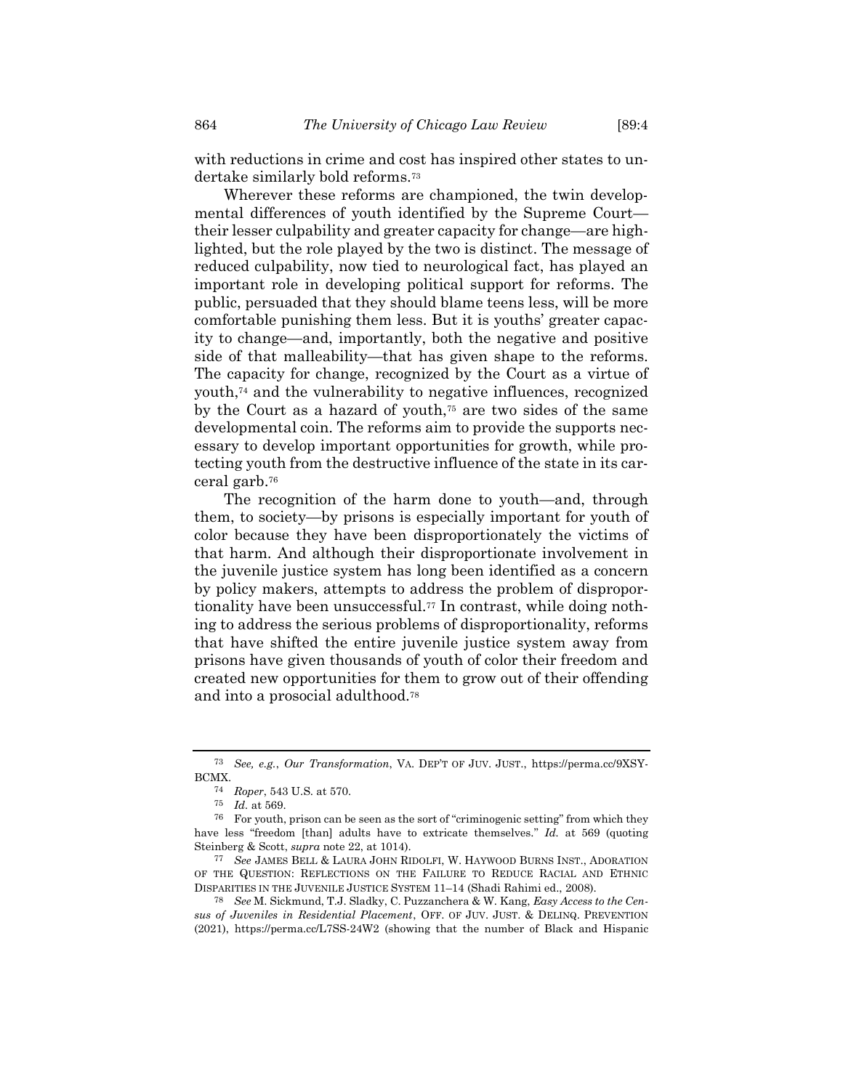with reductions in crime and cost has inspired other states to undertake similarly bold reforms.<sup>73</sup>

Wherever these reforms are championed, the twin developmental differences of youth identified by the Supreme Court their lesser culpability and greater capacity for change—are highlighted, but the role played by the two is distinct. The message of reduced culpability, now tied to neurological fact, has played an important role in developing political support for reforms. The public, persuaded that they should blame teens less, will be more comfortable punishing them less. But it is youths' greater capacity to change—and, importantly, both the negative and positive side of that malleability—that has given shape to the reforms. The capacity for change, recognized by the Court as a virtue of youth,<sup>74</sup> and the vulnerability to negative influences, recognized by the Court as a hazard of youth,<sup>75</sup> are two sides of the same developmental coin. The reforms aim to provide the supports necessary to develop important opportunities for growth, while protecting youth from the destructive influence of the state in its carceral garb.<sup>76</sup>

The recognition of the harm done to youth—and, through them, to society—by prisons is especially important for youth of color because they have been disproportionately the victims of that harm. And although their disproportionate involvement in the juvenile justice system has long been identified as a concern by policy makers, attempts to address the problem of disproportionality have been unsuccessful.<sup>77</sup> In contrast, while doing nothing to address the serious problems of disproportionality, reforms that have shifted the entire juvenile justice system away from prisons have given thousands of youth of color their freedom and created new opportunities for them to grow out of their offending and into a prosocial adulthood.<sup>78</sup>

<sup>73</sup> *See, e.g.*, *Our Transformation*, VA. DEP'T OF JUV. JUST., https://perma.cc/9XSY-BCMX.

<sup>74</sup> *Roper*, 543 U.S. at 570.

<sup>75</sup> *Id.* at 569.

<sup>76</sup> For youth, prison can be seen as the sort of "criminogenic setting" from which they have less "freedom [than] adults have to extricate themselves." *Id.* at 569 (quoting Steinberg & Scott, *supra* note [22,](#page-9-0) at 1014).

<sup>77</sup> *See* JAMES BELL & LAURA JOHN RIDOLFI, W. HAYWOOD BURNS INST., ADORATION OF THE QUESTION: REFLECTIONS ON THE FAILURE TO REDUCE RACIAL AND ETHNIC DISPARITIES IN THE JUVENILE JUSTICE SYSTEM 11–14 (Shadi Rahimi ed., 2008).

<sup>78</sup> *See* M. Sickmund, T.J. Sladky, C. Puzzanchera & W. Kang, *Easy Access to the Census of Juveniles in Residential Placement*, OFF. OF JUV. JUST. & DELINQ. PREVENTION (2021), https://perma.cc/L7SS-24W2 (showing that the number of Black and Hispanic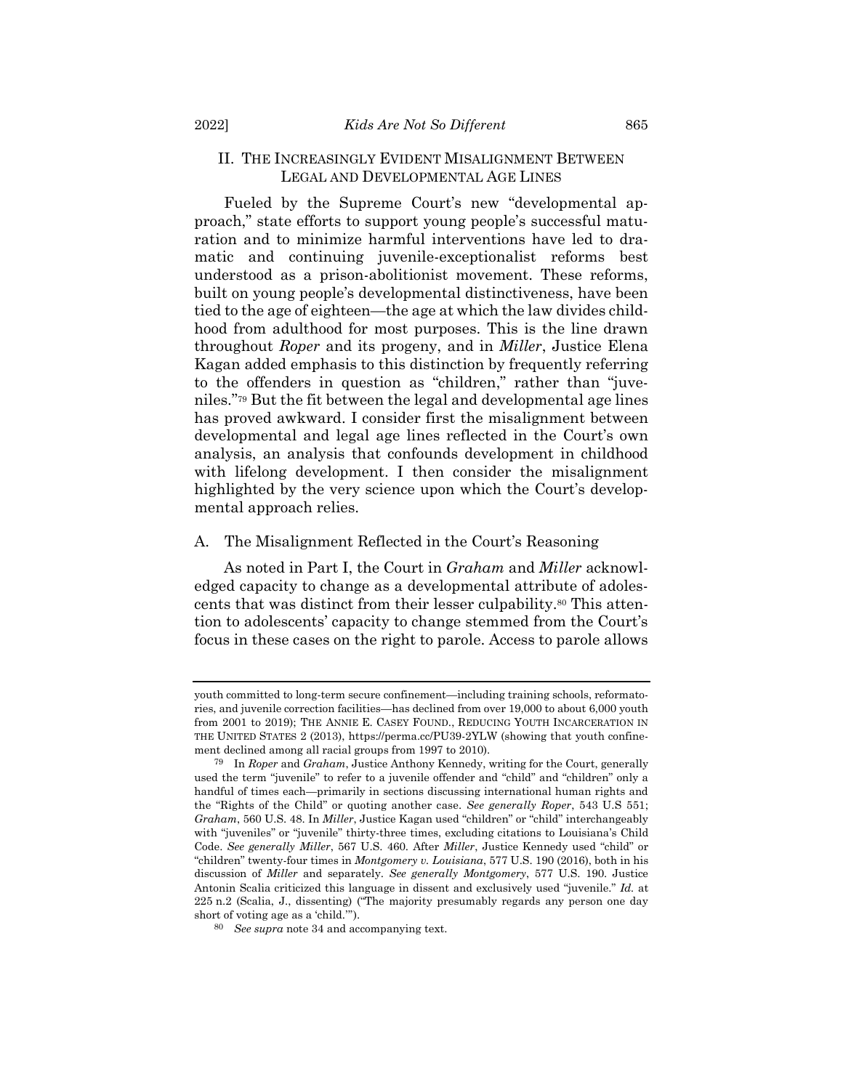#### II. THE INCREASINGLY EVIDENT MISALIGNMENT BETWEEN LEGAL AND DEVELOPMENTAL AGE LINES

Fueled by the Supreme Court's new "developmental approach," state efforts to support young people's successful maturation and to minimize harmful interventions have led to dramatic and continuing juvenile-exceptionalist reforms best understood as a prison-abolitionist movement. These reforms, built on young people's developmental distinctiveness, have been tied to the age of eighteen—the age at which the law divides childhood from adulthood for most purposes. This is the line drawn throughout *Roper* and its progeny, and in *Miller*, Justice Elena Kagan added emphasis to this distinction by frequently referring to the offenders in question as "children," rather than "juveniles."<sup>79</sup> But the fit between the legal and developmental age lines has proved awkward. I consider first the misalignment between developmental and legal age lines reflected in the Court's own analysis, an analysis that confounds development in childhood with lifelong development. I then consider the misalignment highlighted by the very science upon which the Court's developmental approach relies.

#### A. The Misalignment Reflected in the Court's Reasoning

As noted in Part I, the Court in *Graham* and *Miller* acknowledged capacity to change as a developmental attribute of adolescents that was distinct from their lesser culpability.<sup>80</sup> This attention to adolescents' capacity to change stemmed from the Court's focus in these cases on the right to parole. Access to parole allows

youth committed to long-term secure confinement—including training schools, reformatories, and juvenile correction facilities—has declined from over 19,000 to about 6,000 youth from 2001 to 2019); THE ANNIE E. CASEY FOUND., REDUCING YOUTH INCARCERATION IN THE UNITED STATES 2 (2013), https://perma.cc/PU39-2YLW (showing that youth confinement declined among all racial groups from 1997 to 2010).

<sup>79</sup> In *Roper* and *Graham*, Justice Anthony Kennedy, writing for the Court, generally used the term "juvenile" to refer to a juvenile offender and "child" and "children" only a handful of times each—primarily in sections discussing international human rights and the "Rights of the Child" or quoting another case. *See generally Roper*, 543 U.S 551; *Graham*, 560 U.S. 48. In *Miller*, Justice Kagan used "children" or "child" interchangeably with "juveniles" or "juvenile" thirty-three times, excluding citations to Louisiana's Child Code. *See generally Miller*, 567 U.S. 460. After *Miller*, Justice Kennedy used "child" or "children" twenty-four times in *Montgomery v. Louisiana*, 577 U.S. 190 (2016), both in his discussion of *Miller* and separately. *See generally Montgomery*, 577 U.S. 190. Justice Antonin Scalia criticized this language in dissent and exclusively used "juvenile." *Id.* at 225 n.2 (Scalia, J., dissenting) ("The majority presumably regards any person one day short of voting age as a 'child.'").

<sup>80</sup> *See supra* not[e 34](#page-11-0) and accompanying text.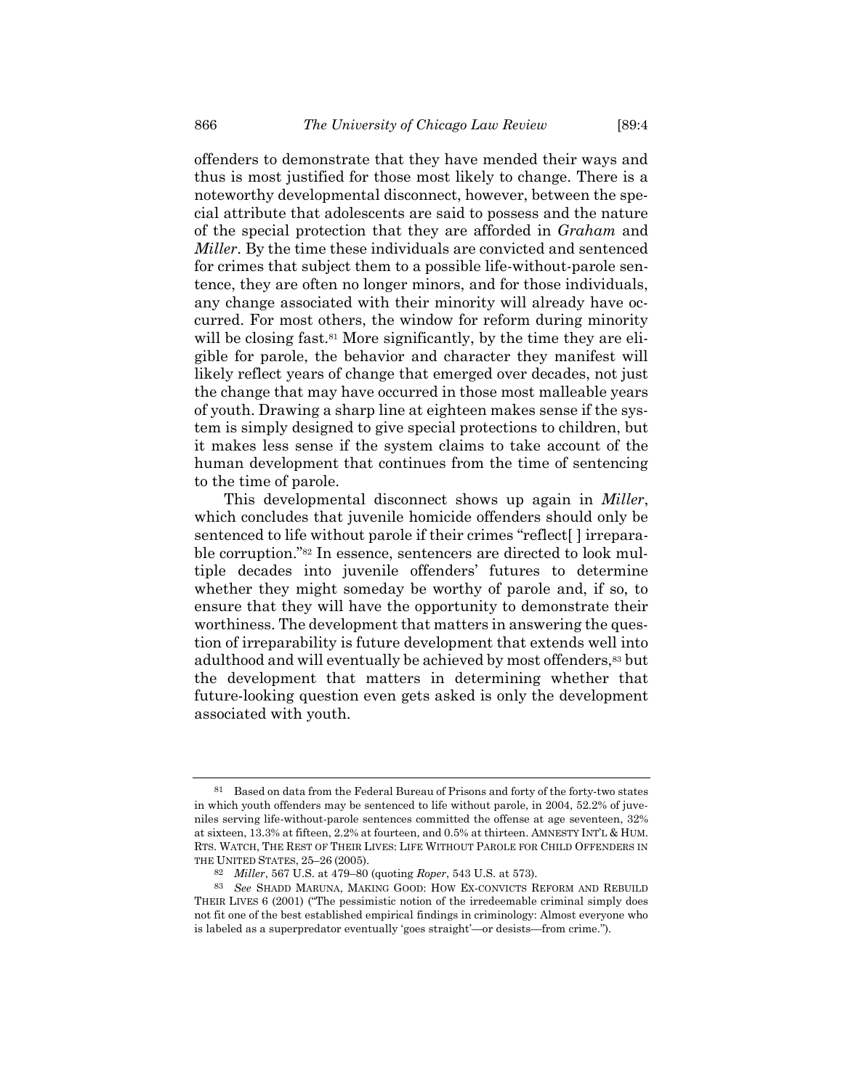offenders to demonstrate that they have mended their ways and thus is most justified for those most likely to change. There is a noteworthy developmental disconnect, however, between the special attribute that adolescents are said to possess and the nature of the special protection that they are afforded in *Graham* and *Miller*. By the time these individuals are convicted and sentenced for crimes that subject them to a possible life-without-parole sentence, they are often no longer minors, and for those individuals, any change associated with their minority will already have occurred. For most others, the window for reform during minority will be closing fast.<sup>81</sup> More significantly, by the time they are eligible for parole, the behavior and character they manifest will likely reflect years of change that emerged over decades, not just the change that may have occurred in those most malleable years of youth. Drawing a sharp line at eighteen makes sense if the system is simply designed to give special protections to children, but it makes less sense if the system claims to take account of the human development that continues from the time of sentencing to the time of parole.

This developmental disconnect shows up again in *Miller*, which concludes that juvenile homicide offenders should only be sentenced to life without parole if their crimes "reflect[ ] irreparable corruption."<sup>82</sup> In essence, sentencers are directed to look multiple decades into juvenile offenders' futures to determine whether they might someday be worthy of parole and, if so, to ensure that they will have the opportunity to demonstrate their worthiness. The development that matters in answering the question of irreparability is future development that extends well into adulthood and will eventually be achieved by most offenders,<sup>83</sup> but the development that matters in determining whether that future-looking question even gets asked is only the development associated with youth.

<sup>81</sup> Based on data from the Federal Bureau of Prisons and forty of the forty-two states in which youth offenders may be sentenced to life without parole, in 2004, 52.2% of juveniles serving life-without-parole sentences committed the offense at age seventeen, 32% at sixteen, 13.3% at fifteen, 2.2% at fourteen, and 0.5% at thirteen. AMNESTY INT'L & HUM. RTS. WATCH, THE REST OF THEIR LIVES: LIFE WITHOUT PAROLE FOR CHILD OFFENDERS IN THE UNITED STATES, 25–26 (2005).

<sup>82</sup> *Miller*, 567 U.S. at 479–80 (quoting *Roper*, 543 U.S. at 573).

<sup>83</sup> *See* SHADD MARUNA, MAKING GOOD: HOW EX-CONVICTS REFORM AND REBUILD THEIR LIVES 6 (2001) ("The pessimistic notion of the irredeemable criminal simply does not fit one of the best established empirical findings in criminology: Almost everyone who is labeled as a superpredator eventually 'goes straight'—or desists—from crime.").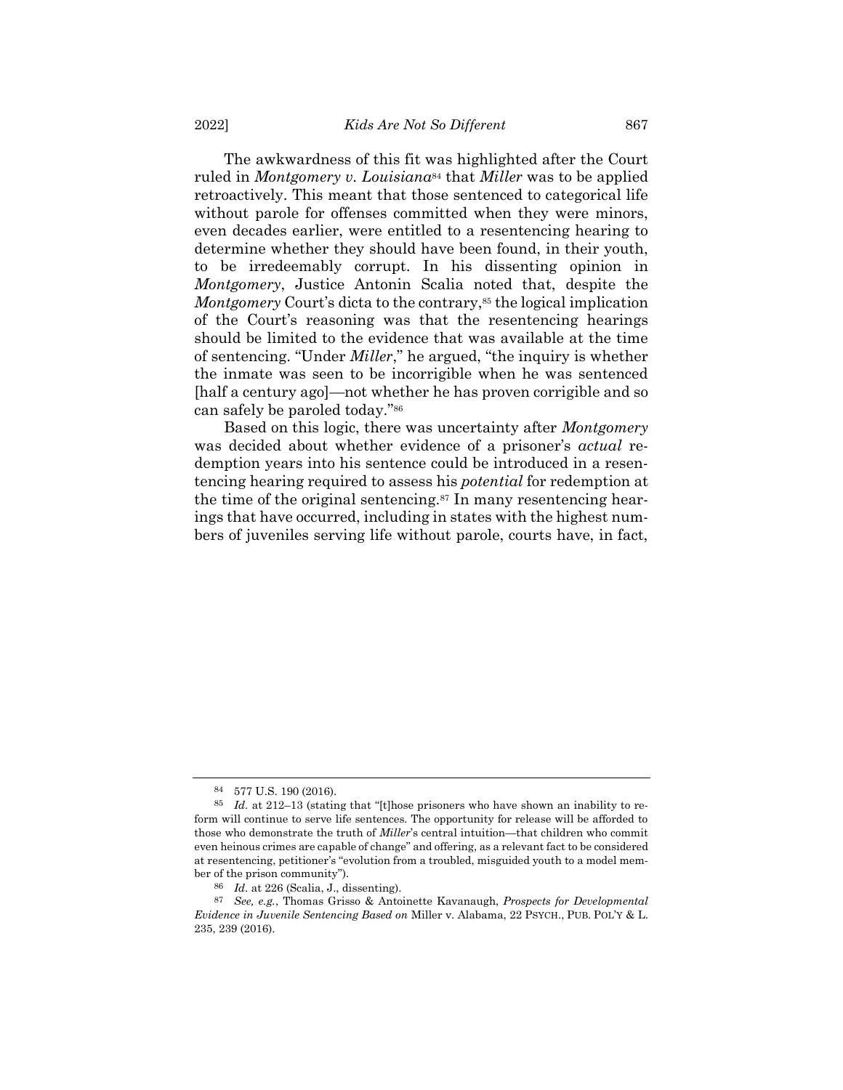The awkwardness of this fit was highlighted after the Court ruled in *Montgomery v. Louisiana*<sup>84</sup> that *Miller* was to be applied retroactively. This meant that those sentenced to categorical life without parole for offenses committed when they were minors, even decades earlier, were entitled to a resentencing hearing to determine whether they should have been found, in their youth, to be irredeemably corrupt. In his dissenting opinion in *Montgomery*, Justice Antonin Scalia noted that, despite the *Montgomery* Court's dicta to the contrary,<sup>85</sup> the logical implication of the Court's reasoning was that the resentencing hearings should be limited to the evidence that was available at the time of sentencing. "Under *Miller*," he argued, "the inquiry is whether the inmate was seen to be incorrigible when he was sentenced [half a century ago]—not whether he has proven corrigible and so can safely be paroled today."<sup>86</sup>

Based on this logic, there was uncertainty after *Montgomery* was decided about whether evidence of a prisoner's *actual* redemption years into his sentence could be introduced in a resentencing hearing required to assess his *potential* for redemption at the time of the original sentencing.<sup>87</sup> In many resentencing hearings that have occurred, including in states with the highest numbers of juveniles serving life without parole, courts have, in fact,

<sup>84</sup> 577 U.S. 190 (2016).

<sup>85</sup> *Id.* at 212–13 (stating that "[t]hose prisoners who have shown an inability to reform will continue to serve life sentences. The opportunity for release will be afforded to those who demonstrate the truth of *Miller*'s central intuition—that children who commit even heinous crimes are capable of change" and offering, as a relevant fact to be considered at resentencing, petitioner's "evolution from a troubled, misguided youth to a model member of the prison community").

<sup>86</sup> *Id.* at 226 (Scalia, J., dissenting).

<sup>87</sup> *See, e.g.*, Thomas Grisso & Antoinette Kavanaugh, *Prospects for Developmental Evidence in Juvenile Sentencing Based on* Miller v. Alabama, 22 PSYCH., PUB. POL'Y & L. 235, 239 (2016).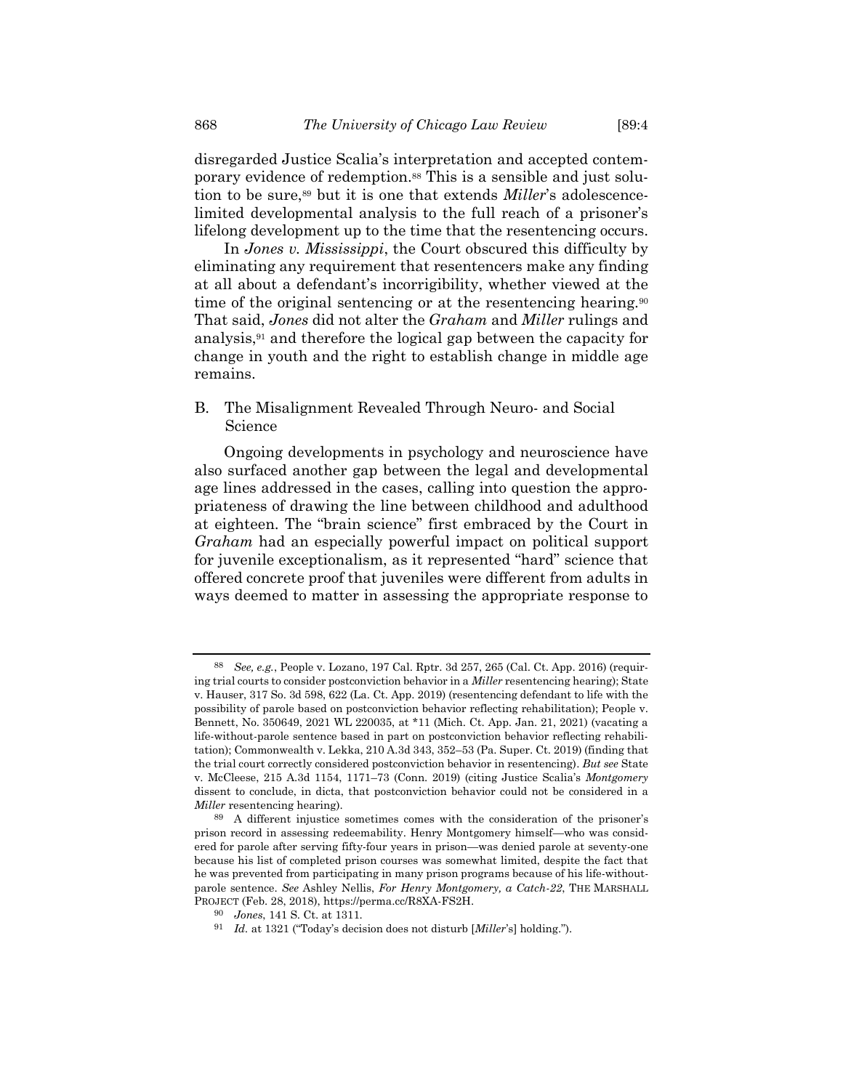disregarded Justice Scalia's interpretation and accepted contemporary evidence of redemption. <sup>88</sup> This is a sensible and just solution to be sure,<sup>89</sup> but it is one that extends *Miller*'s adolescencelimited developmental analysis to the full reach of a prisoner's lifelong development up to the time that the resentencing occurs.

In *Jones v. Mississippi*, the Court obscured this difficulty by eliminating any requirement that resentencers make any finding at all about a defendant's incorrigibility, whether viewed at the time of the original sentencing or at the resentencing hearing.<sup>90</sup> That said, *Jones* did not alter the *Graham* and *Miller* rulings and analysis,<sup>91</sup> and therefore the logical gap between the capacity for change in youth and the right to establish change in middle age remains.

B. The Misalignment Revealed Through Neuro- and Social Science

Ongoing developments in psychology and neuroscience have also surfaced another gap between the legal and developmental age lines addressed in the cases, calling into question the appropriateness of drawing the line between childhood and adulthood at eighteen. The "brain science" first embraced by the Court in *Graham* had an especially powerful impact on political support for juvenile exceptionalism, as it represented "hard" science that offered concrete proof that juveniles were different from adults in ways deemed to matter in assessing the appropriate response to

<sup>88</sup> *See, e.g.*, People v. Lozano, 197 Cal. Rptr. 3d 257, 265 (Cal. Ct. App. 2016) (requiring trial courts to consider postconviction behavior in a *Miller* resentencing hearing); State v. Hauser, 317 So. 3d 598, 622 (La. Ct. App. 2019) (resentencing defendant to life with the possibility of parole based on postconviction behavior reflecting rehabilitation); People v. Bennett, No. 350649, 2021 WL 220035, at \*11 (Mich. Ct. App. Jan. 21, 2021) (vacating a life-without-parole sentence based in part on postconviction behavior reflecting rehabilitation); Commonwealth v. Lekka, 210 A.3d 343, 352–53 (Pa. Super. Ct. 2019) (finding that the trial court correctly considered postconviction behavior in resentencing). *But see* State v. McCleese, 215 A.3d 1154, 1171–73 (Conn. 2019) (citing Justice Scalia's *Montgomery* dissent to conclude, in dicta, that postconviction behavior could not be considered in a *Miller* resentencing hearing).

<sup>89</sup> A different injustice sometimes comes with the consideration of the prisoner's prison record in assessing redeemability. Henry Montgomery himself—who was considered for parole after serving fifty-four years in prison—was denied parole at seventy-one because his list of completed prison courses was somewhat limited, despite the fact that he was prevented from participating in many prison programs because of his life-withoutparole sentence. *See* Ashley Nellis, *For Henry Montgomery, a Catch-22*, THE MARSHALL PROJECT (Feb. 28, 2018), https://perma.cc/R8XA-FS2H.

<sup>90</sup> *Jones*, 141 S. Ct. at 1311.

<sup>91</sup> *Id.* at 1321 ("Today's decision does not disturb [*Miller*'s] holding.").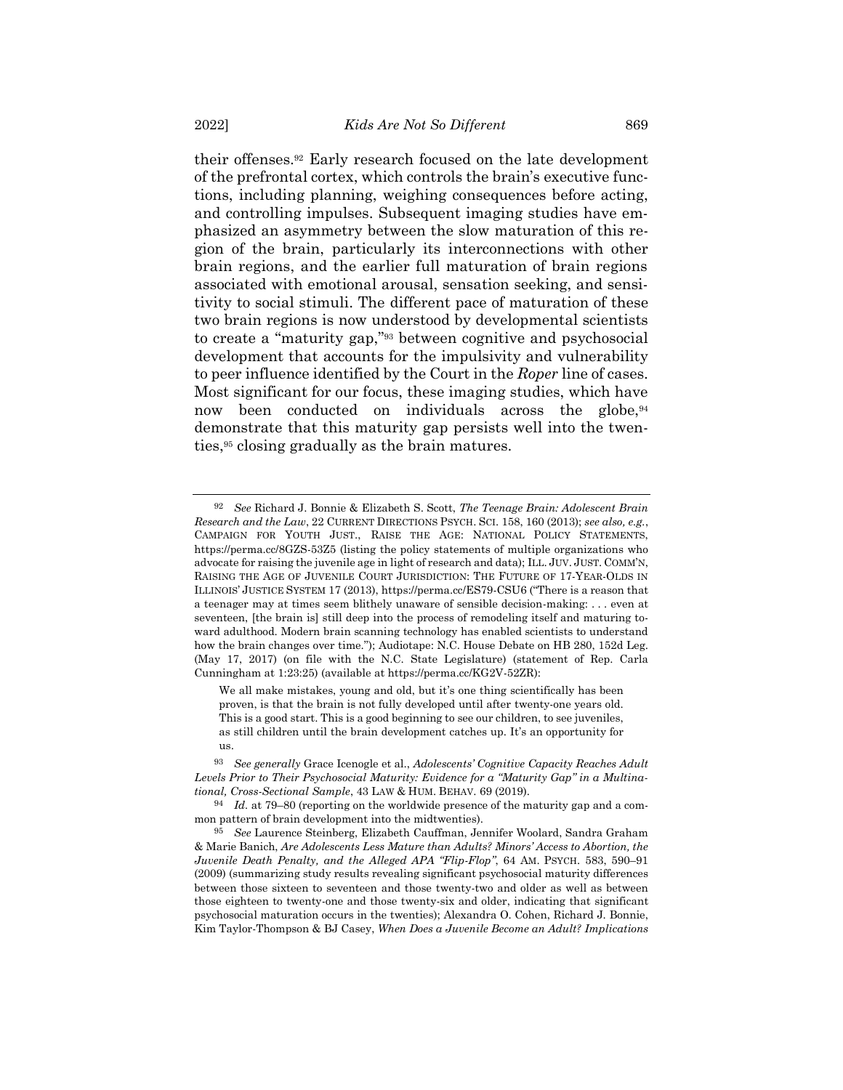their offenses.<sup>92</sup> Early research focused on the late development of the prefrontal cortex, which controls the brain's executive functions, including planning, weighing consequences before acting, and controlling impulses. Subsequent imaging studies have emphasized an asymmetry between the slow maturation of this region of the brain, particularly its interconnections with other brain regions, and the earlier full maturation of brain regions associated with emotional arousal, sensation seeking, and sensitivity to social stimuli. The different pace of maturation of these two brain regions is now understood by developmental scientists to create a "maturity gap," <sup>93</sup> between cognitive and psychosocial development that accounts for the impulsivity and vulnerability to peer influence identified by the Court in the *Roper* line of cases. Most significant for our focus, these imaging studies, which have now been conducted on individuals across the globe,<sup>94</sup> demonstrate that this maturity gap persists well into the twenties,<sup>95</sup> closing gradually as the brain matures.

We all make mistakes, young and old, but it's one thing scientifically has been proven, is that the brain is not fully developed until after twenty-one years old. This is a good start. This is a good beginning to see our children, to see juveniles, as still children until the brain development catches up. It's an opportunity for us.

93 *See generally* Grace Icenogle et al., *Adolescents' Cognitive Capacity Reaches Adult Levels Prior to Their Psychosocial Maturity: Evidence for a "Maturity Gap" in a Multinational, Cross-Sectional Sample*, 43 LAW & HUM. BEHAV. 69 (2019).

94 *Id.* at 79–80 (reporting on the worldwide presence of the maturity gap and a common pattern of brain development into the midtwenties).

<span id="page-26-0"></span><sup>92</sup> *See* Richard J. Bonnie & Elizabeth S. Scott, *The Teenage Brain: Adolescent Brain Research and the Law*, 22 CURRENT DIRECTIONS PSYCH. SCI. 158, 160 (2013); *see also, e.g.*, CAMPAIGN FOR YOUTH JUST., RAISE THE AGE: NATIONAL POLICY STATEMENTS, https://perma.cc/8GZS-53Z5 (listing the policy statements of multiple organizations who advocate for raising the juvenile age in light of research and data); ILL. JUV. JUST. COMM'N, RAISING THE AGE OF JUVENILE COURT JURISDICTION: THE FUTURE OF 17-YEAR-OLDS IN ILLINOIS' JUSTICE SYSTEM 17 (2013), https://perma.cc/ES79-CSU6 ("There is a reason that a teenager may at times seem blithely unaware of sensible decision-making: . . . even at seventeen, [the brain is] still deep into the process of remodeling itself and maturing toward adulthood. Modern brain scanning technology has enabled scientists to understand how the brain changes over time."); Audiotape: N.C. House Debate on HB 280, 152d Leg. (May 17, 2017) (on file with the N.C. State Legislature) (statement of Rep. Carla Cunningham at 1:23:25) (available at https://perma.cc/KG2V-52ZR):

<sup>95</sup> *See* Laurence Steinberg, Elizabeth Cauffman, Jennifer Woolard, Sandra Graham & Marie Banich, *Are Adolescents Less Mature than Adults? Minors' Access to Abortion, the Juvenile Death Penalty, and the Alleged APA "Flip-Flop"*, 64 AM. PSYCH. 583, 590–91 (2009) (summarizing study results revealing significant psychosocial maturity differences between those sixteen to seventeen and those twenty-two and older as well as between those eighteen to twenty-one and those twenty-six and older, indicating that significant psychosocial maturation occurs in the twenties); Alexandra O. Cohen, Richard J. Bonnie, Kim Taylor-Thompson & BJ Casey, *When Does a Juvenile Become an Adult? Implications*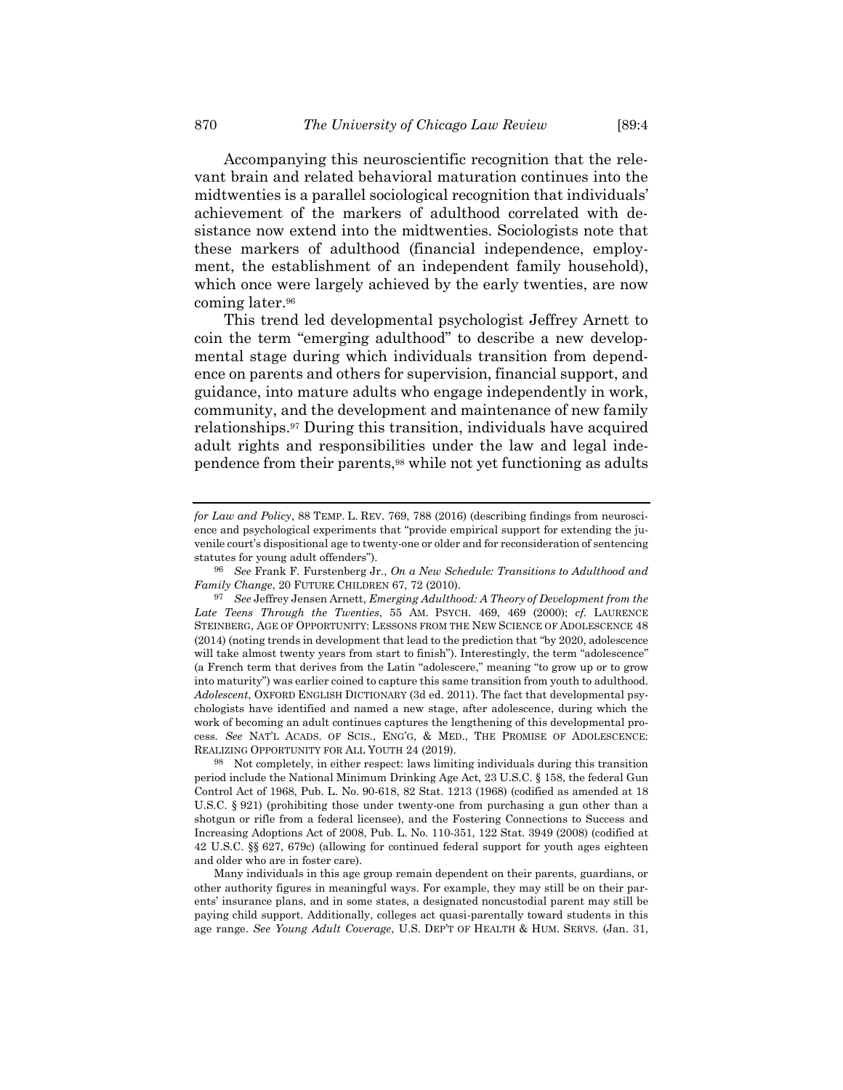Accompanying this neuroscientific recognition that the relevant brain and related behavioral maturation continues into the midtwenties is a parallel sociological recognition that individuals' achievement of the markers of adulthood correlated with desistance now extend into the midtwenties. Sociologists note that these markers of adulthood (financial independence, employment, the establishment of an independent family household), which once were largely achieved by the early twenties, are now coming later.<sup>96</sup>

This trend led developmental psychologist Jeffrey Arnett to coin the term "emerging adulthood" to describe a new developmental stage during which individuals transition from dependence on parents and others for supervision, financial support, and guidance, into mature adults who engage independently in work, community, and the development and maintenance of new family relationships.<sup>97</sup> During this transition, individuals have acquired adult rights and responsibilities under the law and legal independence from their parents,<sup>98</sup> while not yet functioning as adults

*for Law and Policy*, 88 TEMP. L. REV. 769, 788 (2016) (describing findings from neuroscience and psychological experiments that "provide empirical support for extending the juvenile court's dispositional age to twenty-one or older and for reconsideration of sentencing statutes for young adult offenders").

<sup>96</sup> *See* Frank F. Furstenberg Jr., *On a New Schedule: Transitions to Adulthood and Family Change*, 20 FUTURE CHILDREN 67, 72 (2010).

<sup>97</sup> *See* Jeffrey Jensen Arnett, *Emerging Adulthood: A Theory of Development from the Late Teens Through the Twenties*, 55 AM. PSYCH. 469, 469 (2000); *cf.* LAURENCE STEINBERG, AGE OF OPPORTUNITY: LESSONS FROM THE NEW SCIENCE OF ADOLESCENCE 48 (2014) (noting trends in development that lead to the prediction that "by 2020, adolescence will take almost twenty years from start to finish"). Interestingly, the term "adolescence" (a French term that derives from the Latin "adolescere," meaning "to grow up or to grow into maturity") was earlier coined to capture this same transition from youth to adulthood. *Adolescent*, OXFORD ENGLISH DICTIONARY (3d ed. 2011). The fact that developmental psychologists have identified and named a new stage, after adolescence, during which the work of becoming an adult continues captures the lengthening of this developmental process. *See* NAT'L ACADS. OF SCIS., ENG'G, & MED., THE PROMISE OF ADOLESCENCE: REALIZING OPPORTUNITY FOR ALL YOUTH 24 (2019).

Not completely, in either respect: laws limiting individuals during this transition period include the National Minimum Drinking Age Act, 23 U.S.C. § 158, the federal Gun Control Act of 1968, Pub. L. No. 90-618, 82 Stat. 1213 (1968) (codified as amended at 18 U.S.C. § 921) (prohibiting those under twenty-one from purchasing a gun other than a shotgun or rifle from a federal licensee), and the Fostering Connections to Success and Increasing Adoptions Act of 2008, Pub. L. No. 110-351, 122 Stat. 3949 (2008) (codified at 42 U.S.C. §§ 627, 679c) (allowing for continued federal support for youth ages eighteen and older who are in foster care).

Many individuals in this age group remain dependent on their parents, guardians, or other authority figures in meaningful ways. For example, they may still be on their parents' insurance plans, and in some states, a designated noncustodial parent may still be paying child support. Additionally, colleges act quasi-parentally toward students in this age range. *See Young Adult Coverage*, U.S. DEP'T OF HEALTH & HUM. SERVS. (Jan. 31,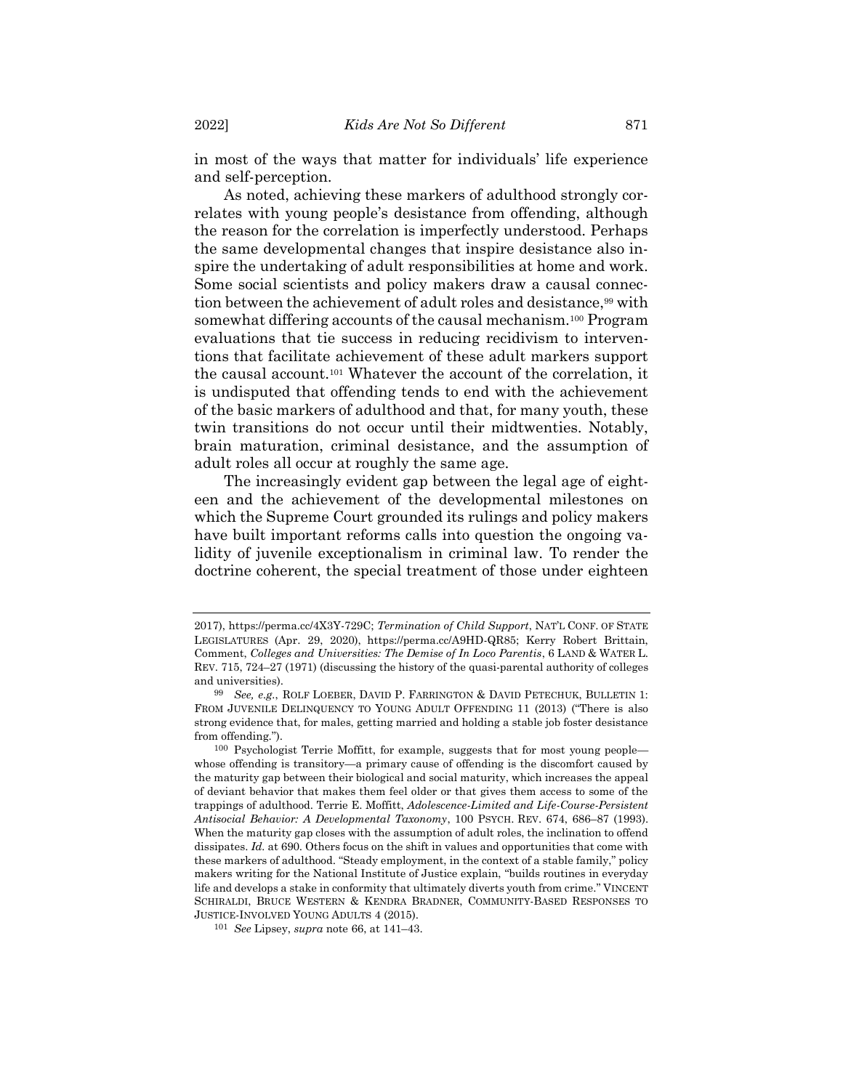in most of the ways that matter for individuals' life experience and self-perception.

<span id="page-28-1"></span><span id="page-28-0"></span>As noted, achieving these markers of adulthood strongly correlates with young people's desistance from offending, although the reason for the correlation is imperfectly understood. Perhaps the same developmental changes that inspire desistance also inspire the undertaking of adult responsibilities at home and work. Some social scientists and policy makers draw a causal connection between the achievement of adult roles and desistance,<sup>99</sup> with somewhat differing accounts of the causal mechanism.<sup>100</sup> Program evaluations that tie success in reducing recidivism to interventions that facilitate achievement of these adult markers support the causal account.<sup>101</sup> Whatever the account of the correlation, it is undisputed that offending tends to end with the achievement of the basic markers of adulthood and that, for many youth, these twin transitions do not occur until their midtwenties. Notably, brain maturation, criminal desistance, and the assumption of adult roles all occur at roughly the same age.

The increasingly evident gap between the legal age of eighteen and the achievement of the developmental milestones on which the Supreme Court grounded its rulings and policy makers have built important reforms calls into question the ongoing validity of juvenile exceptionalism in criminal law. To render the doctrine coherent, the special treatment of those under eighteen

<sup>2017),</sup> https://perma.cc/4X3Y-729C; *Termination of Child Support*, NAT'L CONF. OF STATE LEGISLATURES (Apr. 29, 2020), https://perma.cc/A9HD-QR85; Kerry Robert Brittain, Comment, *Colleges and Universities: The Demise of In Loco Parentis*, 6 LAND & WATER L. REV. 715, 724–27 (1971) (discussing the history of the quasi-parental authority of colleges and universities).

<sup>99</sup> *See, e.g.*, ROLF LOEBER, DAVID P. FARRINGTON & DAVID PETECHUK, BULLETIN 1: FROM JUVENILE DELINQUENCY TO YOUNG ADULT OFFENDING 11 (2013) ("There is also strong evidence that, for males, getting married and holding a stable job foster desistance from offending.").

<sup>100</sup> Psychologist Terrie Moffitt, for example, suggests that for most young people whose offending is transitory—a primary cause of offending is the discomfort caused by the maturity gap between their biological and social maturity, which increases the appeal of deviant behavior that makes them feel older or that gives them access to some of the trappings of adulthood. Terrie E. Moffitt, *Adolescence-Limited and Life-Course-Persistent Antisocial Behavior: A Developmental Taxonomy*, 100 PSYCH. REV. 674, 686–87 (1993). When the maturity gap closes with the assumption of adult roles, the inclination to offend dissipates. *Id.* at 690. Others focus on the shift in values and opportunities that come with these markers of adulthood. "Steady employment, in the context of a stable family," policy makers writing for the National Institute of Justice explain, "builds routines in everyday life and develops a stake in conformity that ultimately diverts youth from crime." VINCENT SCHIRALDI, BRUCE WESTERN & KENDRA BRADNER, COMMUNITY-BASED RESPONSES TO JUSTICE-INVOLVED YOUNG ADULTS 4 (2015).

<sup>101</sup> *See* Lipsey, *supra* note [66,](#page-19-0) at 141–43.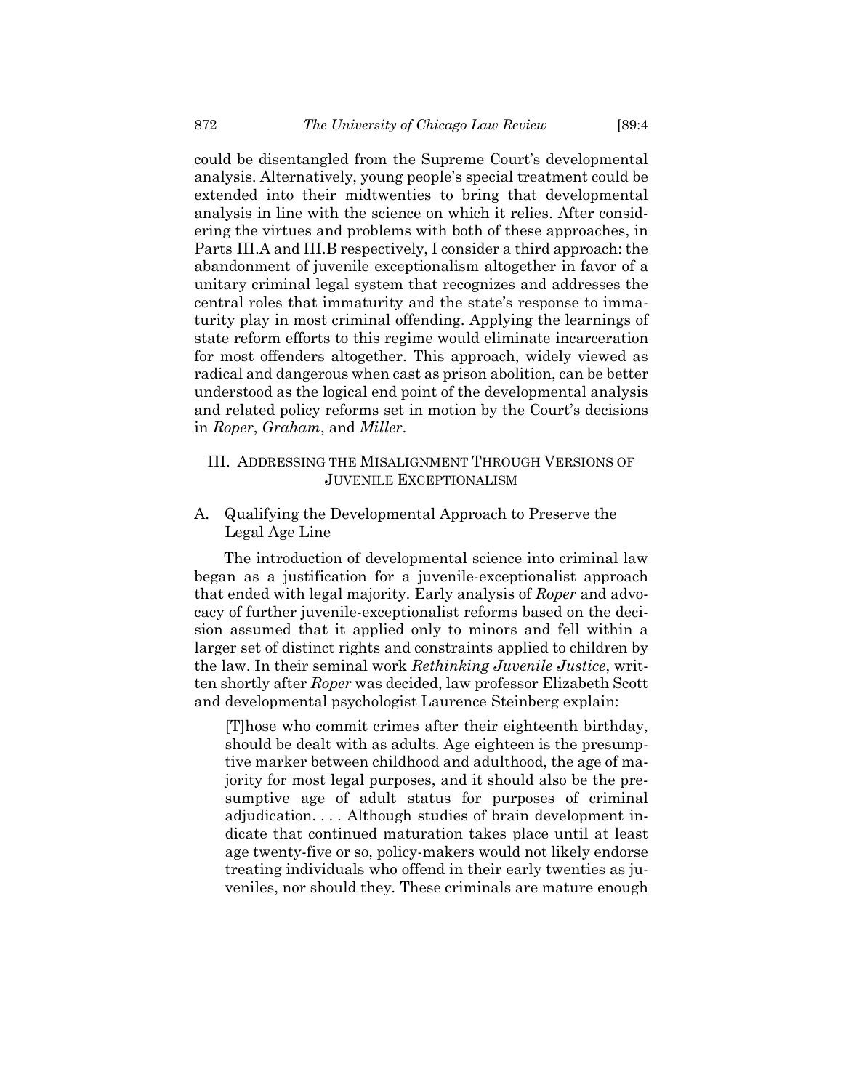could be disentangled from the Supreme Court's developmental analysis. Alternatively, young people's special treatment could be extended into their midtwenties to bring that developmental analysis in line with the science on which it relies. After considering the virtues and problems with both of these approaches, in Parts III.A and III.B respectively, I consider a third approach: the abandonment of juvenile exceptionalism altogether in favor of a unitary criminal legal system that recognizes and addresses the central roles that immaturity and the state's response to immaturity play in most criminal offending. Applying the learnings of state reform efforts to this regime would eliminate incarceration for most offenders altogether. This approach, widely viewed as radical and dangerous when cast as prison abolition, can be better understood as the logical end point of the developmental analysis and related policy reforms set in motion by the Court's decisions in *Roper*, *Graham*, and *Miller*.

## III. ADDRESSING THE MISALIGNMENT THROUGH VERSIONS OF JUVENILE EXCEPTIONALISM

# A. Qualifying the Developmental Approach to Preserve the Legal Age Line

The introduction of developmental science into criminal law began as a justification for a juvenile-exceptionalist approach that ended with legal majority. Early analysis of *Roper* and advocacy of further juvenile-exceptionalist reforms based on the decision assumed that it applied only to minors and fell within a larger set of distinct rights and constraints applied to children by the law. In their seminal work *Rethinking Juvenile Justice*, written shortly after *Roper* was decided, law professor Elizabeth Scott and developmental psychologist Laurence Steinberg explain:

[T]hose who commit crimes after their eighteenth birthday, should be dealt with as adults. Age eighteen is the presumptive marker between childhood and adulthood, the age of majority for most legal purposes, and it should also be the presumptive age of adult status for purposes of criminal adjudication. . . . Although studies of brain development indicate that continued maturation takes place until at least age twenty-five or so, policy-makers would not likely endorse treating individuals who offend in their early twenties as juveniles, nor should they. These criminals are mature enough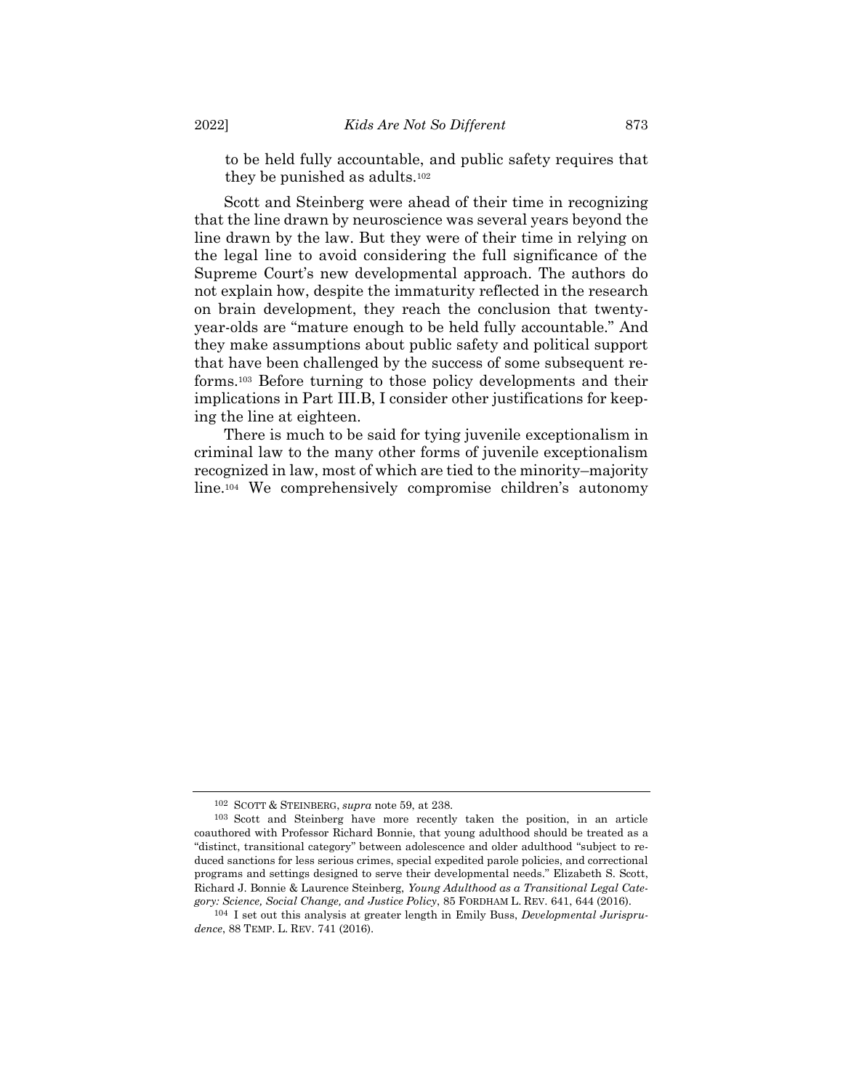to be held fully accountable, and public safety requires that they be punished as adults.<sup>102</sup>

Scott and Steinberg were ahead of their time in recognizing that the line drawn by neuroscience was several years beyond the line drawn by the law. But they were of their time in relying on the legal line to avoid considering the full significance of the Supreme Court's new developmental approach. The authors do not explain how, despite the immaturity reflected in the research on brain development, they reach the conclusion that twentyyear-olds are "mature enough to be held fully accountable." And they make assumptions about public safety and political support that have been challenged by the success of some subsequent reforms.<sup>103</sup> Before turning to those policy developments and their implications in Part III.B, I consider other justifications for keeping the line at eighteen.

<span id="page-30-1"></span><span id="page-30-0"></span>There is much to be said for tying juvenile exceptionalism in criminal law to the many other forms of juvenile exceptionalism recognized in law, most of which are tied to the minority–majority line.<sup>104</sup> We comprehensively compromise children's autonomy

<sup>102</sup> SCOTT & STEINBERG, *supra* not[e 59,](#page-17-0) at 238.

<sup>103</sup> Scott and Steinberg have more recently taken the position, in an article coauthored with Professor Richard Bonnie, that young adulthood should be treated as a "distinct, transitional category" between adolescence and older adulthood "subject to reduced sanctions for less serious crimes, special expedited parole policies, and correctional programs and settings designed to serve their developmental needs." Elizabeth S. Scott, Richard J. Bonnie & Laurence Steinberg, *Young Adulthood as a Transitional Legal Category: Science, Social Change, and Justice Policy*, 85 FORDHAM L. REV. 641, 644 (2016).

<sup>104</sup> I set out this analysis at greater length in Emily Buss, *Developmental Jurisprudence*, 88 TEMP. L. REV. 741 (2016).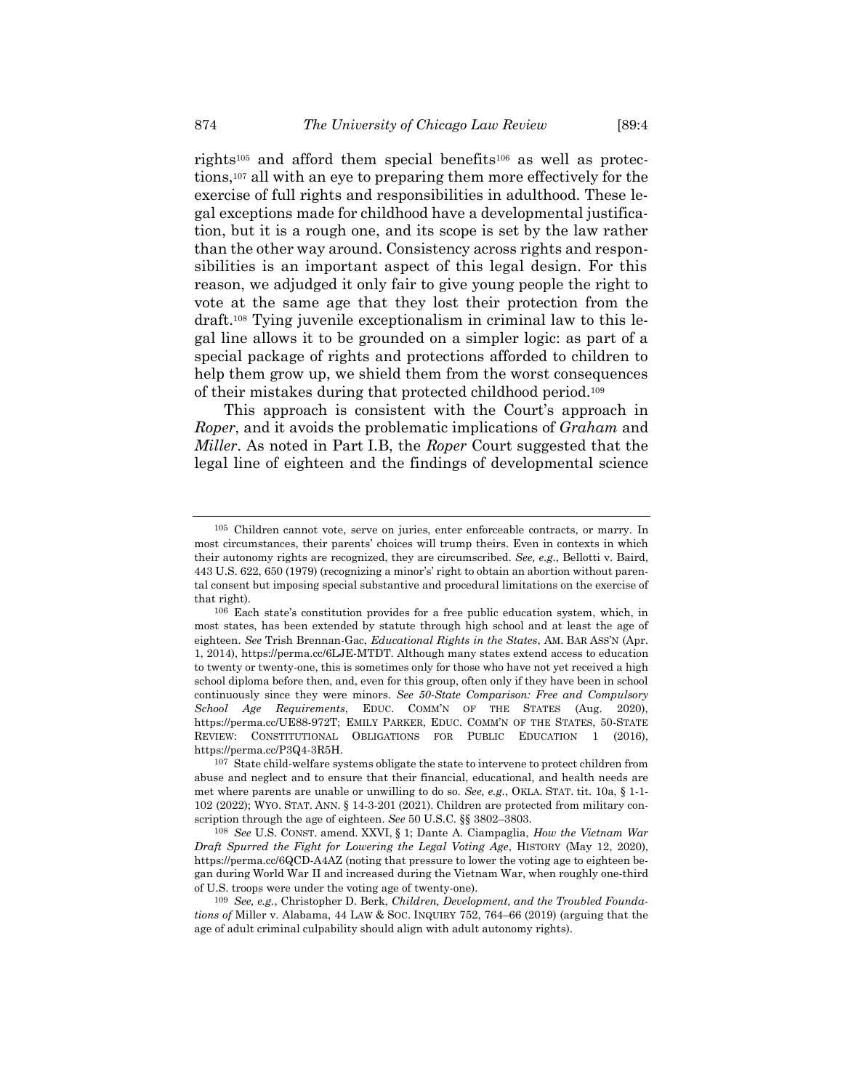rights<sup>105</sup> and afford them special benefits<sup>106</sup> as well as protections,<sup>107</sup> all with an eye to preparing them more effectively for the exercise of full rights and responsibilities in adulthood. These legal exceptions made for childhood have a developmental justification, but it is a rough one, and its scope is set by the law rather than the other way around. Consistency across rights and responsibilities is an important aspect of this legal design. For this reason, we adjudged it only fair to give young people the right to vote at the same age that they lost their protection from the draft.<sup>108</sup> Tying juvenile exceptionalism in criminal law to this legal line allows it to be grounded on a simpler logic: as part of a special package of rights and protections afforded to children to help them grow up, we shield them from the worst consequences of their mistakes during that protected childhood period.<sup>109</sup>

This approach is consistent with the Court's approach in *Roper*, and it avoids the problematic implications of *Graham* and *Miller*. As noted in Part I.B, the *Roper* Court suggested that the legal line of eighteen and the findings of developmental science

<sup>105</sup> Children cannot vote, serve on juries, enter enforceable contracts, or marry. In most circumstances, their parents' choices will trump theirs. Even in contexts in which their autonomy rights are recognized, they are circumscribed. *See, e.g.*, Bellotti v. Baird, 443 U.S. 622, 650 (1979) (recognizing a minor's' right to obtain an abortion without parental consent but imposing special substantive and procedural limitations on the exercise of that right).

<sup>106</sup> Each state's constitution provides for a free public education system, which, in most states, has been extended by statute through high school and at least the age of eighteen. *See* Trish Brennan-Gac, *Educational Rights in the States*, AM. BAR ASS'N (Apr. 1, 2014), https://perma.cc/6LJE-MTDT. Although many states extend access to education to twenty or twenty-one, this is sometimes only for those who have not yet received a high school diploma before then, and, even for this group, often only if they have been in school continuously since they were minors. *See 50-State Comparison: Free and Compulsory School Age Requirements*, EDUC. COMM'N OF THE STATES (Aug. 2020), https://perma.cc/UE88-972T; EMILY PARKER, EDUC. COMM'N OF THE STATES, 50-STATE REVIEW: CONSTITUTIONAL OBLIGATIONS FOR PUBLIC EDUCATION 1 (2016), https://perma.cc/P3Q4-3R5H.

<sup>107</sup> State child-welfare systems obligate the state to intervene to protect children from abuse and neglect and to ensure that their financial, educational, and health needs are met where parents are unable or unwilling to do so. *See, e.g.*, OKLA. STAT. tit. 10a, § 1-1- 102 (2022); WYO. STAT. ANN. § 14-3-201 (2021). Children are protected from military conscription through the age of eighteen. *See* 50 U.S.C. §§ 3802–3803.

<sup>108</sup> *See* U.S. CONST. amend. XXVI, § 1; Dante A. Ciampaglia, *How the Vietnam War Draft Spurred the Fight for Lowering the Legal Voting Age*, HISTORY (May 12, 2020), https://perma.cc/6QCD-A4AZ (noting that pressure to lower the voting age to eighteen began during World War II and increased during the Vietnam War, when roughly one-third of U.S. troops were under the voting age of twenty-one).

<sup>109</sup> *See, e.g.*, Christopher D. Berk, *Children, Development, and the Troubled Foundations of* Miller v. Alabama, 44 LAW & SOC. INQUIRY 752, 764–66 (2019) (arguing that the age of adult criminal culpability should align with adult autonomy rights).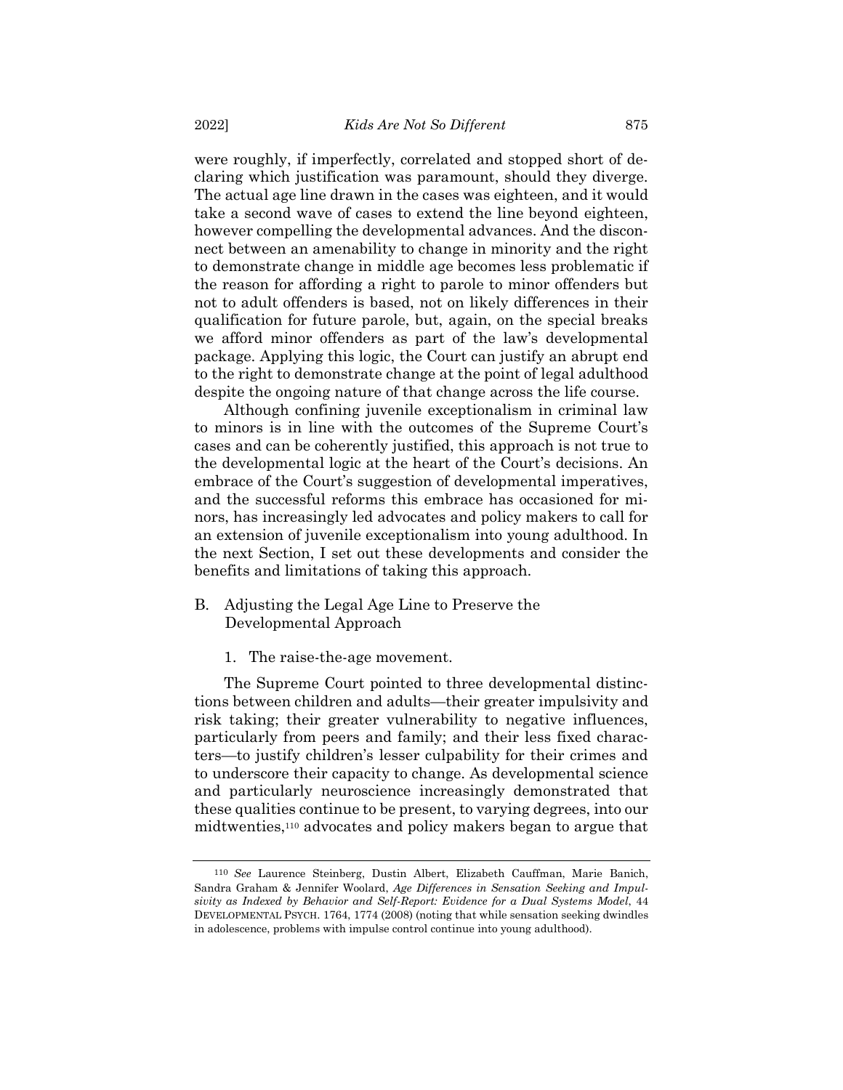were roughly, if imperfectly, correlated and stopped short of declaring which justification was paramount, should they diverge. The actual age line drawn in the cases was eighteen, and it would take a second wave of cases to extend the line beyond eighteen, however compelling the developmental advances. And the disconnect between an amenability to change in minority and the right to demonstrate change in middle age becomes less problematic if the reason for affording a right to parole to minor offenders but not to adult offenders is based, not on likely differences in their qualification for future parole, but, again, on the special breaks we afford minor offenders as part of the law's developmental package. Applying this logic, the Court can justify an abrupt end to the right to demonstrate change at the point of legal adulthood despite the ongoing nature of that change across the life course.

Although confining juvenile exceptionalism in criminal law to minors is in line with the outcomes of the Supreme Court's cases and can be coherently justified, this approach is not true to the developmental logic at the heart of the Court's decisions. An embrace of the Court's suggestion of developmental imperatives, and the successful reforms this embrace has occasioned for minors, has increasingly led advocates and policy makers to call for an extension of juvenile exceptionalism into young adulthood. In the next Section, I set out these developments and consider the benefits and limitations of taking this approach.

- B. Adjusting the Legal Age Line to Preserve the Developmental Approach
	- 1. The raise-the-age movement.

The Supreme Court pointed to three developmental distinctions between children and adults—their greater impulsivity and risk taking; their greater vulnerability to negative influences, particularly from peers and family; and their less fixed characters—to justify children's lesser culpability for their crimes and to underscore their capacity to change. As developmental science and particularly neuroscience increasingly demonstrated that these qualities continue to be present, to varying degrees, into our midtwenties,<sup>110</sup> advocates and policy makers began to argue that

<span id="page-32-0"></span><sup>110</sup> *See* Laurence Steinberg, Dustin Albert, Elizabeth Cauffman, Marie Banich, Sandra Graham & Jennifer Woolard, *Age Differences in Sensation Seeking and Impulsivity as Indexed by Behavior and Self-Report: Evidence for a Dual Systems Model*, 44 DEVELOPMENTAL PSYCH. 1764, 1774 (2008) (noting that while sensation seeking dwindles in adolescence, problems with impulse control continue into young adulthood).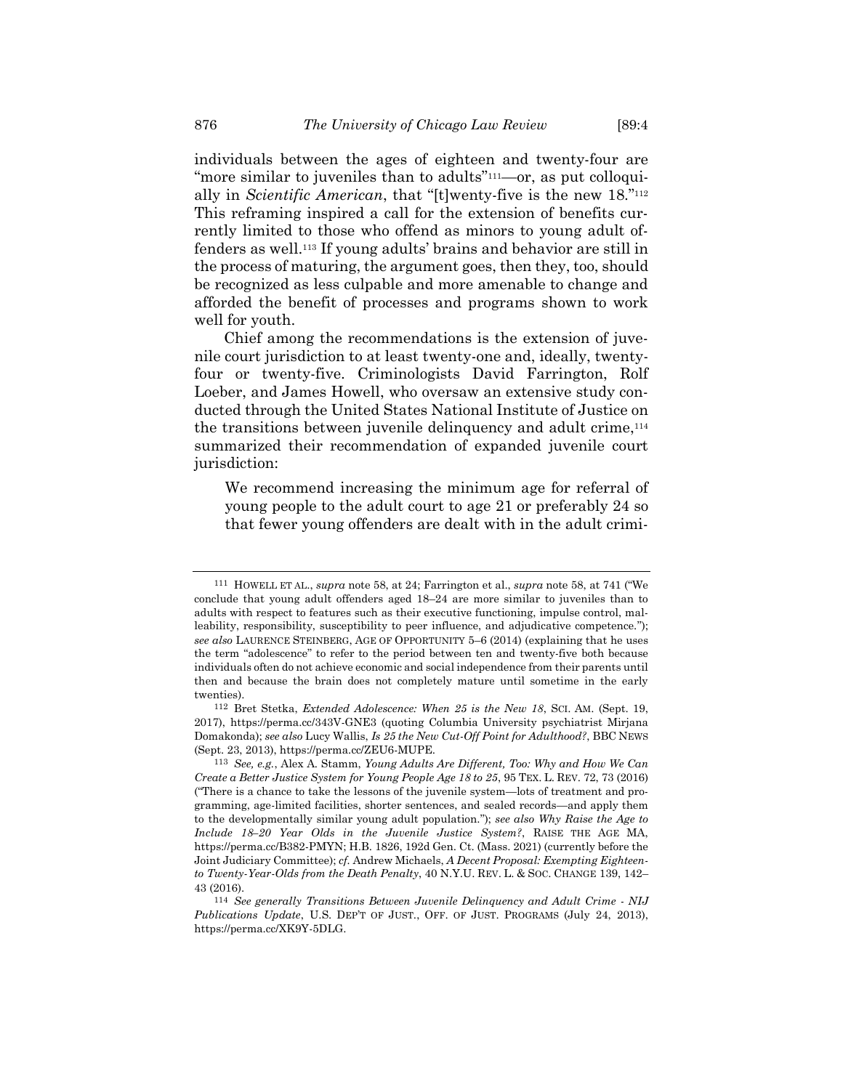individuals between the ages of eighteen and twenty-four are "more similar to juveniles than to adults"<sup>111</sup>—or, as put colloquially in *Scientific American*, that "[t]wenty-five is the new 18."<sup>112</sup> This reframing inspired a call for the extension of benefits currently limited to those who offend as minors to young adult offenders as well.<sup>113</sup> If young adults' brains and behavior are still in the process of maturing, the argument goes, then they, too, should be recognized as less culpable and more amenable to change and afforded the benefit of processes and programs shown to work well for youth.

Chief among the recommendations is the extension of juvenile court jurisdiction to at least twenty-one and, ideally, twentyfour or twenty-five. Criminologists David Farrington, Rolf Loeber, and James Howell, who oversaw an extensive study conducted through the United States National Institute of Justice on the transitions between juvenile delinquency and adult crime,<sup>114</sup> summarized their recommendation of expanded juvenile court jurisdiction:

We recommend increasing the minimum age for referral of young people to the adult court to age 21 or preferably 24 so that fewer young offenders are dealt with in the adult crimi-

<sup>111</sup> HOWELL ET AL., *supra* not[e 58,](#page-16-0) at 24; Farrington et al., *supra* not[e 58,](#page-16-0) at 741 ("We conclude that young adult offenders aged 18–24 are more similar to juveniles than to adults with respect to features such as their executive functioning, impulse control, malleability, responsibility, susceptibility to peer influence, and adjudicative competence."); *see also* LAURENCE STEINBERG, AGE OF OPPORTUNITY 5–6 (2014) (explaining that he uses the term "adolescence" to refer to the period between ten and twenty-five both because individuals often do not achieve economic and social independence from their parents until then and because the brain does not completely mature until sometime in the early twenties).

<sup>112</sup> Bret Stetka, *Extended Adolescence: When 25 is the New 18*, SCI. AM. (Sept. 19, 2017), https://perma.cc/343V-GNE3 (quoting Columbia University psychiatrist Mirjana Domakonda); *see also* Lucy Wallis, *Is 25 the New Cut-Off Point for Adulthood?*, BBC NEWS (Sept. 23, 2013), https://perma.cc/ZEU6-MUPE.

<sup>113</sup> *See, e.g.*, Alex A. Stamm, *Young Adults Are Different, Too: Why and How We Can Create a Better Justice System for Young People Age 18 to 25*, 95 TEX. L. REV. 72, 73 (2016) ("There is a chance to take the lessons of the juvenile system—lots of treatment and programming, age-limited facilities, shorter sentences, and sealed records—and apply them to the developmentally similar young adult population."); *see also Why Raise the Age to Include 18–20 Year Olds in the Juvenile Justice System?*, RAISE THE AGE MA, https://perma.cc/B382-PMYN; H.B. 1826, 192d Gen. Ct. (Mass. 2021) (currently before the Joint Judiciary Committee); *cf.* Andrew Michaels, *A Decent Proposal: Exempting Eighteento Twenty-Year-Olds from the Death Penalty*, 40 N.Y.U. REV. L. & SOC. CHANGE 139, 142– 43 (2016).

<sup>114</sup> *See generally Transitions Between Juvenile Delinquency and Adult Crime - NIJ Publications Update*, U.S. DEP'T OF JUST., OFF. OF JUST. PROGRAMS (July 24, 2013), https://perma.cc/XK9Y-5DLG.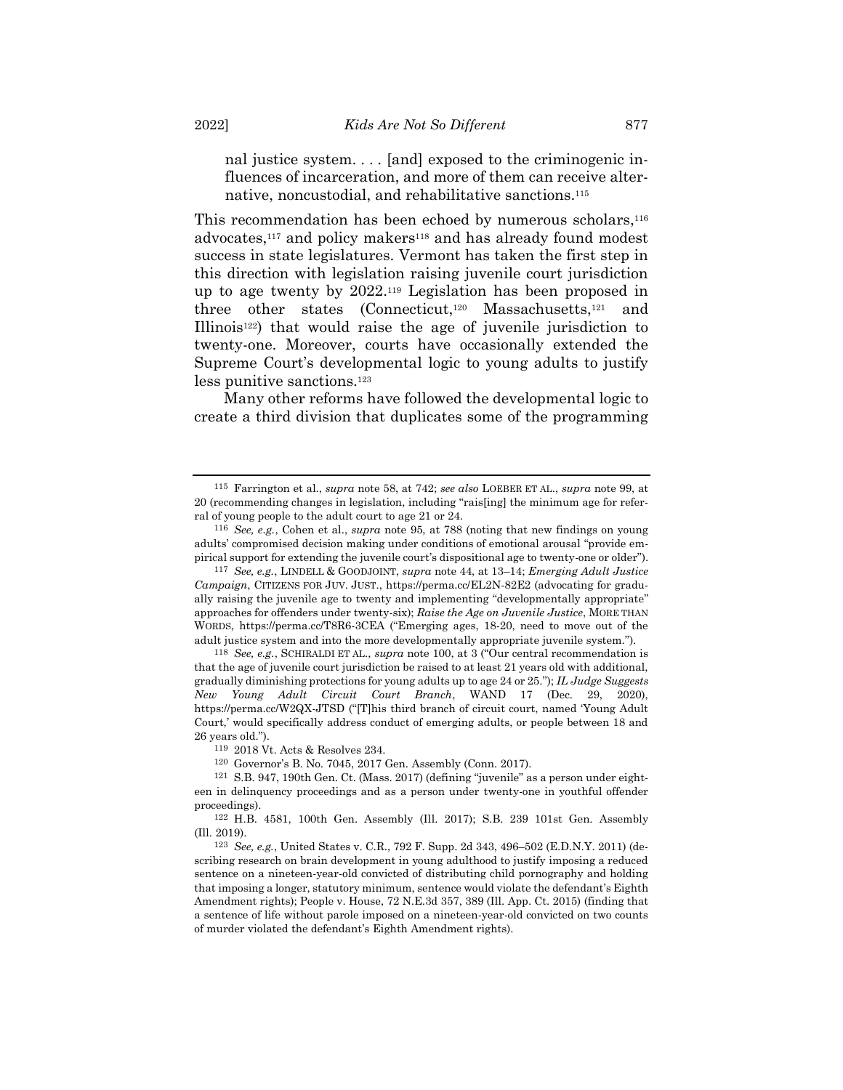nal justice system.... [and] exposed to the criminogenic influences of incarceration, and more of them can receive alternative, noncustodial, and rehabilitative sanctions.<sup>115</sup>

This recommendation has been echoed by numerous scholars,<sup>116</sup> advocates,<sup>117</sup> and policy makers<sup>118</sup> and has already found modest success in state legislatures. Vermont has taken the first step in this direction with legislation raising juvenile court jurisdiction up to age twenty by 2022.<sup>119</sup> Legislation has been proposed in three other states (Connecticut,<sup>120</sup> Massachusetts,<sup>121</sup> and Illinois<sup>122</sup>) that would raise the age of juvenile jurisdiction to twenty-one. Moreover, courts have occasionally extended the Supreme Court's developmental logic to young adults to justify less punitive sanctions.<sup>123</sup>

Many other reforms have followed the developmental logic to create a third division that duplicates some of the programming

<sup>115</sup> Farrington et al., *supra* note [58,](#page-16-0) at 742; *see also* LOEBER ET AL., *supra* note [99,](#page-28-0) at 20 (recommending changes in legislation, including "rais[ing] the minimum age for referral of young people to the adult court to age 21 or 24.

<sup>116</sup> *See, e.g.*, Cohen et al., *supra* note [95,](#page-26-0) at 788 (noting that new findings on young adults' compromised decision making under conditions of emotional arousal "provide empirical support for extending the juvenile court's dispositional age to twenty-one or older").

<sup>117</sup> *See, e.g.*, LINDELL & GOODJOINT, *supra* not[e 44,](#page-13-1) at 13–14; *Emerging Adult Justice Campaign*, CITIZENS FOR JUV. JUST., https://perma.cc/EL2N-82E2 (advocating for gradually raising the juvenile age to twenty and implementing "developmentally appropriate" approaches for offenders under twenty-six); *Raise the Age on Juvenile Justice*, MORE THAN WORDS, https://perma.cc/T8R6-3CEA ("Emerging ages, 18-20, need to move out of the adult justice system and into the more developmentally appropriate juvenile system.").

<sup>118</sup> *See, e.g.*, SCHIRALDI ET AL., *supra* note [100,](#page-28-1) at 3 ("Our central recommendation is that the age of juvenile court jurisdiction be raised to at least 21 years old with additional, gradually diminishing protections for young adults up to age 24 or 25."); *IL Judge Suggests New Young Adult Circuit Court Branch*, WAND 17 (Dec. 29, 2020), https://perma.cc/W2QX-JTSD ("[T]his third branch of circuit court, named 'Young Adult Court,' would specifically address conduct of emerging adults, or people between 18 and 26 years old.").

<sup>119</sup> 2018 Vt. Acts & Resolves 234.

<sup>120</sup> Governor's B. No. 7045, 2017 Gen. Assembly (Conn. 2017).

<sup>121</sup> S.B. 947, 190th Gen. Ct. (Mass. 2017) (defining "juvenile" as a person under eighteen in delinquency proceedings and as a person under twenty-one in youthful offender proceedings).

<sup>122</sup> H.B. 4581, 100th Gen. Assembly (Ill. 2017); S.B. 239 101st Gen. Assembly (Ill. 2019).

<sup>123</sup> *See, e.g.*, United States v. C.R., 792 F. Supp. 2d 343, 496–502 (E.D.N.Y. 2011) (describing research on brain development in young adulthood to justify imposing a reduced sentence on a nineteen-year-old convicted of distributing child pornography and holding that imposing a longer, statutory minimum, sentence would violate the defendant's Eighth Amendment rights); People v. House, 72 N.E.3d 357, 389 (Ill. App. Ct. 2015) (finding that a sentence of life without parole imposed on a nineteen-year-old convicted on two counts of murder violated the defendant's Eighth Amendment rights).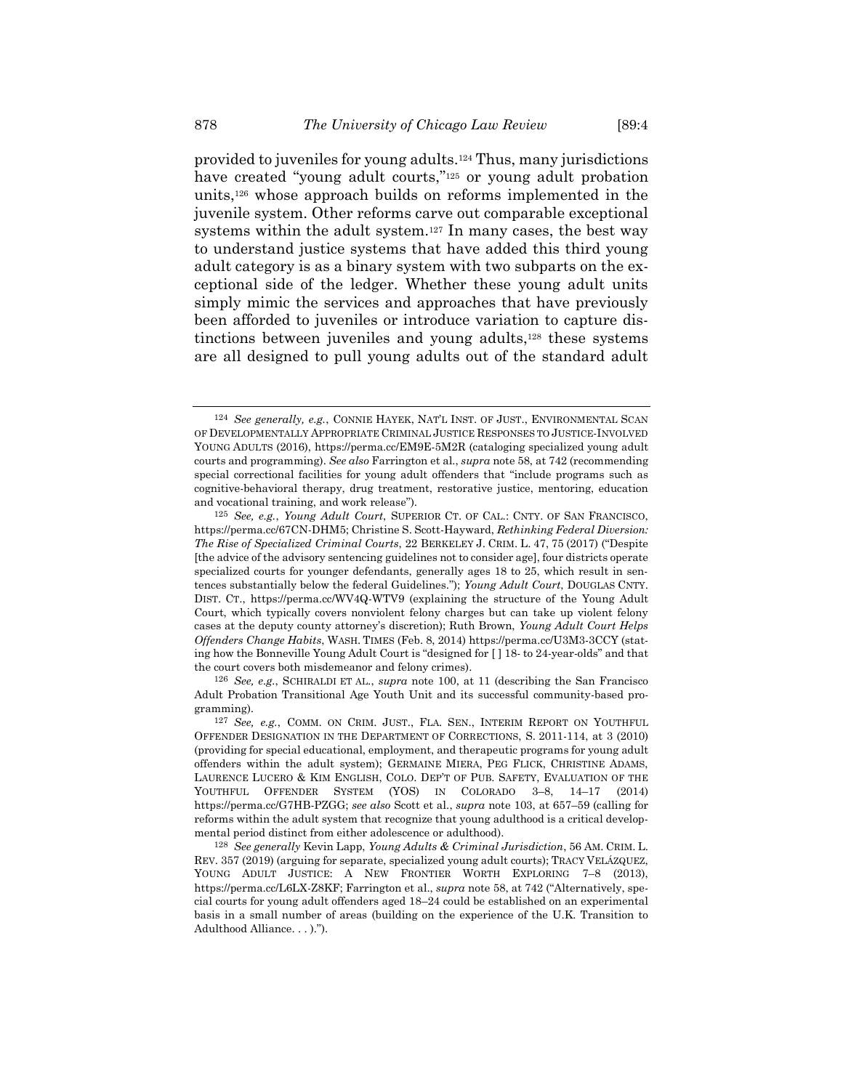provided to juveniles for young adults.<sup>124</sup> Thus, many jurisdictions have created "young adult courts,"<sup>125</sup> or young adult probation units, <sup>126</sup> whose approach builds on reforms implemented in the juvenile system. Other reforms carve out comparable exceptional systems within the adult system.<sup>127</sup> In many cases, the best way to understand justice systems that have added this third young adult category is as a binary system with two subparts on the exceptional side of the ledger. Whether these young adult units simply mimic the services and approaches that have previously been afforded to juveniles or introduce variation to capture distinctions between juveniles and young adults,<sup>128</sup> these systems are all designed to pull young adults out of the standard adult

<sup>124</sup> *See generally, e.g.*, CONNIE HAYEK, NAT'L INST. OF JUST., ENVIRONMENTAL SCAN OF DEVELOPMENTALLY APPROPRIATE CRIMINAL JUSTICE RESPONSES TO JUSTICE-INVOLVED YOUNG ADULTS (2016), https://perma.cc/EM9E-5M2R (cataloging specialized young adult courts and programming). *See also* Farrington et al., *supra* not[e 58,](#page-16-0) at 742 (recommending special correctional facilities for young adult offenders that "include programs such as cognitive-behavioral therapy, drug treatment, restorative justice, mentoring, education and vocational training, and work release").

<sup>125</sup> *See, e.g.*, *Young Adult Court*, SUPERIOR CT. OF CAL.: CNTY. OF SAN FRANCISCO, https://perma.cc/67CN-DHM5; Christine S. Scott-Hayward, *Rethinking Federal Diversion: The Rise of Specialized Criminal Courts*, 22 BERKELEY J. CRIM. L. 47, 75 (2017) ("Despite [the advice of the advisory sentencing guidelines not to consider age], four districts operate specialized courts for younger defendants, generally ages 18 to 25, which result in sentences substantially below the federal Guidelines."); *Young Adult Court*, DOUGLAS CNTY. DIST. CT., https://perma.cc/WV4Q-WTV9 (explaining the structure of the Young Adult Court, which typically covers nonviolent felony charges but can take up violent felony cases at the deputy county attorney's discretion); Ruth Brown, *Young Adult Court Helps Offenders Change Habits*, WASH. TIMES (Feb. 8, 2014) https://perma.cc/U3M3-3CCY (stating how the Bonneville Young Adult Court is "designed for [ ] 18- to 24-year-olds" and that the court covers both misdemeanor and felony crimes).

<sup>126</sup> *See, e.g.*, SCHIRALDI ET AL., *supra* note [100,](#page-28-1) at 11 (describing the San Francisco Adult Probation Transitional Age Youth Unit and its successful community-based programming).

<sup>127</sup> *See, e.g.*, COMM. ON CRIM. JUST., FLA. SEN., INTERIM REPORT ON YOUTHFUL OFFENDER DESIGNATION IN THE DEPARTMENT OF CORRECTIONS, S. 2011-114, at 3 (2010) (providing for special educational, employment, and therapeutic programs for young adult offenders within the adult system); GERMAINE MIERA, PEG FLICK, CHRISTINE ADAMS, LAURENCE LUCERO & KIM ENGLISH, COLO. DEP'T OF PUB. SAFETY, EVALUATION OF THE YOUTHFUL OFFENDER SYSTEM (YOS) IN COLORADO 3–8, 14–17 (2014) https://perma.cc/G7HB-PZGG; *see also* Scott et al., *supra* not[e 103,](#page-30-0) at 657–59 (calling for reforms within the adult system that recognize that young adulthood is a critical developmental period distinct from either adolescence or adulthood).

<sup>128</sup> *See generally* Kevin Lapp, *Young Adults & Criminal Jurisdiction*, 56 AM. CRIM. L. REV. 357 (2019) (arguing for separate, specialized young adult courts); TRACY VELÁZQUEZ, YOUNG ADULT JUSTICE: A NEW FRONTIER WORTH EXPLORING 7–8 (2013), https://perma.cc/L6LX-Z8KF; Farrington et al., *supra* note [58,](#page-16-0) at 742 ("Alternatively, special courts for young adult offenders aged 18–24 could be established on an experimental basis in a small number of areas (building on the experience of the U.K. Transition to Adulthood Alliance. . . ).").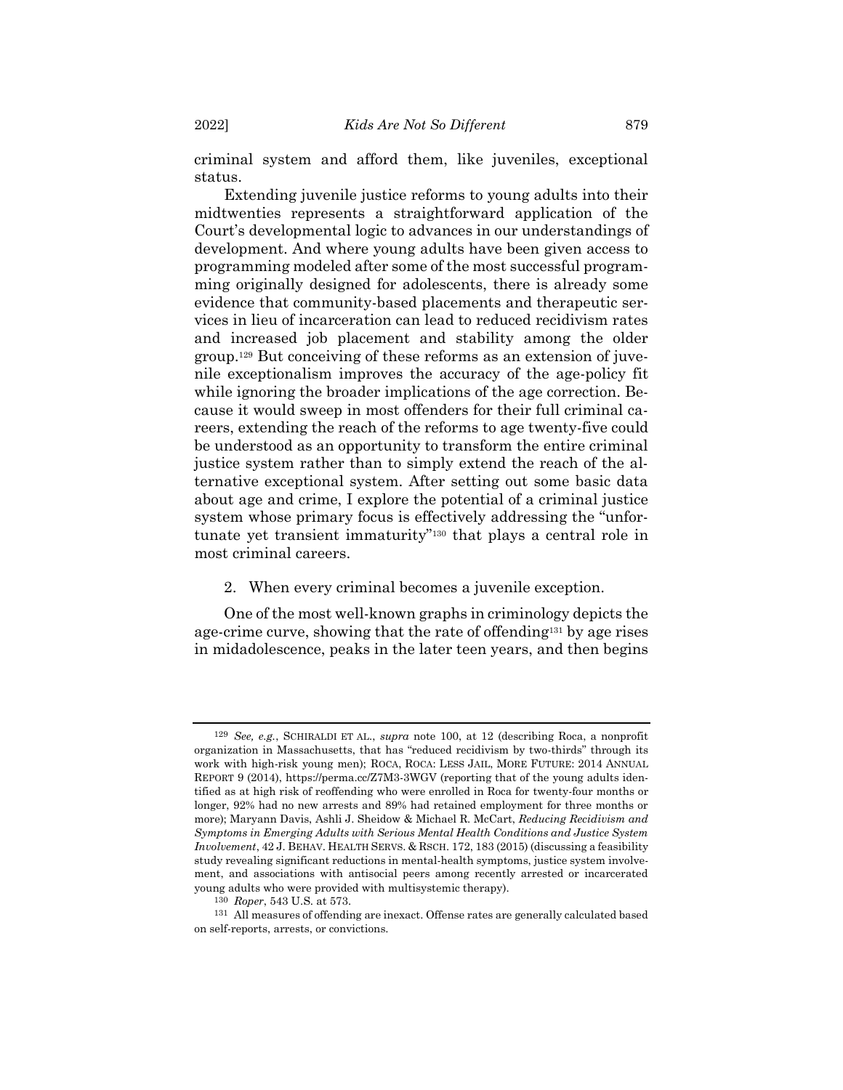criminal system and afford them, like juveniles, exceptional status.

Extending juvenile justice reforms to young adults into their midtwenties represents a straightforward application of the Court's developmental logic to advances in our understandings of development. And where young adults have been given access to programming modeled after some of the most successful programming originally designed for adolescents, there is already some evidence that community-based placements and therapeutic services in lieu of incarceration can lead to reduced recidivism rates and increased job placement and stability among the older group.<sup>129</sup> But conceiving of these reforms as an extension of juvenile exceptionalism improves the accuracy of the age-policy fit while ignoring the broader implications of the age correction. Because it would sweep in most offenders for their full criminal careers, extending the reach of the reforms to age twenty-five could be understood as an opportunity to transform the entire criminal justice system rather than to simply extend the reach of the alternative exceptional system. After setting out some basic data about age and crime, I explore the potential of a criminal justice system whose primary focus is effectively addressing the "unfortunate yet transient immaturity"<sup>130</sup> that plays a central role in most criminal careers.

2. When every criminal becomes a juvenile exception.

One of the most well-known graphs in criminology depicts the age-crime curve, showing that the rate of offending<sup>131</sup> by age rises in midadolescence, peaks in the later teen years, and then begins

<sup>129</sup> *See, e.g.*, SCHIRALDI ET AL., *supra* note [100,](#page-28-1) at 12 (describing Roca, a nonprofit organization in Massachusetts, that has "reduced recidivism by two-thirds" through its work with high-risk young men); ROCA, ROCA: LESS JAIL, MORE FUTURE: 2014 ANNUAL REPORT 9 (2014), https://perma.cc/Z7M3-3WGV (reporting that of the young adults identified as at high risk of reoffending who were enrolled in Roca for twenty-four months or longer, 92% had no new arrests and 89% had retained employment for three months or more); Maryann Davis, Ashli J. Sheidow & Michael R. McCart, *Reducing Recidivism and Symptoms in Emerging Adults with Serious Mental Health Conditions and Justice System Involvement*, 42 J. BEHAV. HEALTH SERVS. & RSCH. 172, 183 (2015) (discussing a feasibility study revealing significant reductions in mental-health symptoms, justice system involvement, and associations with antisocial peers among recently arrested or incarcerated young adults who were provided with multisystemic therapy).

<sup>130</sup> *Roper*, 543 U.S. at 573.

<sup>131</sup> All measures of offending are inexact. Offense rates are generally calculated based on self-reports, arrests, or convictions.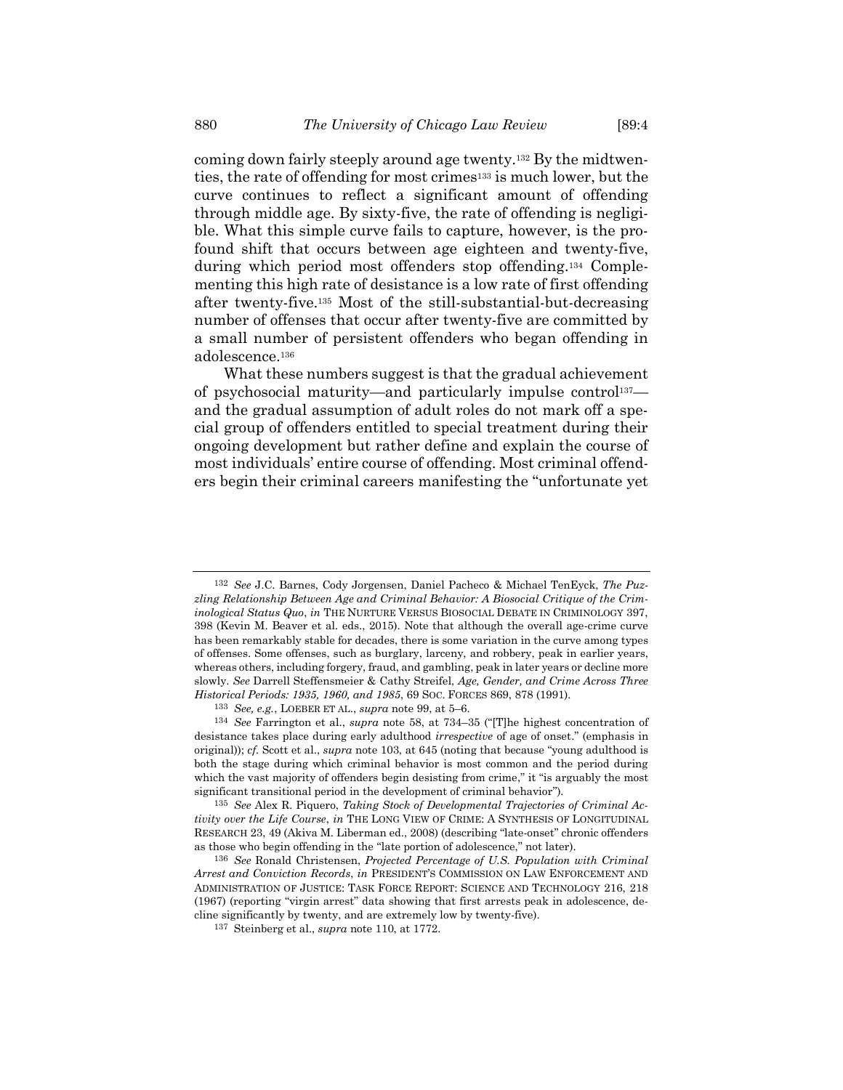<span id="page-37-0"></span>coming down fairly steeply around age twenty. <sup>132</sup> By the midtwenties, the rate of offending for most crimes<sup>133</sup> is much lower, but the curve continues to reflect a significant amount of offending through middle age. By sixty-five, the rate of offending is negligible. What this simple curve fails to capture, however, is the profound shift that occurs between age eighteen and twenty-five, during which period most offenders stop offending.<sup>134</sup> Complementing this high rate of desistance is a low rate of first offending after twenty-five. <sup>135</sup> Most of the still-substantial-but-decreasing number of offenses that occur after twenty-five are committed by a small number of persistent offenders who began offending in adolescence.<sup>136</sup>

What these numbers suggest is that the gradual achievement of psychosocial maturity—and particularly impulse control<sup>137</sup> and the gradual assumption of adult roles do not mark off a special group of offenders entitled to special treatment during their ongoing development but rather define and explain the course of most individuals' entire course of offending. Most criminal offenders begin their criminal careers manifesting the "unfortunate yet

<sup>132</sup> *See* J.C. Barnes, Cody Jorgensen, Daniel Pacheco & Michael TenEyck, *The Puzzling Relationship Between Age and Criminal Behavior: A Biosocial Critique of the Criminological Status Quo*, *in* THE NURTURE VERSUS BIOSOCIAL DEBATE IN CRIMINOLOGY 397, 398 (Kevin M. Beaver et al. eds., 2015). Note that although the overall age-crime curve has been remarkably stable for decades, there is some variation in the curve among types of offenses. Some offenses, such as burglary, larceny, and robbery, peak in earlier years, whereas others, including forgery, fraud, and gambling, peak in later years or decline more slowly. *See* Darrell Steffensmeier & Cathy Streifel, *Age, Gender, and Crime Across Three Historical Periods: 1935, 1960, and 1985*, 69 SOC. FORCES 869, 878 (1991).

<sup>133</sup> *See, e.g.*, LOEBER ET AL., *supra* not[e 99,](#page-28-0) at 5–6.

<sup>134</sup> *See* Farrington et al., *supra* note [58,](#page-16-0) at 734–35 ("[T]he highest concentration of desistance takes place during early adulthood *irrespective* of age of onset." (emphasis in original)); *cf.* Scott et al., *supra* not[e 103,](#page-30-0) at 645 (noting that because "young adulthood is both the stage during which criminal behavior is most common and the period during which the vast majority of offenders begin desisting from crime," it "is arguably the most significant transitional period in the development of criminal behavior").

<sup>135</sup> *See* Alex R. Piquero, *Taking Stock of Developmental Trajectories of Criminal Activity over the Life Course*, *in* THE LONG VIEW OF CRIME: A SYNTHESIS OF LONGITUDINAL RESEARCH 23, 49 (Akiva M. Liberman ed., 2008) (describing "late-onset" chronic offenders as those who begin offending in the "late portion of adolescence," not later).

<sup>136</sup> *See* Ronald Christensen, *Projected Percentage of U.S. Population with Criminal Arrest and Conviction Records*, *in* PRESIDENT'S COMMISSION ON LAW ENFORCEMENT AND ADMINISTRATION OF JUSTICE: TASK FORCE REPORT: SCIENCE AND TECHNOLOGY 216, 218 (1967) (reporting "virgin arrest" data showing that first arrests peak in adolescence, decline significantly by twenty, and are extremely low by twenty-five).

<sup>137</sup> Steinberg et al., *supra* not[e 110,](#page-32-0) at 1772.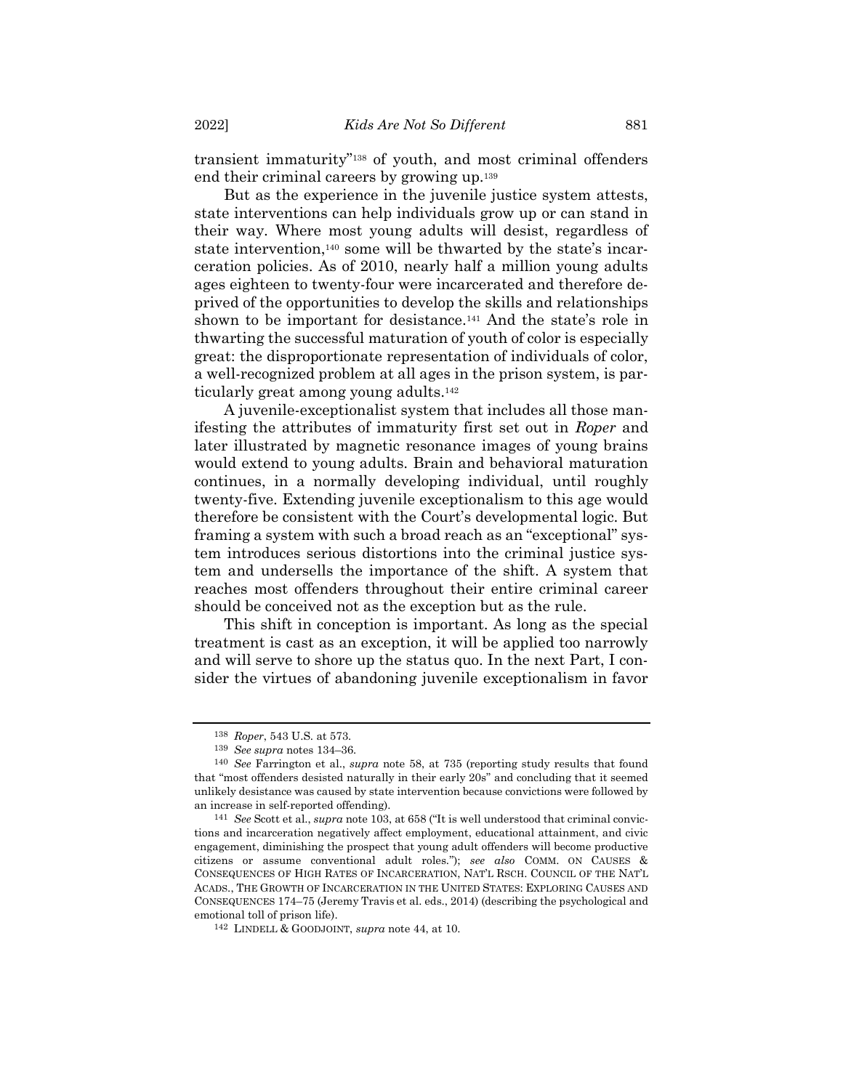transient immaturity"<sup>138</sup> of youth, and most criminal offenders end their criminal careers by growing up.<sup>139</sup>

But as the experience in the juvenile justice system attests, state interventions can help individuals grow up or can stand in their way. Where most young adults will desist, regardless of state intervention,<sup>140</sup> some will be thwarted by the state's incarceration policies. As of 2010, nearly half a million young adults ages eighteen to twenty-four were incarcerated and therefore deprived of the opportunities to develop the skills and relationships shown to be important for desistance.<sup>141</sup> And the state's role in thwarting the successful maturation of youth of color is especially great: the disproportionate representation of individuals of color, a well-recognized problem at all ages in the prison system, is particularly great among young adults.<sup>142</sup>

A juvenile-exceptionalist system that includes all those manifesting the attributes of immaturity first set out in *Roper* and later illustrated by magnetic resonance images of young brains would extend to young adults. Brain and behavioral maturation continues, in a normally developing individual, until roughly twenty-five. Extending juvenile exceptionalism to this age would therefore be consistent with the Court's developmental logic. But framing a system with such a broad reach as an "exceptional" system introduces serious distortions into the criminal justice system and undersells the importance of the shift. A system that reaches most offenders throughout their entire criminal career should be conceived not as the exception but as the rule.

This shift in conception is important. As long as the special treatment is cast as an exception, it will be applied too narrowly and will serve to shore up the status quo. In the next Part, I consider the virtues of abandoning juvenile exceptionalism in favor

<sup>138</sup> *Roper*, 543 U.S. at 573.

<sup>139</sup> *See supra* notes [134](#page-37-0)–36.

<sup>140</sup> *See* Farrington et al., *supra* note [58,](#page-16-0) at 735 (reporting study results that found that "most offenders desisted naturally in their early 20s" and concluding that it seemed unlikely desistance was caused by state intervention because convictions were followed by an increase in self-reported offending).

<sup>141</sup> *See* Scott et al., *supra* not[e 103,](#page-30-0) at 658 ("It is well understood that criminal convictions and incarceration negatively affect employment, educational attainment, and civic engagement, diminishing the prospect that young adult offenders will become productive citizens or assume conventional adult roles."); *see also* COMM. ON CAUSES & CONSEQUENCES OF HIGH RATES OF INCARCERATION, NAT'L RSCH. COUNCIL OF THE NAT'L ACADS., THE GROWTH OF INCARCERATION IN THE UNITED STATES: EXPLORING CAUSES AND CONSEQUENCES 174–75 (Jeremy Travis et al. eds., 2014) (describing the psychological and emotional toll of prison life).

<sup>142</sup> LINDELL & GOODJOINT, *supra* not[e 44,](#page-13-1) at 10.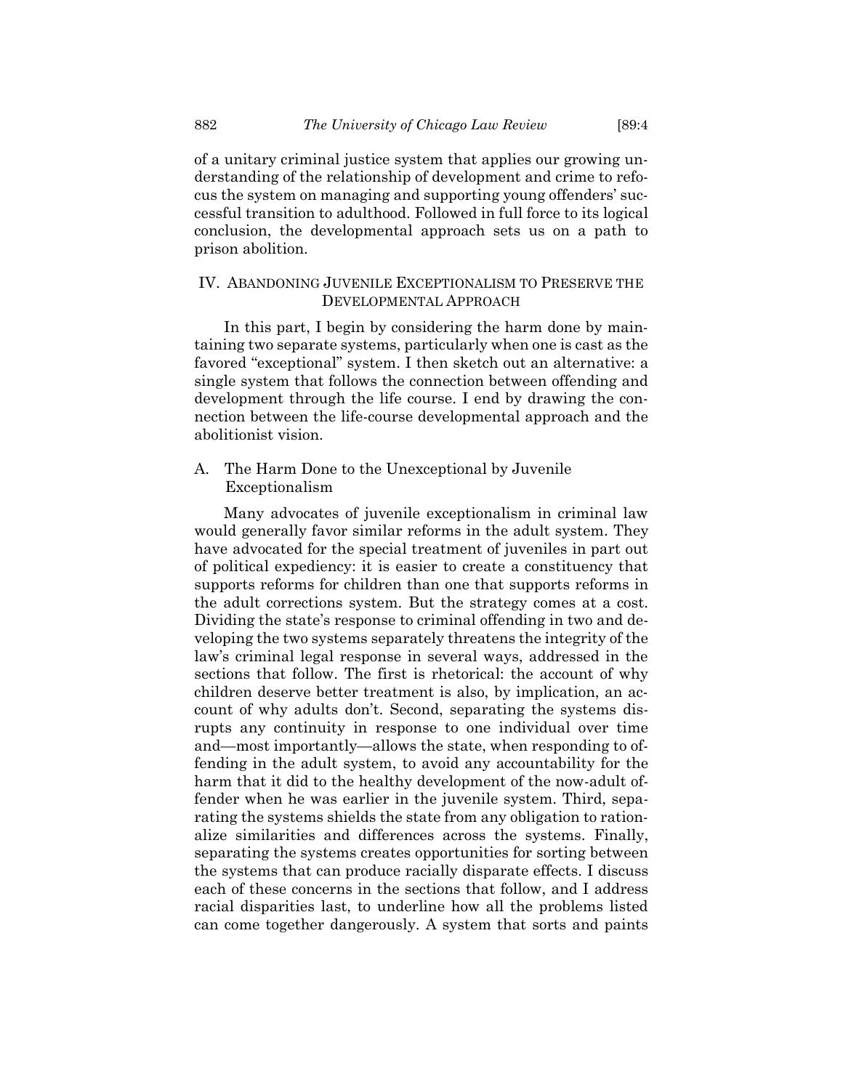of a unitary criminal justice system that applies our growing understanding of the relationship of development and crime to refocus the system on managing and supporting young offenders' successful transition to adulthood. Followed in full force to its logical conclusion, the developmental approach sets us on a path to prison abolition.

## IV. ABANDONING JUVENILE EXCEPTIONALISM TO PRESERVE THE DEVELOPMENTAL APPROACH

In this part, I begin by considering the harm done by maintaining two separate systems, particularly when one is cast as the favored "exceptional" system. I then sketch out an alternative: a single system that follows the connection between offending and development through the life course. I end by drawing the connection between the life-course developmental approach and the abolitionist vision.

## A. The Harm Done to the Unexceptional by Juvenile Exceptionalism

Many advocates of juvenile exceptionalism in criminal law would generally favor similar reforms in the adult system. They have advocated for the special treatment of juveniles in part out of political expediency: it is easier to create a constituency that supports reforms for children than one that supports reforms in the adult corrections system. But the strategy comes at a cost. Dividing the state's response to criminal offending in two and developing the two systems separately threatens the integrity of the law's criminal legal response in several ways, addressed in the sections that follow. The first is rhetorical: the account of why children deserve better treatment is also, by implication, an account of why adults don't. Second, separating the systems disrupts any continuity in response to one individual over time and—most importantly—allows the state, when responding to offending in the adult system, to avoid any accountability for the harm that it did to the healthy development of the now-adult offender when he was earlier in the juvenile system. Third, separating the systems shields the state from any obligation to rationalize similarities and differences across the systems. Finally, separating the systems creates opportunities for sorting between the systems that can produce racially disparate effects. I discuss each of these concerns in the sections that follow, and I address racial disparities last, to underline how all the problems listed can come together dangerously. A system that sorts and paints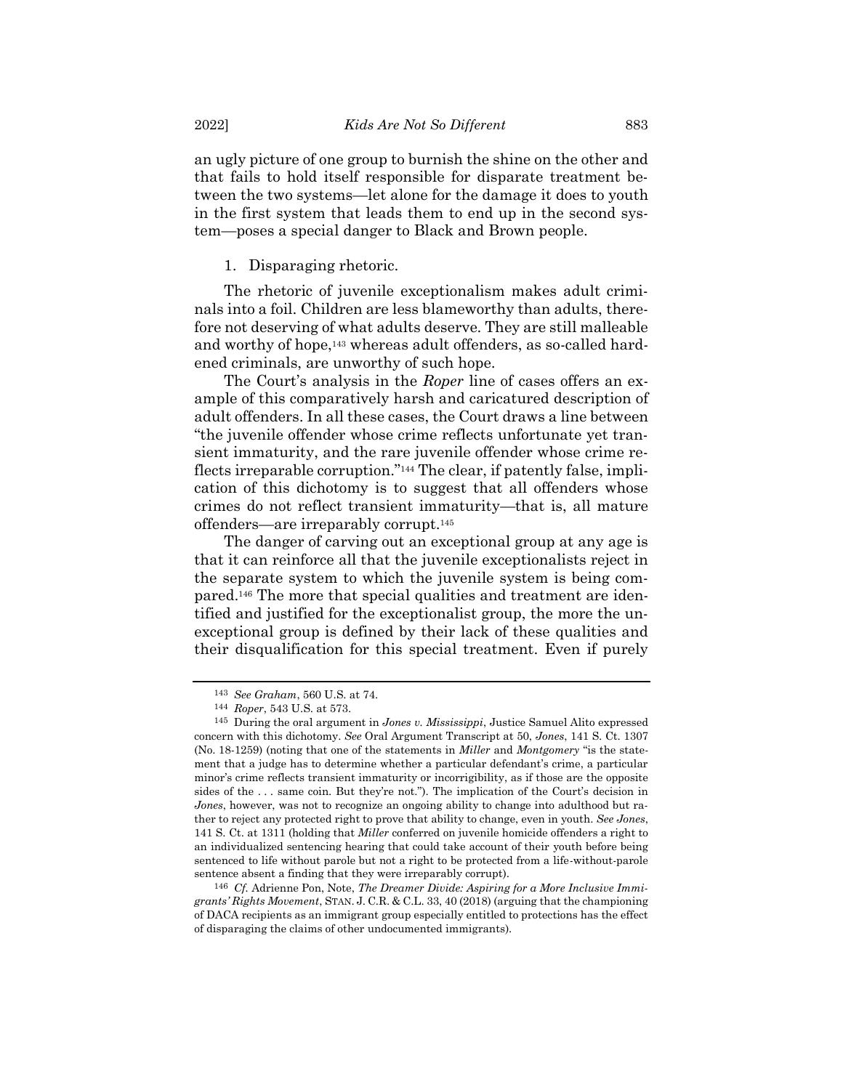an ugly picture of one group to burnish the shine on the other and that fails to hold itself responsible for disparate treatment between the two systems—let alone for the damage it does to youth in the first system that leads them to end up in the second system—poses a special danger to Black and Brown people.

#### 1. Disparaging rhetoric.

The rhetoric of juvenile exceptionalism makes adult criminals into a foil. Children are less blameworthy than adults, therefore not deserving of what adults deserve. They are still malleable and worthy of hope,<sup>143</sup> whereas adult offenders, as so-called hardened criminals, are unworthy of such hope.

The Court's analysis in the *Roper* line of cases offers an example of this comparatively harsh and caricatured description of adult offenders. In all these cases, the Court draws a line between "the juvenile offender whose crime reflects unfortunate yet transient immaturity, and the rare juvenile offender whose crime reflects irreparable corruption."<sup>144</sup> The clear, if patently false, implication of this dichotomy is to suggest that all offenders whose crimes do not reflect transient immaturity—that is, all mature offenders—are irreparably corrupt.<sup>145</sup>

The danger of carving out an exceptional group at any age is that it can reinforce all that the juvenile exceptionalists reject in the separate system to which the juvenile system is being compared.<sup>146</sup> The more that special qualities and treatment are identified and justified for the exceptionalist group, the more the unexceptional group is defined by their lack of these qualities and their disqualification for this special treatment. Even if purely

<sup>143</sup> *See Graham*, 560 U.S. at 74.

<sup>144</sup> *Roper*, 543 U.S. at 573.

<sup>145</sup> During the oral argument in *Jones v. Mississippi*, Justice Samuel Alito expressed concern with this dichotomy. *See* Oral Argument Transcript at 50, *Jones*, 141 S. Ct. 1307 (No. 18-1259) (noting that one of the statements in *Miller* and *Montgomery* "is the statement that a judge has to determine whether a particular defendant's crime, a particular minor's crime reflects transient immaturity or incorrigibility, as if those are the opposite sides of the . . . same coin. But they're not."). The implication of the Court's decision in *Jones*, however, was not to recognize an ongoing ability to change into adulthood but rather to reject any protected right to prove that ability to change, even in youth. *See Jones*, 141 S. Ct. at 1311 (holding that *Miller* conferred on juvenile homicide offenders a right to an individualized sentencing hearing that could take account of their youth before being sentenced to life without parole but not a right to be protected from a life-without-parole sentence absent a finding that they were irreparably corrupt).

<sup>146</sup> *Cf.* Adrienne Pon, Note, *The Dreamer Divide: Aspiring for a More Inclusive Immigrants' Rights Movement*, STAN. J. C.R. & C.L. 33, 40 (2018) (arguing that the championing of DACA recipients as an immigrant group especially entitled to protections has the effect of disparaging the claims of other undocumented immigrants).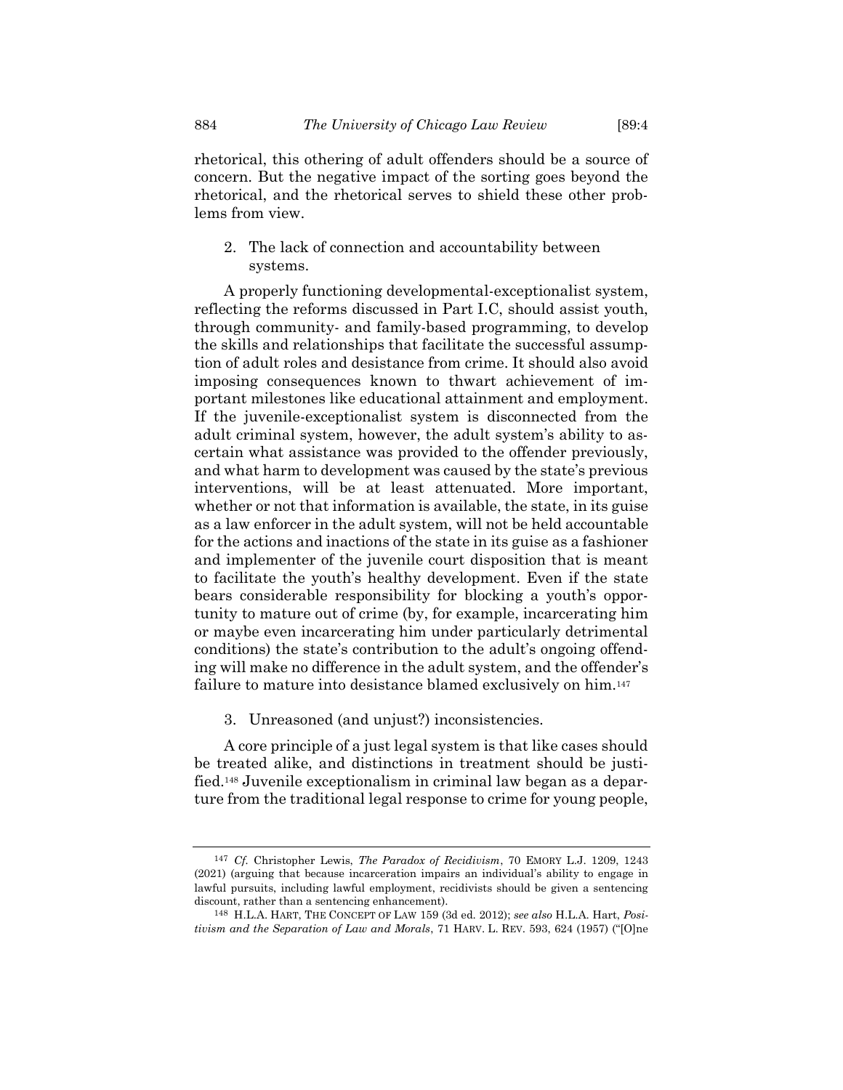rhetorical, this othering of adult offenders should be a source of concern. But the negative impact of the sorting goes beyond the rhetorical, and the rhetorical serves to shield these other problems from view.

2. The lack of connection and accountability between systems.

A properly functioning developmental-exceptionalist system, reflecting the reforms discussed in Part I.C, should assist youth, through community- and family-based programming, to develop the skills and relationships that facilitate the successful assumption of adult roles and desistance from crime. It should also avoid imposing consequences known to thwart achievement of important milestones like educational attainment and employment. If the juvenile-exceptionalist system is disconnected from the adult criminal system, however, the adult system's ability to ascertain what assistance was provided to the offender previously, and what harm to development was caused by the state's previous interventions, will be at least attenuated. More important, whether or not that information is available, the state, in its guise as a law enforcer in the adult system, will not be held accountable for the actions and inactions of the state in its guise as a fashioner and implementer of the juvenile court disposition that is meant to facilitate the youth's healthy development. Even if the state bears considerable responsibility for blocking a youth's opportunity to mature out of crime (by, for example, incarcerating him or maybe even incarcerating him under particularly detrimental conditions) the state's contribution to the adult's ongoing offending will make no difference in the adult system, and the offender's failure to mature into desistance blamed exclusively on him.<sup>147</sup>

3. Unreasoned (and unjust?) inconsistencies.

A core principle of a just legal system is that like cases should be treated alike, and distinctions in treatment should be justified.<sup>148</sup> Juvenile exceptionalism in criminal law began as a departure from the traditional legal response to crime for young people,

<sup>147</sup> *Cf.* Christopher Lewis, *The Paradox of Recidivism*, 70 EMORY L.J. 1209, 1243 (2021) (arguing that because incarceration impairs an individual's ability to engage in lawful pursuits, including lawful employment, recidivists should be given a sentencing discount, rather than a sentencing enhancement).

<sup>148</sup> H.L.A. HART, THE CONCEPT OF LAW 159 (3d ed. 2012); *see also* H.L.A. Hart, *Positivism and the Separation of Law and Morals*, 71 HARV. L. REV. 593, 624 (1957) ("[O]ne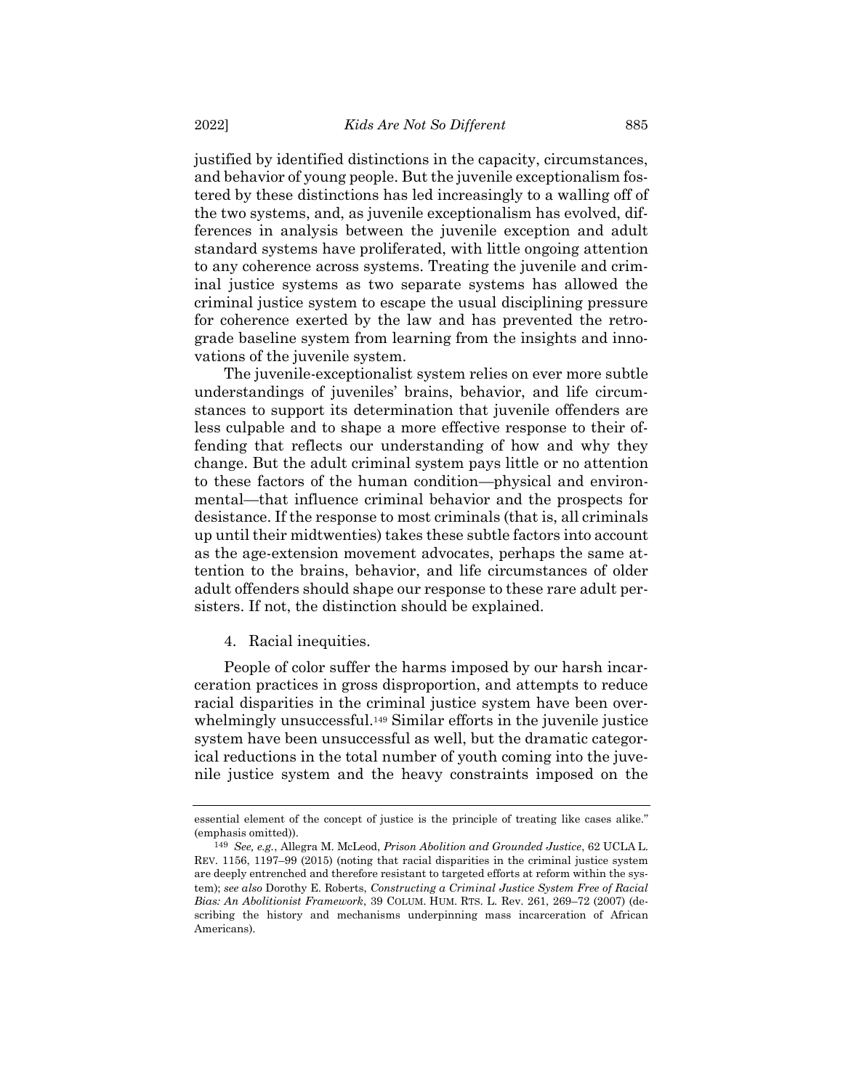justified by identified distinctions in the capacity, circumstances, and behavior of young people. But the juvenile exceptionalism fostered by these distinctions has led increasingly to a walling off of the two systems, and, as juvenile exceptionalism has evolved, differences in analysis between the juvenile exception and adult standard systems have proliferated, with little ongoing attention to any coherence across systems. Treating the juvenile and criminal justice systems as two separate systems has allowed the criminal justice system to escape the usual disciplining pressure for coherence exerted by the law and has prevented the retrograde baseline system from learning from the insights and innovations of the juvenile system.

The juvenile-exceptionalist system relies on ever more subtle understandings of juveniles' brains, behavior, and life circumstances to support its determination that juvenile offenders are less culpable and to shape a more effective response to their offending that reflects our understanding of how and why they change. But the adult criminal system pays little or no attention to these factors of the human condition—physical and environmental—that influence criminal behavior and the prospects for desistance. If the response to most criminals (that is, all criminals up until their midtwenties) takes these subtle factors into account as the age-extension movement advocates, perhaps the same attention to the brains, behavior, and life circumstances of older adult offenders should shape our response to these rare adult persisters. If not, the distinction should be explained.

#### <span id="page-42-0"></span>4. Racial inequities.

People of color suffer the harms imposed by our harsh incarceration practices in gross disproportion, and attempts to reduce racial disparities in the criminal justice system have been overwhelmingly unsuccessful.<sup>149</sup> Similar efforts in the juvenile justice system have been unsuccessful as well, but the dramatic categorical reductions in the total number of youth coming into the juvenile justice system and the heavy constraints imposed on the

essential element of the concept of justice is the principle of treating like cases alike." (emphasis omitted)).

<sup>149</sup> *See, e.g.*, Allegra M. McLeod, *Prison Abolition and Grounded Justice*, 62 UCLA L. REV. 1156, 1197–99 (2015) (noting that racial disparities in the criminal justice system are deeply entrenched and therefore resistant to targeted efforts at reform within the system); *see also* Dorothy E. Roberts, *Constructing a Criminal Justice System Free of Racial Bias: An Abolitionist Framework*, 39 COLUM. HUM. RTS. L. Rev. 261, 269–72 (2007) (describing the history and mechanisms underpinning mass incarceration of African Americans).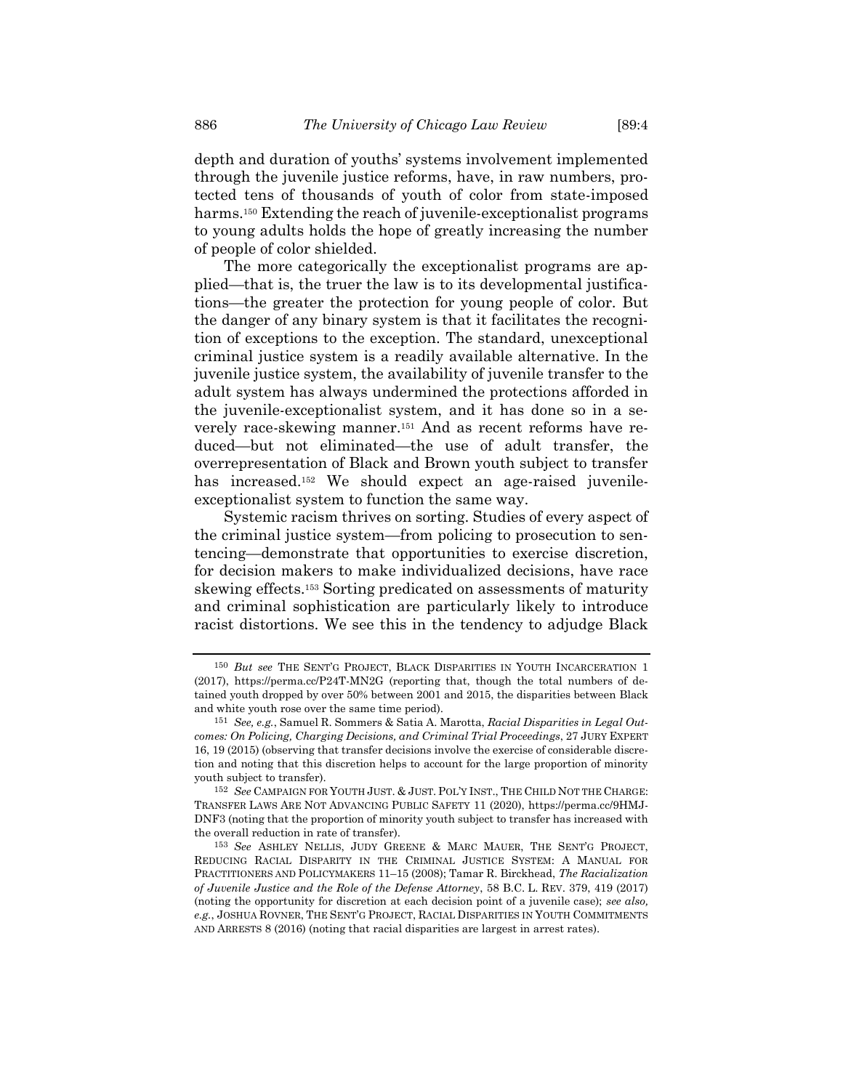depth and duration of youths' systems involvement implemented through the juvenile justice reforms, have, in raw numbers, protected tens of thousands of youth of color from state-imposed harms.<sup>150</sup> Extending the reach of juvenile-exceptionalist programs to young adults holds the hope of greatly increasing the number of people of color shielded.

The more categorically the exceptionalist programs are applied—that is, the truer the law is to its developmental justifications—the greater the protection for young people of color. But the danger of any binary system is that it facilitates the recognition of exceptions to the exception. The standard, unexceptional criminal justice system is a readily available alternative. In the juvenile justice system, the availability of juvenile transfer to the adult system has always undermined the protections afforded in the juvenile-exceptionalist system, and it has done so in a severely race-skewing manner.<sup>151</sup> And as recent reforms have reduced—but not eliminated—the use of adult transfer, the overrepresentation of Black and Brown youth subject to transfer has increased.<sup>152</sup> We should expect an age-raised juvenileexceptionalist system to function the same way.

Systemic racism thrives on sorting. Studies of every aspect of the criminal justice system—from policing to prosecution to sentencing—demonstrate that opportunities to exercise discretion, for decision makers to make individualized decisions, have race skewing effects.<sup>153</sup> Sorting predicated on assessments of maturity and criminal sophistication are particularly likely to introduce racist distortions. We see this in the tendency to adjudge Black

<sup>&</sup>lt;sup>150</sup> But see THE SENT'G PROJECT, BLACK DISPARITIES IN YOUTH INCARCERATION 1 (2017), https://perma.cc/P24T-MN2G (reporting that, though the total numbers of detained youth dropped by over 50% between 2001 and 2015, the disparities between Black and white youth rose over the same time period).

<sup>151</sup> *See, e.g.*, Samuel R. Sommers & Satia A. Marotta, *Racial Disparities in Legal Outcomes: On Policing, Charging Decisions, and Criminal Trial Proceedings*, 27 JURY EXPERT 16, 19 (2015) (observing that transfer decisions involve the exercise of considerable discretion and noting that this discretion helps to account for the large proportion of minority youth subject to transfer).

<sup>152</sup> *See* CAMPAIGN FOR YOUTH JUST. & JUST. POL'Y INST., THE CHILD NOT THE CHARGE: TRANSFER LAWS ARE NOT ADVANCING PUBLIC SAFETY 11 (2020), https://perma.cc/9HMJ-DNF3 (noting that the proportion of minority youth subject to transfer has increased with the overall reduction in rate of transfer).

<sup>153</sup> *See* ASHLEY NELLIS, JUDY GREENE & MARC MAUER, THE SENT'G PROJECT, REDUCING RACIAL DISPARITY IN THE CRIMINAL JUSTICE SYSTEM: A MANUAL FOR PRACTITIONERS AND POLICYMAKERS 11–15 (2008); Tamar R. Birckhead, *The Racialization of Juvenile Justice and the Role of the Defense Attorney*, 58 B.C. L. REV. 379, 419 (2017) (noting the opportunity for discretion at each decision point of a juvenile case); *see also, e.g.*, JOSHUA ROVNER, THE SENT'G PROJECT, RACIAL DISPARITIES IN YOUTH COMMITMENTS AND ARRESTS 8 (2016) (noting that racial disparities are largest in arrest rates).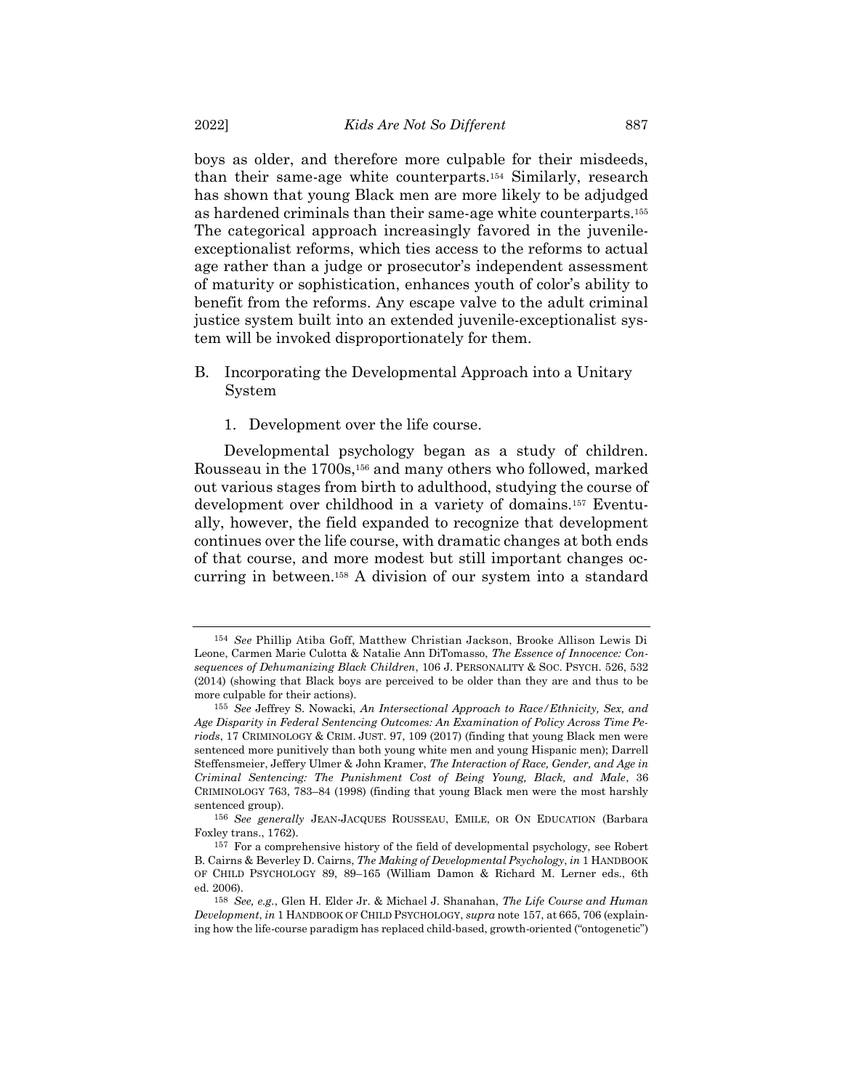boys as older, and therefore more culpable for their misdeeds, than their same-age white counterparts.<sup>154</sup> Similarly, research has shown that young Black men are more likely to be adjudged as hardened criminals than their same-age white counterparts.<sup>155</sup> The categorical approach increasingly favored in the juvenileexceptionalist reforms, which ties access to the reforms to actual age rather than a judge or prosecutor's independent assessment of maturity or sophistication, enhances youth of color's ability to benefit from the reforms. Any escape valve to the adult criminal justice system built into an extended juvenile-exceptionalist system will be invoked disproportionately for them.

- B. Incorporating the Developmental Approach into a Unitary System
	- 1. Development over the life course.

<span id="page-44-0"></span>Developmental psychology began as a study of children. Rousseau in the 1700s,<sup>156</sup> and many others who followed, marked out various stages from birth to adulthood, studying the course of development over childhood in a variety of domains.<sup>157</sup> Eventually, however, the field expanded to recognize that development continues over the life course, with dramatic changes at both ends of that course, and more modest but still important changes occurring in between.<sup>158</sup> A division of our system into a standard

<sup>154</sup> *See* Phillip Atiba Goff, Matthew Christian Jackson, Brooke Allison Lewis Di Leone, Carmen Marie Culotta & Natalie Ann DiTomasso, *The Essence of Innocence: Consequences of Dehumanizing Black Children*, 106 J. PERSONALITY & SOC. PSYCH. 526, 532 (2014) (showing that Black boys are perceived to be older than they are and thus to be more culpable for their actions).

<sup>155</sup> *See* Jeffrey S. Nowacki, *An Intersectional Approach to Race/Ethnicity, Sex, and Age Disparity in Federal Sentencing Outcomes: An Examination of Policy Across Time Periods*, 17 CRIMINOLOGY & CRIM. JUST. 97, 109 (2017) (finding that young Black men were sentenced more punitively than both young white men and young Hispanic men); Darrell Steffensmeier, Jeffery Ulmer & John Kramer, *The Interaction of Race, Gender, and Age in Criminal Sentencing: The Punishment Cost of Being Young, Black, and Male*, 36 CRIMINOLOGY 763, 783–84 (1998) (finding that young Black men were the most harshly sentenced group).

<sup>156</sup> *See generally* JEAN-JACQUES ROUSSEAU, EMILE, OR ON EDUCATION (Barbara Foxley trans., 1762).

<sup>157</sup> For a comprehensive history of the field of developmental psychology, see Robert B. Cairns & Beverley D. Cairns, *The Making of Developmental Psychology*, *in* 1 HANDBOOK OF CHILD PSYCHOLOGY 89, 89–165 (William Damon & Richard M. Lerner eds., 6th ed. 2006).

<sup>158</sup> *See, e.g.*, Glen H. Elder Jr. & Michael J. Shanahan, *The Life Course and Human Development*, *in* 1 HANDBOOK OF CHILD PSYCHOLOGY, *supra* note [157,](#page-44-0) at 665, 706 (explaining how the life-course paradigm has replaced child-based, growth-oriented ("ontogenetic")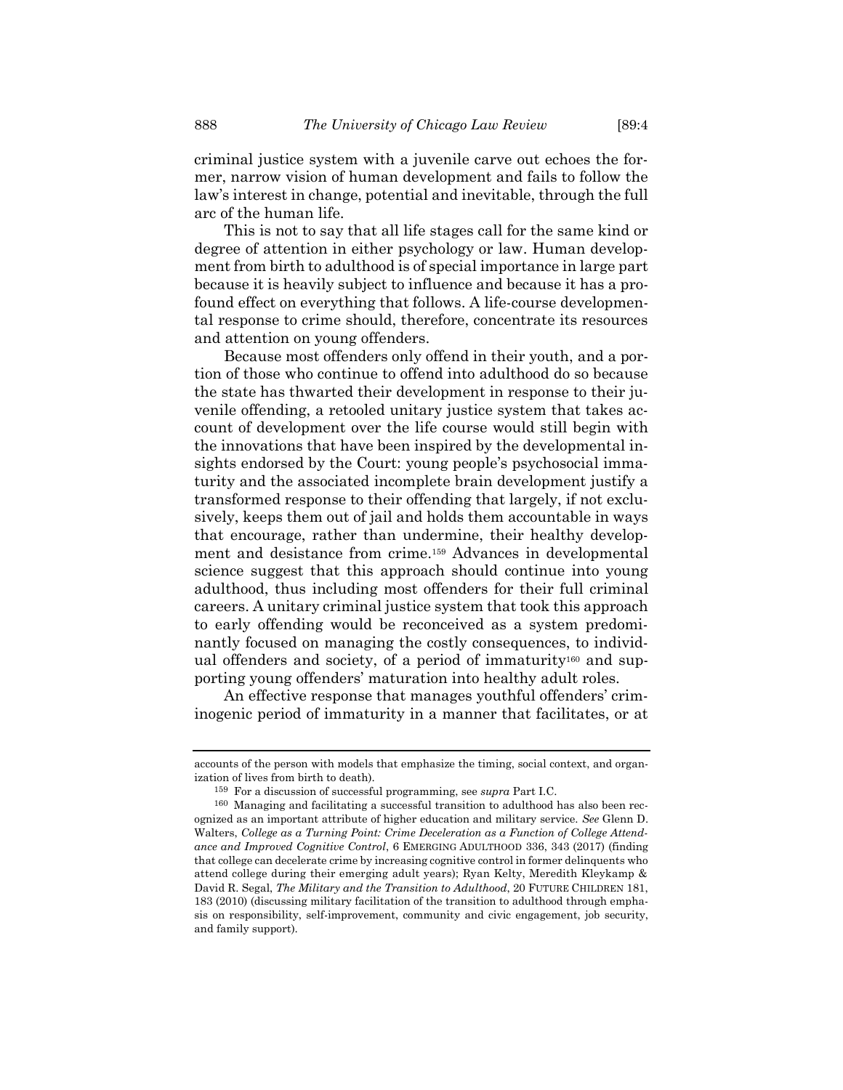criminal justice system with a juvenile carve out echoes the former, narrow vision of human development and fails to follow the law's interest in change, potential and inevitable, through the full arc of the human life.

This is not to say that all life stages call for the same kind or degree of attention in either psychology or law. Human development from birth to adulthood is of special importance in large part because it is heavily subject to influence and because it has a profound effect on everything that follows. A life-course developmental response to crime should, therefore, concentrate its resources and attention on young offenders.

Because most offenders only offend in their youth, and a portion of those who continue to offend into adulthood do so because the state has thwarted their development in response to their juvenile offending, a retooled unitary justice system that takes account of development over the life course would still begin with the innovations that have been inspired by the developmental insights endorsed by the Court: young people's psychosocial immaturity and the associated incomplete brain development justify a transformed response to their offending that largely, if not exclusively, keeps them out of jail and holds them accountable in ways that encourage, rather than undermine, their healthy development and desistance from crime.<sup>159</sup> Advances in developmental science suggest that this approach should continue into young adulthood, thus including most offenders for their full criminal careers. A unitary criminal justice system that took this approach to early offending would be reconceived as a system predominantly focused on managing the costly consequences, to individual offenders and society, of a period of immaturity<sup>160</sup> and supporting young offenders' maturation into healthy adult roles.

An effective response that manages youthful offenders' criminogenic period of immaturity in a manner that facilitates, or at

accounts of the person with models that emphasize the timing, social context, and organization of lives from birth to death).

<sup>159</sup> For a discussion of successful programming, see *supra* Part I.C.

<sup>160</sup> Managing and facilitating a successful transition to adulthood has also been recognized as an important attribute of higher education and military service. *See* Glenn D. Walters, *College as a Turning Point: Crime Deceleration as a Function of College Attendance and Improved Cognitive Control*, 6 EMERGING ADULTHOOD 336, 343 (2017) (finding that college can decelerate crime by increasing cognitive control in former delinquents who attend college during their emerging adult years); Ryan Kelty, Meredith Kleykamp & David R. Segal, *The Military and the Transition to Adulthood*, 20 FUTURE CHILDREN 181, 183 (2010) (discussing military facilitation of the transition to adulthood through emphasis on responsibility, self-improvement, community and civic engagement, job security, and family support).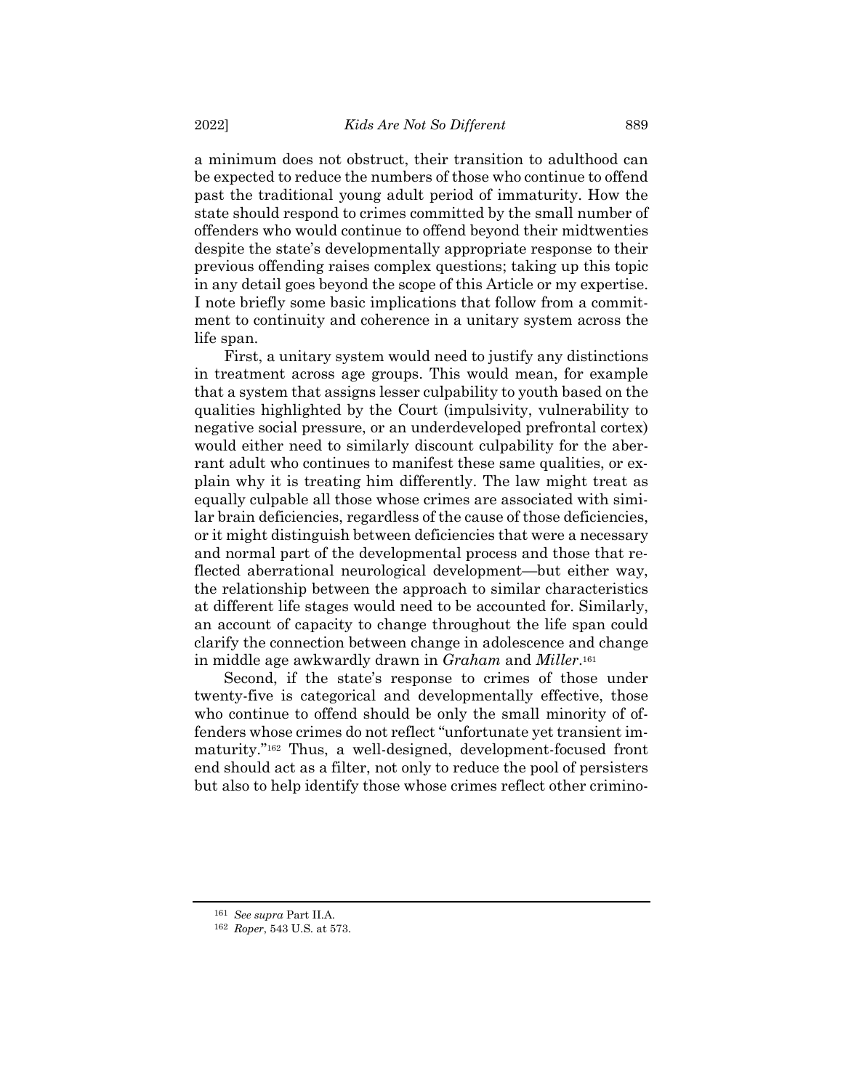a minimum does not obstruct, their transition to adulthood can be expected to reduce the numbers of those who continue to offend past the traditional young adult period of immaturity. How the state should respond to crimes committed by the small number of offenders who would continue to offend beyond their midtwenties despite the state's developmentally appropriate response to their previous offending raises complex questions; taking up this topic in any detail goes beyond the scope of this Article or my expertise. I note briefly some basic implications that follow from a commitment to continuity and coherence in a unitary system across the life span.

First, a unitary system would need to justify any distinctions in treatment across age groups. This would mean, for example that a system that assigns lesser culpability to youth based on the qualities highlighted by the Court (impulsivity, vulnerability to negative social pressure, or an underdeveloped prefrontal cortex) would either need to similarly discount culpability for the aberrant adult who continues to manifest these same qualities, or explain why it is treating him differently. The law might treat as equally culpable all those whose crimes are associated with similar brain deficiencies, regardless of the cause of those deficiencies, or it might distinguish between deficiencies that were a necessary and normal part of the developmental process and those that reflected aberrational neurological development—but either way, the relationship between the approach to similar characteristics at different life stages would need to be accounted for. Similarly, an account of capacity to change throughout the life span could clarify the connection between change in adolescence and change in middle age awkwardly drawn in *Graham* and *Miller*. 161

Second, if the state's response to crimes of those under twenty-five is categorical and developmentally effective, those who continue to offend should be only the small minority of offenders whose crimes do not reflect "unfortunate yet transient immaturity."<sup>162</sup> Thus, a well-designed, development-focused front end should act as a filter, not only to reduce the pool of persisters but also to help identify those whose crimes reflect other crimino-

<sup>161</sup> *See supra* Part II.A.

<sup>162</sup> *Roper*, 543 U.S. at 573.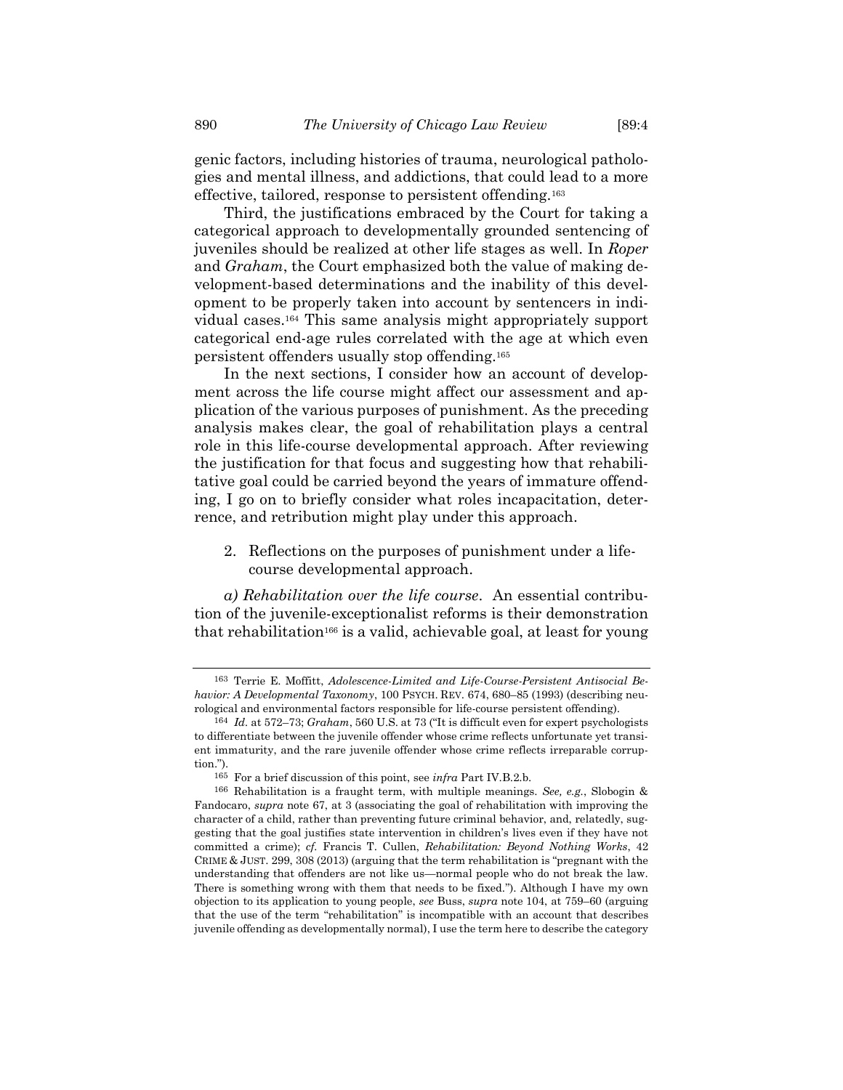genic factors, including histories of trauma, neurological pathologies and mental illness, and addictions, that could lead to a more effective, tailored, response to persistent offending.<sup>163</sup>

Third, the justifications embraced by the Court for taking a categorical approach to developmentally grounded sentencing of juveniles should be realized at other life stages as well. In *Roper* and *Graham*, the Court emphasized both the value of making development-based determinations and the inability of this development to be properly taken into account by sentencers in individual cases. <sup>164</sup> This same analysis might appropriately support categorical end-age rules correlated with the age at which even persistent offenders usually stop offending.<sup>165</sup>

In the next sections, I consider how an account of development across the life course might affect our assessment and application of the various purposes of punishment. As the preceding analysis makes clear, the goal of rehabilitation plays a central role in this life-course developmental approach. After reviewing the justification for that focus and suggesting how that rehabilitative goal could be carried beyond the years of immature offending, I go on to briefly consider what roles incapacitation, deterrence, and retribution might play under this approach.

2. Reflections on the purposes of punishment under a lifecourse developmental approach.

*a) Rehabilitation over the life course*. An essential contribution of the juvenile-exceptionalist reforms is their demonstration that rehabilitation<sup>166</sup> is a valid, achievable goal, at least for young

<sup>163</sup> Terrie E. Moffitt, *Adolescence-Limited and Life-Course-Persistent Antisocial Behavior: A Developmental Taxonomy*, 100 PSYCH. REV. 674, 680–85 (1993) (describing neurological and environmental factors responsible for life-course persistent offending).

<sup>164</sup> *Id.* at 572–73; *Graham*, 560 U.S. at 73 ("It is difficult even for expert psychologists to differentiate between the juvenile offender whose crime reflects unfortunate yet transient immaturity, and the rare juvenile offender whose crime reflects irreparable corruption.").

<sup>165</sup> For a brief discussion of this point, see *infra* Part IV.B.2.b.

<sup>166</sup> Rehabilitation is a fraught term, with multiple meanings. *See, e.g.*, Slobogin & Fandocaro, *supra* note [67,](#page-19-1) at 3 (associating the goal of rehabilitation with improving the character of a child, rather than preventing future criminal behavior, and, relatedly, suggesting that the goal justifies state intervention in children's lives even if they have not committed a crime); *cf.* Francis T. Cullen, *Rehabilitation: Beyond Nothing Works*, 42 CRIME & JUST. 299, 308 (2013) (arguing that the term rehabilitation is "pregnant with the understanding that offenders are not like us—normal people who do not break the law. There is something wrong with them that needs to be fixed."). Although I have my own objection to its application to young people, *see* Buss, *supra* note [104,](#page-30-1) at 759–60 (arguing that the use of the term "rehabilitation" is incompatible with an account that describes juvenile offending as developmentally normal), I use the term here to describe the category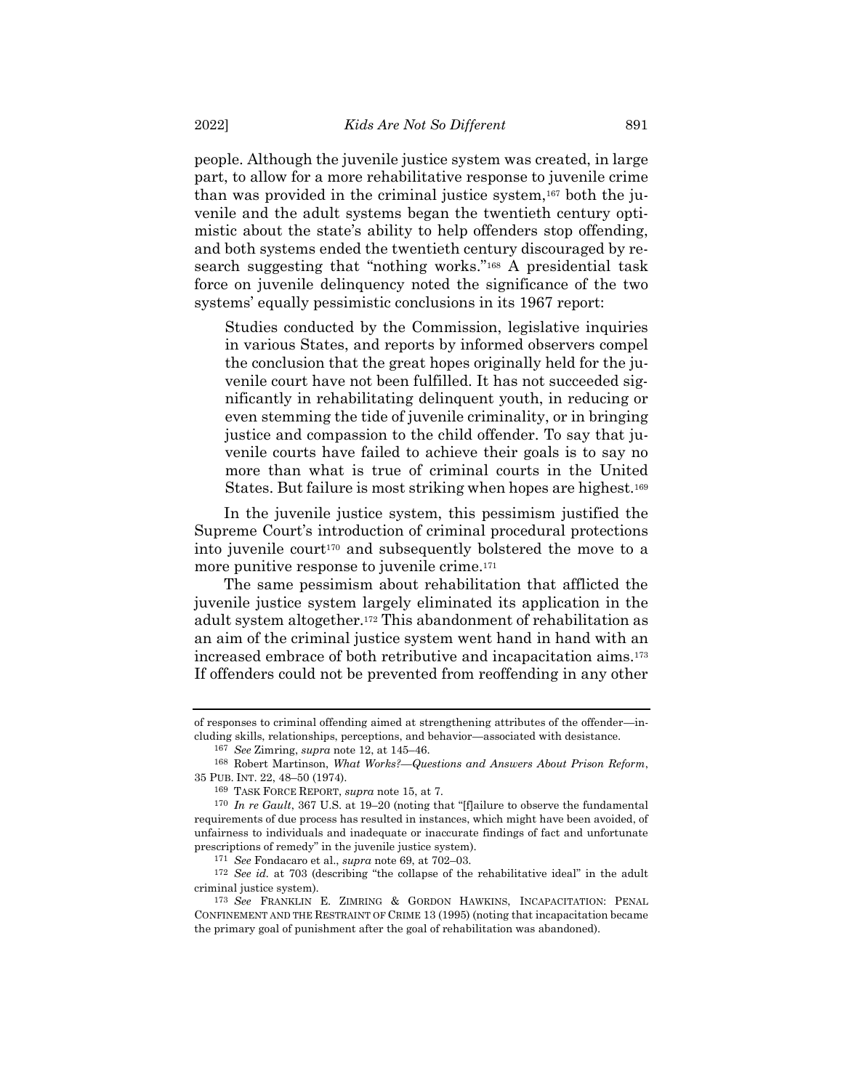people. Although the juvenile justice system was created, in large part, to allow for a more rehabilitative response to juvenile crime than was provided in the criminal justice system,<sup>167</sup> both the juvenile and the adult systems began the twentieth century optimistic about the state's ability to help offenders stop offending, and both systems ended the twentieth century discouraged by research suggesting that "nothing works."<sup>168</sup> A presidential task force on juvenile delinquency noted the significance of the two systems' equally pessimistic conclusions in its 1967 report:

Studies conducted by the Commission, legislative inquiries in various States, and reports by informed observers compel the conclusion that the great hopes originally held for the juvenile court have not been fulfilled. It has not succeeded significantly in rehabilitating delinquent youth, in reducing or even stemming the tide of juvenile criminality, or in bringing justice and compassion to the child offender. To say that juvenile courts have failed to achieve their goals is to say no more than what is true of criminal courts in the United States. But failure is most striking when hopes are highest.<sup>169</sup>

In the juvenile justice system, this pessimism justified the Supreme Court's introduction of criminal procedural protections into juvenile court<sup>170</sup> and subsequently bolstered the move to a more punitive response to juvenile crime.<sup>171</sup>

The same pessimism about rehabilitation that afflicted the juvenile justice system largely eliminated its application in the adult system altogether. <sup>172</sup> This abandonment of rehabilitation as an aim of the criminal justice system went hand in hand with an increased embrace of both retributive and incapacitation aims.<sup>173</sup> If offenders could not be prevented from reoffending in any other

of responses to criminal offending aimed at strengthening attributes of the offender—including skills, relationships, perceptions, and behavior—associated with desistance.

<sup>167</sup> *See* Zimring, *supra* not[e 12,](#page-7-1) at 145–46.

<sup>168</sup> Robert Martinson, *What Works?—Questions and Answers About Prison Reform*, 35 PUB. INT. 22, 48–50 (1974).

<sup>169</sup> TASK FORCE REPORT, *supra* not[e 15,](#page-8-0) at 7.

<sup>170</sup> *In re Gault*, 367 U.S. at 19–20 (noting that "[f]ailure to observe the fundamental requirements of due process has resulted in instances, which might have been avoided, of unfairness to individuals and inadequate or inaccurate findings of fact and unfortunate prescriptions of remedy" in the juvenile justice system).

<sup>171</sup> *See* Fondacaro et al., *supra* not[e 69,](#page-20-1) at 702–03.

<sup>172</sup> *See id.* at 703 (describing "the collapse of the rehabilitative ideal" in the adult criminal justice system).

<sup>173</sup> *See* FRANKLIN E. ZIMRING & GORDON HAWKINS, INCAPACITATION: PENAL CONFINEMENT AND THE RESTRAINT OF CRIME 13 (1995) (noting that incapacitation became the primary goal of punishment after the goal of rehabilitation was abandoned).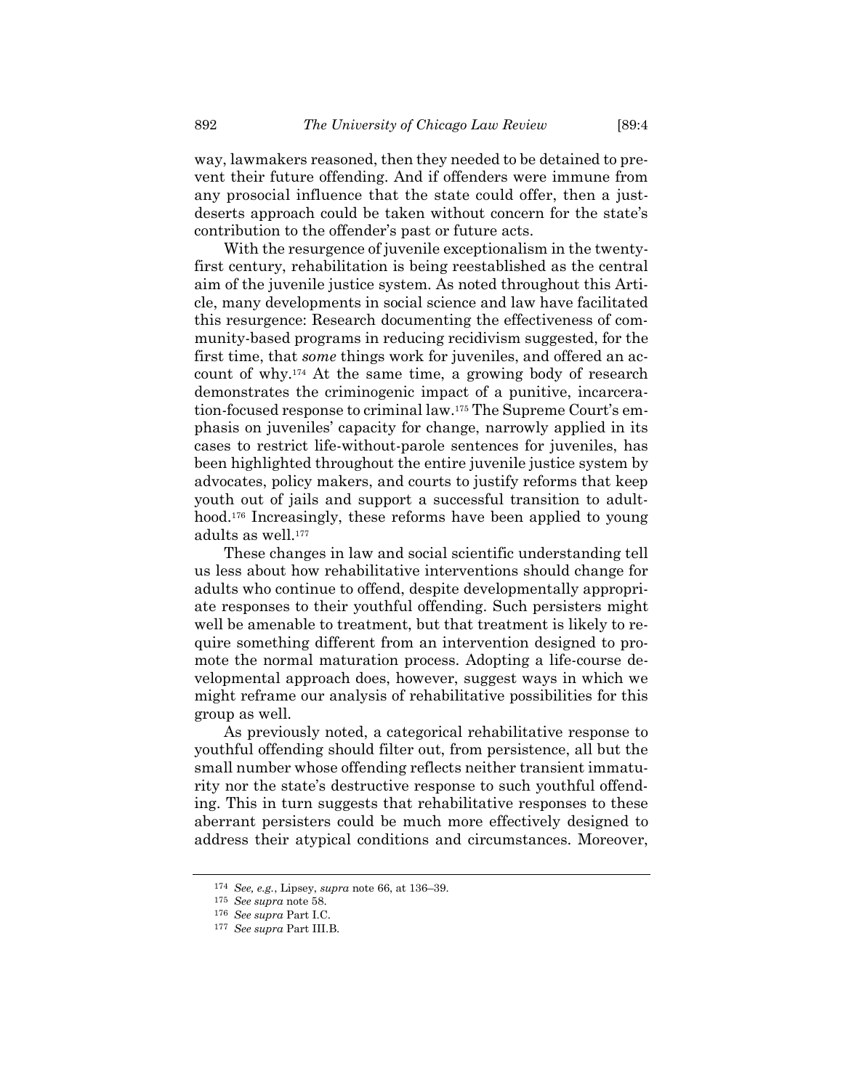way, lawmakers reasoned, then they needed to be detained to prevent their future offending. And if offenders were immune from any prosocial influence that the state could offer, then a justdeserts approach could be taken without concern for the state's contribution to the offender's past or future acts.

With the resurgence of juvenile exceptionalism in the twentyfirst century, rehabilitation is being reestablished as the central aim of the juvenile justice system. As noted throughout this Article, many developments in social science and law have facilitated this resurgence: Research documenting the effectiveness of community-based programs in reducing recidivism suggested, for the first time, that *some* things work for juveniles, and offered an account of why.<sup>174</sup> At the same time, a growing body of research demonstrates the criminogenic impact of a punitive, incarceration-focused response to criminal law.<sup>175</sup> The Supreme Court's emphasis on juveniles' capacity for change, narrowly applied in its cases to restrict life-without-parole sentences for juveniles, has been highlighted throughout the entire juvenile justice system by advocates, policy makers, and courts to justify reforms that keep youth out of jails and support a successful transition to adulthood.<sup>176</sup> Increasingly, these reforms have been applied to young adults as well.<sup>177</sup>

These changes in law and social scientific understanding tell us less about how rehabilitative interventions should change for adults who continue to offend, despite developmentally appropriate responses to their youthful offending. Such persisters might well be amenable to treatment, but that treatment is likely to require something different from an intervention designed to promote the normal maturation process. Adopting a life-course developmental approach does, however, suggest ways in which we might reframe our analysis of rehabilitative possibilities for this group as well.

As previously noted, a categorical rehabilitative response to youthful offending should filter out, from persistence, all but the small number whose offending reflects neither transient immaturity nor the state's destructive response to such youthful offending. This in turn suggests that rehabilitative responses to these aberrant persisters could be much more effectively designed to address their atypical conditions and circumstances. Moreover,

<sup>174</sup> *See, e.g.*, Lipsey, *supra* note [66,](#page-19-0) at 136–39.

<sup>175</sup> *See supra* not[e 58.](#page-16-0)

<sup>176</sup> *See supra* Part I.C.

<sup>177</sup> *See supra* Part III.B.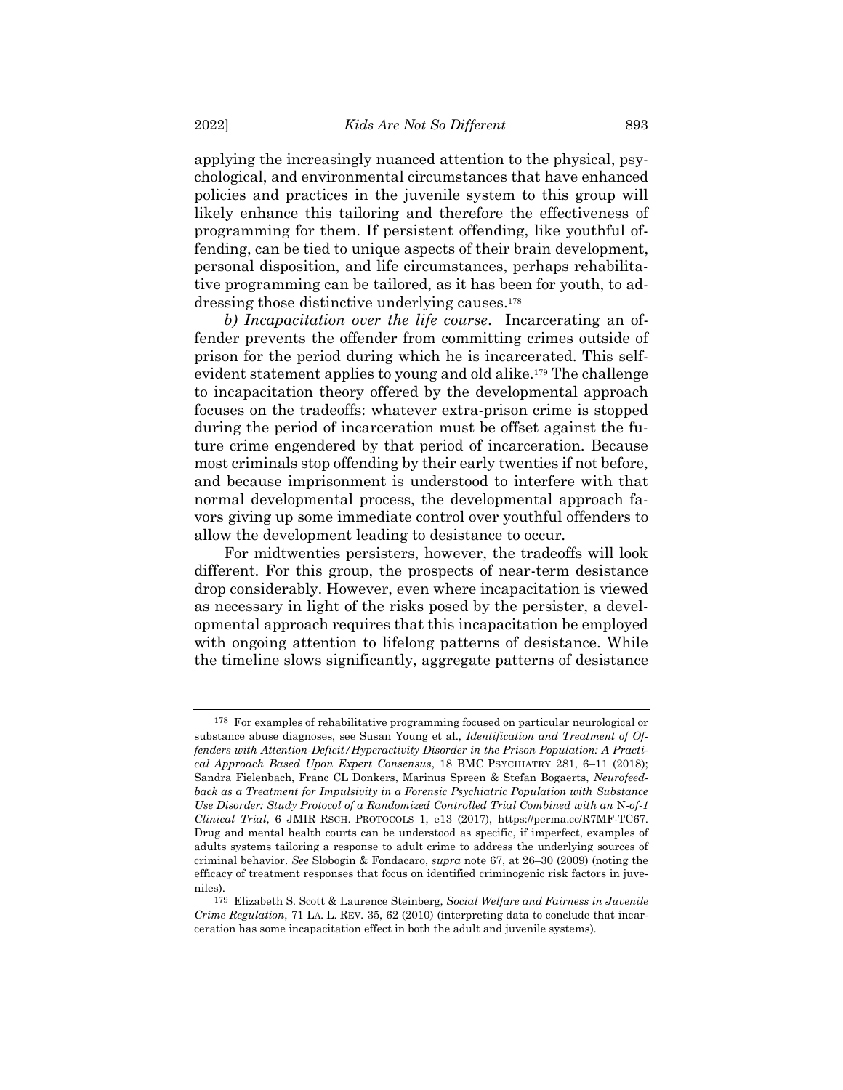applying the increasingly nuanced attention to the physical, psychological, and environmental circumstances that have enhanced policies and practices in the juvenile system to this group will likely enhance this tailoring and therefore the effectiveness of programming for them. If persistent offending, like youthful offending, can be tied to unique aspects of their brain development, personal disposition, and life circumstances, perhaps rehabilitative programming can be tailored, as it has been for youth, to addressing those distinctive underlying causes. 178

<span id="page-50-0"></span>*b) Incapacitation over the life course*. Incarcerating an offender prevents the offender from committing crimes outside of prison for the period during which he is incarcerated. This selfevident statement applies to young and old alike.<sup>179</sup> The challenge to incapacitation theory offered by the developmental approach focuses on the tradeoffs: whatever extra-prison crime is stopped during the period of incarceration must be offset against the future crime engendered by that period of incarceration. Because most criminals stop offending by their early twenties if not before, and because imprisonment is understood to interfere with that normal developmental process, the developmental approach favors giving up some immediate control over youthful offenders to allow the development leading to desistance to occur.

For midtwenties persisters, however, the tradeoffs will look different. For this group, the prospects of near-term desistance drop considerably. However, even where incapacitation is viewed as necessary in light of the risks posed by the persister, a developmental approach requires that this incapacitation be employed with ongoing attention to lifelong patterns of desistance. While the timeline slows significantly, aggregate patterns of desistance

<sup>178</sup> For examples of rehabilitative programming focused on particular neurological or substance abuse diagnoses, see Susan Young et al., *Identification and Treatment of Offenders with Attention-Deficit/Hyperactivity Disorder in the Prison Population: A Practical Approach Based Upon Expert Consensus*, 18 BMC PSYCHIATRY 281, 6–11 (2018); Sandra Fielenbach, Franc CL Donkers, Marinus Spreen & Stefan Bogaerts, *Neurofeedback as a Treatment for Impulsivity in a Forensic Psychiatric Population with Substance Use Disorder: Study Protocol of a Randomized Controlled Trial Combined with an* N*-of-1 Clinical Trial*, 6 JMIR RSCH. PROTOCOLS 1, e13 (2017), https://perma.cc/R7MF-TC67. Drug and mental health courts can be understood as specific, if imperfect, examples of adults systems tailoring a response to adult crime to address the underlying sources of criminal behavior. *See* Slobogin & Fondacaro, *supra* note [67,](#page-19-1) at 26–30 (2009) (noting the efficacy of treatment responses that focus on identified criminogenic risk factors in juveniles).

<sup>179</sup> Elizabeth S. Scott & Laurence Steinberg, *Social Welfare and Fairness in Juvenile Crime Regulation*, 71 LA. L. REV. 35, 62 (2010) (interpreting data to conclude that incarceration has some incapacitation effect in both the adult and juvenile systems).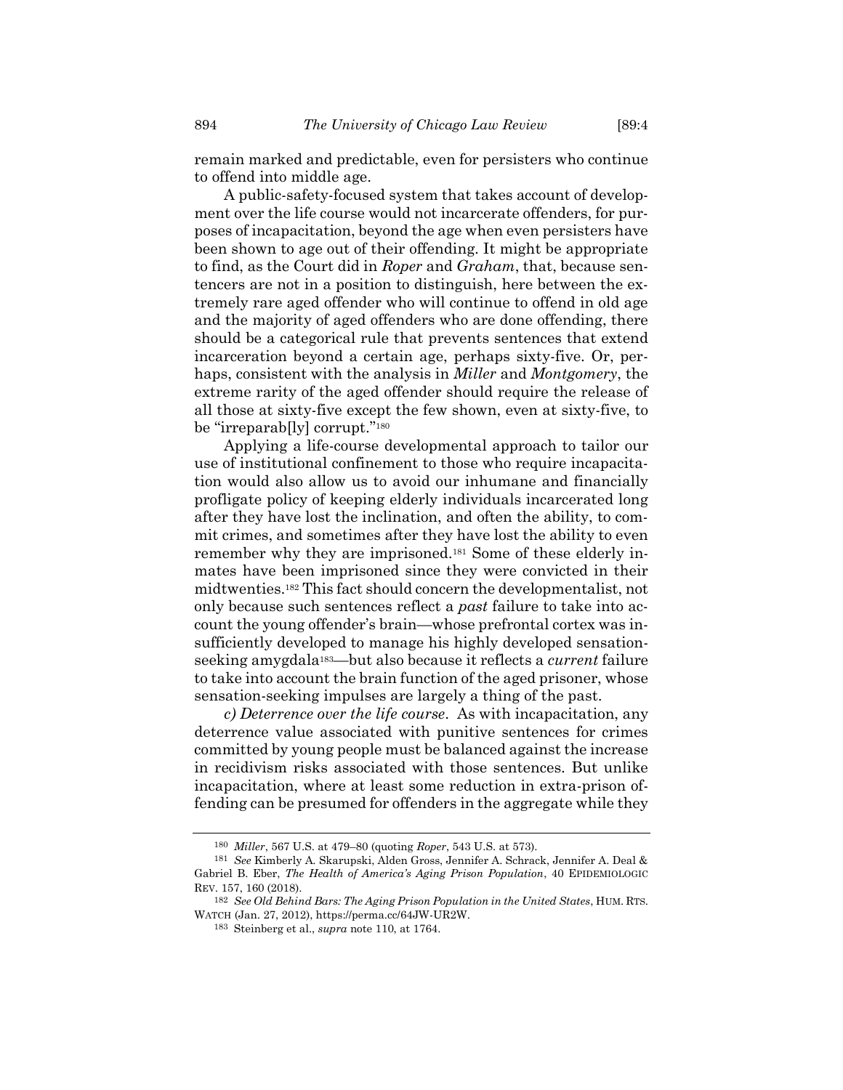remain marked and predictable, even for persisters who continue to offend into middle age.

A public-safety-focused system that takes account of development over the life course would not incarcerate offenders, for purposes of incapacitation, beyond the age when even persisters have been shown to age out of their offending. It might be appropriate to find, as the Court did in *Roper* and *Graham*, that, because sentencers are not in a position to distinguish, here between the extremely rare aged offender who will continue to offend in old age and the majority of aged offenders who are done offending, there should be a categorical rule that prevents sentences that extend incarceration beyond a certain age, perhaps sixty-five. Or, perhaps, consistent with the analysis in *Miller* and *Montgomery*, the extreme rarity of the aged offender should require the release of all those at sixty-five except the few shown, even at sixty-five, to be "irreparab[ly] corrupt."<sup>180</sup>

Applying a life-course developmental approach to tailor our use of institutional confinement to those who require incapacitation would also allow us to avoid our inhumane and financially profligate policy of keeping elderly individuals incarcerated long after they have lost the inclination, and often the ability, to commit crimes, and sometimes after they have lost the ability to even remember why they are imprisoned.<sup>181</sup> Some of these elderly inmates have been imprisoned since they were convicted in their midtwenties.<sup>182</sup> This fact should concern the developmentalist, not only because such sentences reflect a *past* failure to take into account the young offender's brain—whose prefrontal cortex was insufficiently developed to manage his highly developed sensationseeking amygdala183—but also because it reflects a *current* failure to take into account the brain function of the aged prisoner, whose sensation-seeking impulses are largely a thing of the past.

*c) Deterrence over the life course*. As with incapacitation, any deterrence value associated with punitive sentences for crimes committed by young people must be balanced against the increase in recidivism risks associated with those sentences. But unlike incapacitation, where at least some reduction in extra-prison offending can be presumed for offenders in the aggregate while they

<sup>180</sup> *Miller*, 567 U.S. at 479–80 (quoting *Roper*, 543 U.S. at 573).

<sup>181</sup> *See* Kimberly A. Skarupski, Alden Gross, Jennifer A. Schrack, Jennifer A. Deal & Gabriel B. Eber, *The Health of America's Aging Prison Population*, 40 EPIDEMIOLOGIC REV. 157, 160 (2018).

<sup>182</sup> *See Old Behind Bars: The Aging Prison Population in the United States*, HUM. RTS. WATCH (Jan. 27, 2012), https://perma.cc/64JW-UR2W.

<sup>183</sup> Steinberg et al., *supra* not[e 110,](#page-32-0) at 1764.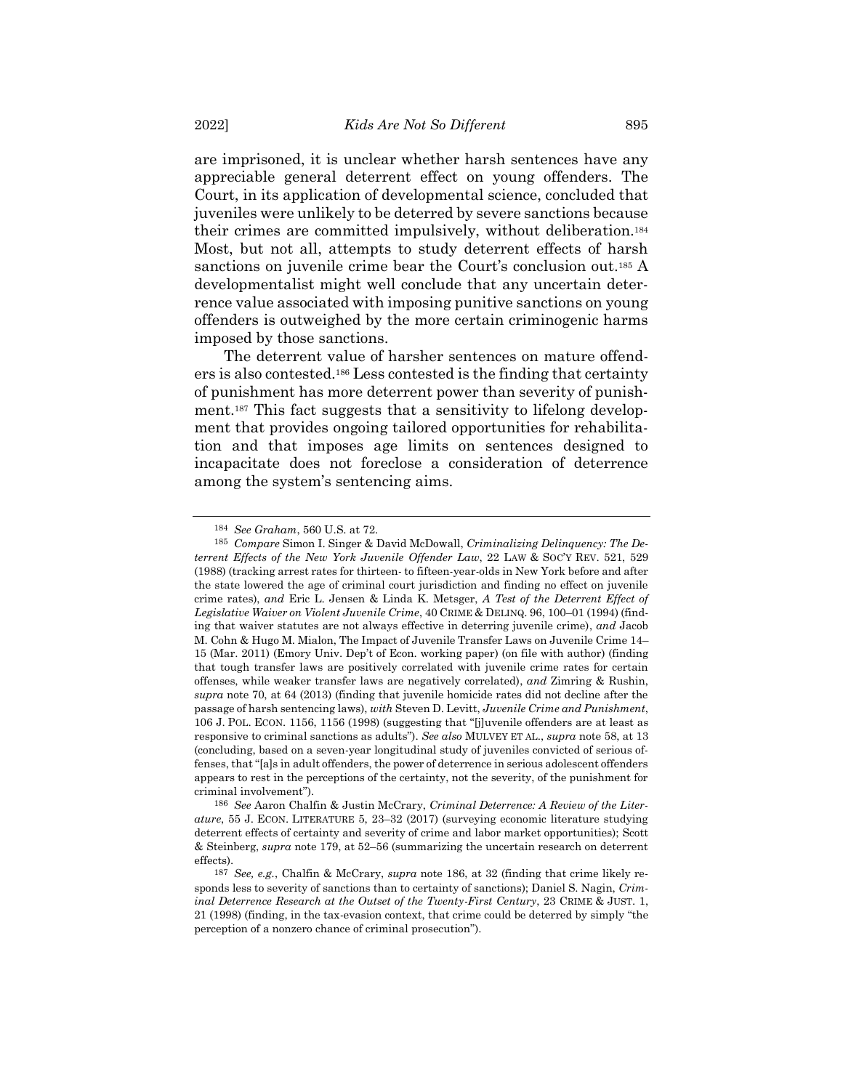are imprisoned, it is unclear whether harsh sentences have any appreciable general deterrent effect on young offenders. The Court, in its application of developmental science, concluded that juveniles were unlikely to be deterred by severe sanctions because their crimes are committed impulsively, without deliberation.<sup>184</sup> Most, but not all, attempts to study deterrent effects of harsh sanctions on juvenile crime bear the Court's conclusion out.<sup>185</sup> A developmentalist might well conclude that any uncertain deterrence value associated with imposing punitive sanctions on young offenders is outweighed by the more certain criminogenic harms imposed by those sanctions.

<span id="page-52-0"></span>The deterrent value of harsher sentences on mature offenders is also contested.<sup>186</sup> Less contested is the finding that certainty of punishment has more deterrent power than severity of punishment.<sup>187</sup> This fact suggests that a sensitivity to lifelong development that provides ongoing tailored opportunities for rehabilitation and that imposes age limits on sentences designed to incapacitate does not foreclose a consideration of deterrence among the system's sentencing aims.

<sup>184</sup> *See Graham*, 560 U.S. at 72.

<sup>185</sup> *Compare* Simon I. Singer & David McDowall, *Criminalizing Delinquency: The Deterrent Effects of the New York Juvenile Offender Law*, 22 LAW & SOC'Y REV. 521, 529 (1988) (tracking arrest rates for thirteen- to fifteen-year-olds in New York before and after the state lowered the age of criminal court jurisdiction and finding no effect on juvenile crime rates), *and* Eric L. Jensen & Linda K. Metsger, *A Test of the Deterrent Effect of Legislative Waiver on Violent Juvenile Crime*, 40 CRIME & DELINQ. 96, 100–01 (1994) (finding that waiver statutes are not always effective in deterring juvenile crime), *and* Jacob M. Cohn & Hugo M. Mialon, The Impact of Juvenile Transfer Laws on Juvenile Crime 14– 15 (Mar. 2011) (Emory Univ. Dep't of Econ. working paper) (on file with author) (finding that tough transfer laws are positively correlated with juvenile crime rates for certain offenses, while weaker transfer laws are negatively correlated), *and* Zimring & Rushin, *supra* note [70,](#page-20-2) at 64 (2013) (finding that juvenile homicide rates did not decline after the passage of harsh sentencing laws), *with* Steven D. Levitt, *Juvenile Crime and Punishment*, 106 J. POL. ECON. 1156, 1156 (1998) (suggesting that "[j]uvenile offenders are at least as responsive to criminal sanctions as adults"). *See also* MULVEY ET AL., *supra* note [58,](#page-16-0) at 13 (concluding, based on a seven-year longitudinal study of juveniles convicted of serious offenses, that "[a]s in adult offenders, the power of deterrence in serious adolescent offenders appears to rest in the perceptions of the certainty, not the severity, of the punishment for criminal involvement").

<sup>186</sup> *See* Aaron Chalfin & Justin McCrary, *Criminal Deterrence: A Review of the Literature*, 55 J. ECON. LITERATURE 5, 23–32 (2017) (surveying economic literature studying deterrent effects of certainty and severity of crime and labor market opportunities); Scott & Steinberg, *supra* not[e 179,](#page-50-0) at 52–56 (summarizing the uncertain research on deterrent effects).

<sup>187</sup> *See, e.g.*, Chalfin & McCrary, *supra* note [186,](#page-52-0) at 32 (finding that crime likely responds less to severity of sanctions than to certainty of sanctions); Daniel S. Nagin, *Criminal Deterrence Research at the Outset of the Twenty-First Century*, 23 CRIME & JUST. 1, 21 (1998) (finding, in the tax-evasion context, that crime could be deterred by simply "the perception of a nonzero chance of criminal prosecution").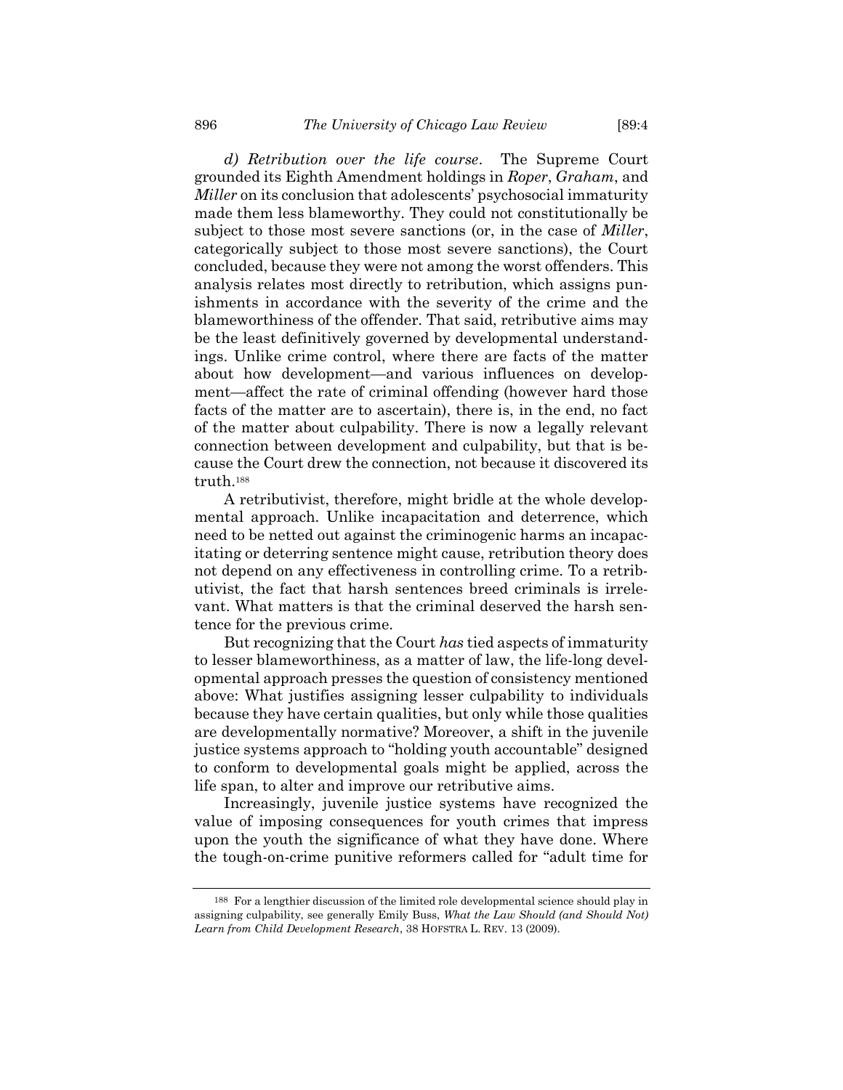*d) Retribution over the life course*. The Supreme Court grounded its Eighth Amendment holdings in *Roper*, *Graham*, and *Miller* on its conclusion that adolescents' psychosocial immaturity made them less blameworthy. They could not constitutionally be subject to those most severe sanctions (or, in the case of *Miller*, categorically subject to those most severe sanctions), the Court concluded, because they were not among the worst offenders. This analysis relates most directly to retribution, which assigns punishments in accordance with the severity of the crime and the blameworthiness of the offender. That said, retributive aims may be the least definitively governed by developmental understandings. Unlike crime control, where there are facts of the matter about how development—and various influences on development—affect the rate of criminal offending (however hard those facts of the matter are to ascertain), there is, in the end, no fact of the matter about culpability. There is now a legally relevant connection between development and culpability, but that is because the Court drew the connection, not because it discovered its truth.<sup>188</sup>

A retributivist, therefore, might bridle at the whole developmental approach. Unlike incapacitation and deterrence, which need to be netted out against the criminogenic harms an incapacitating or deterring sentence might cause, retribution theory does not depend on any effectiveness in controlling crime. To a retributivist, the fact that harsh sentences breed criminals is irrelevant. What matters is that the criminal deserved the harsh sentence for the previous crime.

But recognizing that the Court *has* tied aspects of immaturity to lesser blameworthiness, as a matter of law, the life-long developmental approach presses the question of consistency mentioned above: What justifies assigning lesser culpability to individuals because they have certain qualities, but only while those qualities are developmentally normative? Moreover, a shift in the juvenile justice systems approach to "holding youth accountable" designed to conform to developmental goals might be applied, across the life span, to alter and improve our retributive aims.

Increasingly, juvenile justice systems have recognized the value of imposing consequences for youth crimes that impress upon the youth the significance of what they have done. Where the tough-on-crime punitive reformers called for "adult time for

<sup>188</sup> For a lengthier discussion of the limited role developmental science should play in assigning culpability, see generally Emily Buss, *What the Law Should (and Should Not) Learn from Child Development Research*, 38 HOFSTRA L. REV. 13 (2009).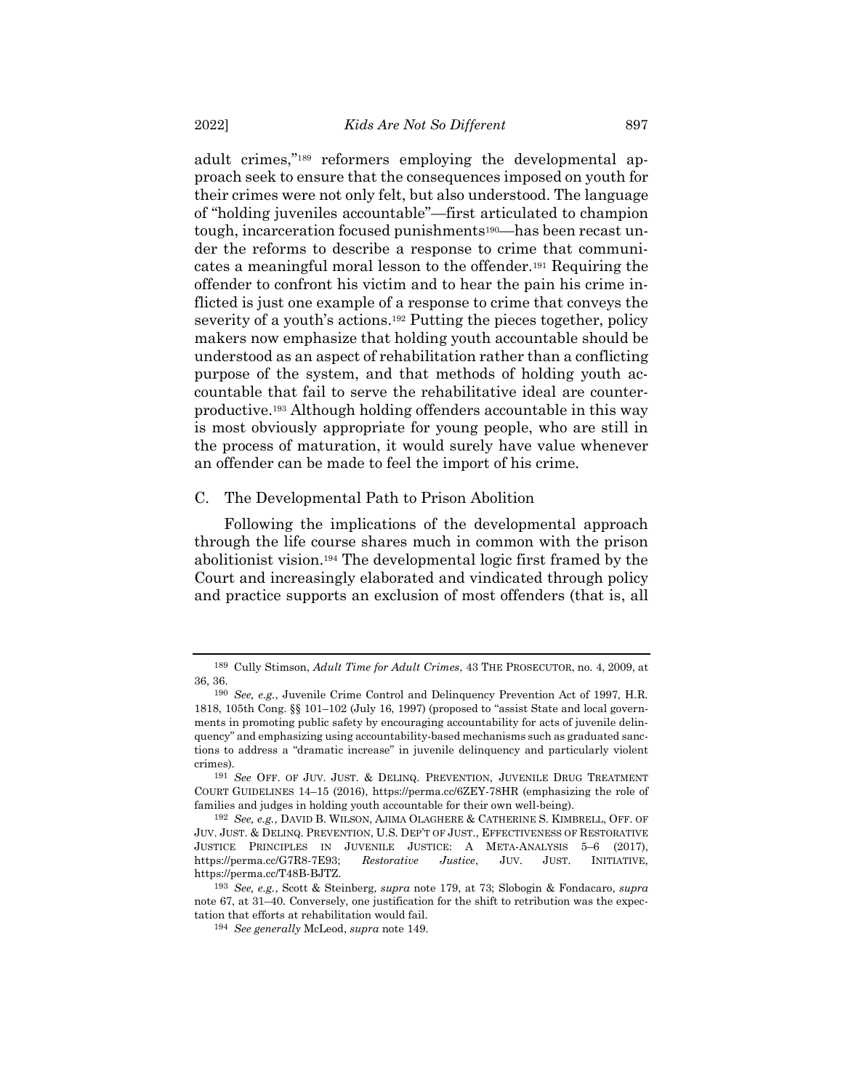adult crimes,"<sup>189</sup> reformers employing the developmental approach seek to ensure that the consequences imposed on youth for their crimes were not only felt, but also understood. The language of "holding juveniles accountable"—first articulated to champion tough, incarceration focused punishments190—has been recast under the reforms to describe a response to crime that communicates a meaningful moral lesson to the offender.<sup>191</sup> Requiring the offender to confront his victim and to hear the pain his crime inflicted is just one example of a response to crime that conveys the severity of a youth's actions.<sup>192</sup> Putting the pieces together, policy makers now emphasize that holding youth accountable should be understood as an aspect of rehabilitation rather than a conflicting purpose of the system, and that methods of holding youth accountable that fail to serve the rehabilitative ideal are counterproductive.<sup>193</sup> Although holding offenders accountable in this way is most obviously appropriate for young people, who are still in the process of maturation, it would surely have value whenever an offender can be made to feel the import of his crime.

#### C. The Developmental Path to Prison Abolition

Following the implications of the developmental approach through the life course shares much in common with the prison abolitionist vision.<sup>194</sup> The developmental logic first framed by the Court and increasingly elaborated and vindicated through policy and practice supports an exclusion of most offenders (that is, all

<sup>189</sup> Cully Stimson, *Adult Time for Adult Crimes*, 43 THE PROSECUTOR, no. 4, 2009, at 36, 36.

<sup>190</sup> *See, e.g.*, Juvenile Crime Control and Delinquency Prevention Act of 1997, H.R. 1818, 105th Cong. §§ 101–102 (July 16, 1997) (proposed to "assist State and local governments in promoting public safety by encouraging accountability for acts of juvenile delinquency" and emphasizing using accountability-based mechanisms such as graduated sanctions to address a "dramatic increase" in juvenile delinquency and particularly violent crimes).

<sup>191</sup> *See* OFF. OF JUV. JUST. & DELINQ. PREVENTION, JUVENILE DRUG TREATMENT COURT GUIDELINES 14–15 (2016), https://perma.cc/6ZEY-78HR (emphasizing the role of families and judges in holding youth accountable for their own well-being).

<sup>192</sup> *See, e.g.*, DAVID B. WILSON, AJIMA OLAGHERE & CATHERINE S. KIMBRELL, OFF. OF JUV. JUST. & DELINQ. PREVENTION, U.S. DEP'T OF JUST., EFFECTIVENESS OF RESTORATIVE JUSTICE PRINCIPLES IN JUVENILE JUSTICE: A META-ANALYSIS 5–6 (2017), https://perma.cc/G7R8-7E93; *Restorative Justice*, JUV. JUST. INITIATIVE, https://perma.cc/T48B-BJTZ.

<sup>193</sup> *See, e.g.*, Scott & Steinberg, *supra* note [179,](#page-50-0) at 73; Slobogin & Fondacaro, *supra* not[e 67,](#page-19-1) at 31–40. Conversely, one justification for the shift to retribution was the expectation that efforts at rehabilitation would fail.

<sup>194</sup> *See generally* McLeod, *supra* not[e 149.](#page-42-0)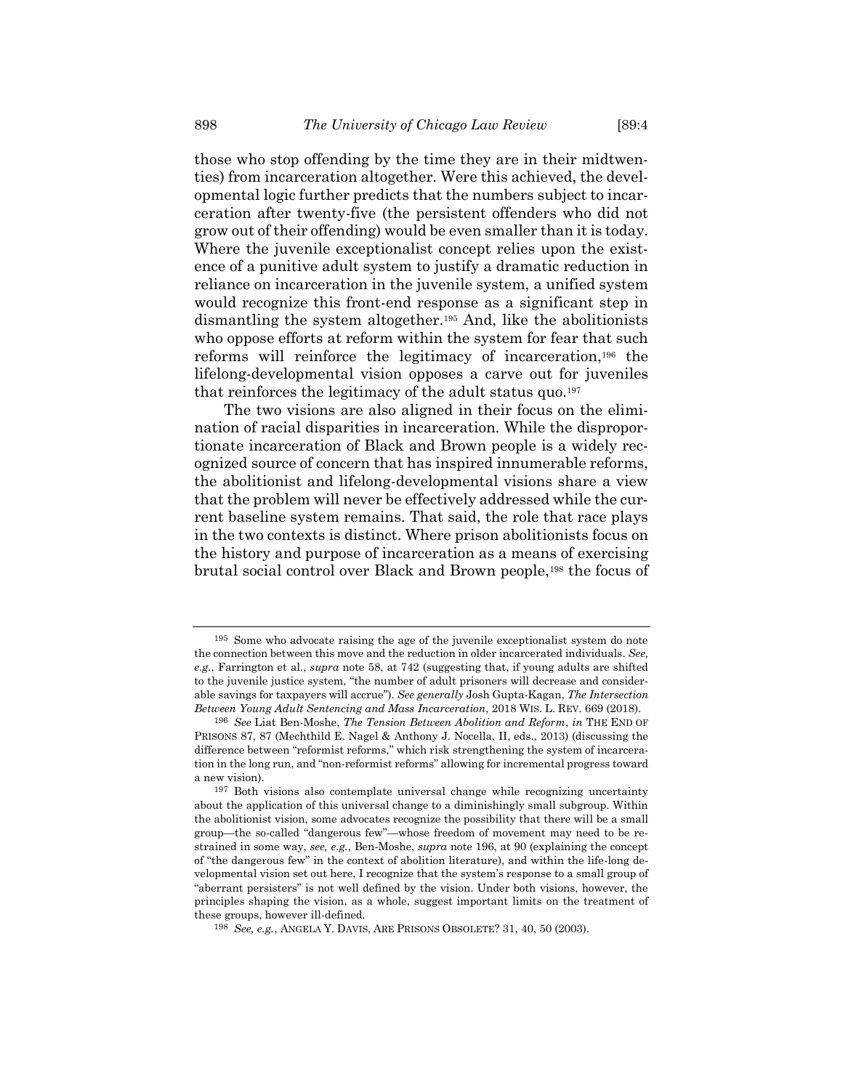those who stop offending by the time they are in their midtwenties) from incarceration altogether. Were this achieved, the developmental logic further predicts that the numbers subject to incarceration after twenty-five (the persistent offenders who did not grow out of their offending) would be even smaller than it is today. Where the juvenile exceptionalist concept relies upon the existence of a punitive adult system to justify a dramatic reduction in reliance on incarceration in the juvenile system, a unified system would recognize this front-end response as a significant step in dismantling the system altogether.<sup>195</sup> And, like the abolitionists who oppose efforts at reform within the system for fear that such reforms will reinforce the legitimacy of incarceration,<sup>196</sup> the lifelong-developmental vision opposes a carve out for juveniles that reinforces the legitimacy of the adult status quo.<sup>197</sup>

<span id="page-55-0"></span>The two visions are also aligned in their focus on the elimination of racial disparities in incarceration. While the disproportionate incarceration of Black and Brown people is a widely recognized source of concern that has inspired innumerable reforms, the abolitionist and lifelong-developmental visions share a view that the problem will never be effectively addressed while the current baseline system remains. That said, the role that race plays in the two contexts is distinct. Where prison abolitionists focus on the history and purpose of incarceration as a means of exercising brutal social control over Black and Brown people,<sup>198</sup> the focus of

<sup>195</sup> Some who advocate raising the age of the juvenile exceptionalist system do note the connection between this move and the reduction in older incarcerated individuals. *See, e.g.*, Farrington et al., *supra* note [58,](#page-16-0) at 742 (suggesting that, if young adults are shifted to the juvenile justice system, "the number of adult prisoners will decrease and considerable savings for taxpayers will accrue"). *See generally* Josh Gupta-Kagan, *The Intersection Between Young Adult Sentencing and Mass Incarceration*, 2018 WIS. L. REV. 669 (2018).

<sup>196</sup> *See* Liat Ben-Moshe, *The Tension Between Abolition and Reform*, *in* THE END OF PRISONS 87, 87 (Mechthild E. Nagel & Anthony J. Nocella, II, eds., 2013) (discussing the difference between "reformist reforms," which risk strengthening the system of incarceration in the long run, and "non-reformist reforms" allowing for incremental progress toward a new vision).

<sup>197</sup> Both visions also contemplate universal change while recognizing uncertainty about the application of this universal change to a diminishingly small subgroup. Within the abolitionist vision, some advocates recognize the possibility that there will be a small group—the so-called "dangerous few"—whose freedom of movement may need to be restrained in some way, *see, e.g.*, Ben-Moshe, *supra* note [196,](#page-55-0) at 90 (explaining the concept of "the dangerous few" in the context of abolition literature), and within the life-long developmental vision set out here, I recognize that the system's response to a small group of "aberrant persisters" is not well defined by the vision. Under both visions, however, the principles shaping the vision, as a whole, suggest important limits on the treatment of these groups, however ill-defined.

<sup>198</sup> *See, e.g.*, ANGELA Y. DAVIS, ARE PRISONS OBSOLETE? 31, 40, 50 (2003).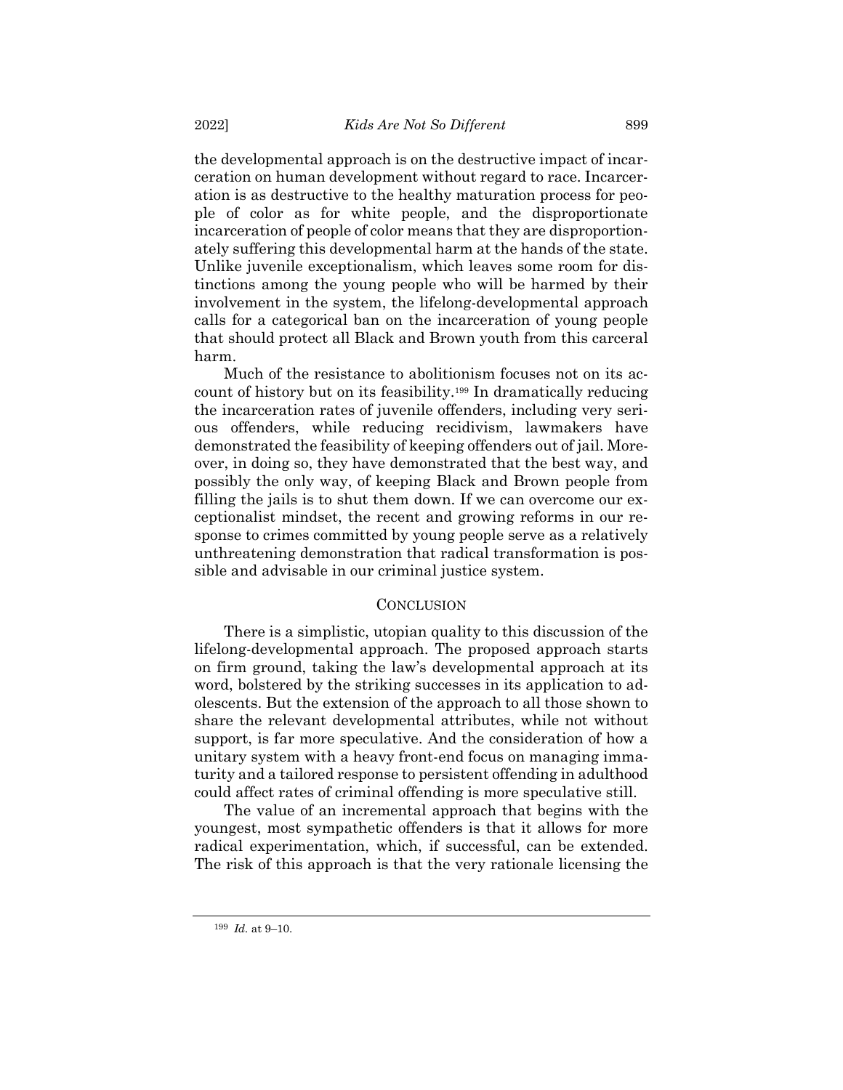the developmental approach is on the destructive impact of incarceration on human development without regard to race. Incarceration is as destructive to the healthy maturation process for people of color as for white people, and the disproportionate incarceration of people of color means that they are disproportionately suffering this developmental harm at the hands of the state. Unlike juvenile exceptionalism, which leaves some room for distinctions among the young people who will be harmed by their involvement in the system, the lifelong-developmental approach calls for a categorical ban on the incarceration of young people that should protect all Black and Brown youth from this carceral harm.

Much of the resistance to abolitionism focuses not on its account of history but on its feasibility.<sup>199</sup> In dramatically reducing the incarceration rates of juvenile offenders, including very serious offenders, while reducing recidivism, lawmakers have demonstrated the feasibility of keeping offenders out of jail. Moreover, in doing so, they have demonstrated that the best way, and possibly the only way, of keeping Black and Brown people from filling the jails is to shut them down. If we can overcome our exceptionalist mindset, the recent and growing reforms in our response to crimes committed by young people serve as a relatively unthreatening demonstration that radical transformation is possible and advisable in our criminal justice system.

## **CONCLUSION**

There is a simplistic, utopian quality to this discussion of the lifelong-developmental approach. The proposed approach starts on firm ground, taking the law's developmental approach at its word, bolstered by the striking successes in its application to adolescents. But the extension of the approach to all those shown to share the relevant developmental attributes, while not without support, is far more speculative. And the consideration of how a unitary system with a heavy front-end focus on managing immaturity and a tailored response to persistent offending in adulthood could affect rates of criminal offending is more speculative still.

The value of an incremental approach that begins with the youngest, most sympathetic offenders is that it allows for more radical experimentation, which, if successful, can be extended. The risk of this approach is that the very rationale licensing the

<sup>199</sup> *Id.* at 9–10.